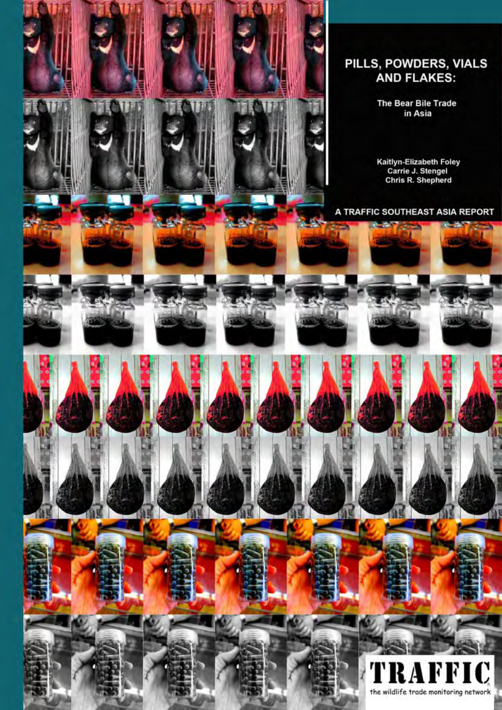

# PILLS, POWDERS, VIALS<br>AND FLAKES:

The Bear Bile Trade in Asia

Kaitlyn-Elizabeth Foley<br>Carrie J. Stengel<br>Chris R. Shepherd

A TRAFFIC SOUTHEAST ASIA REPORT

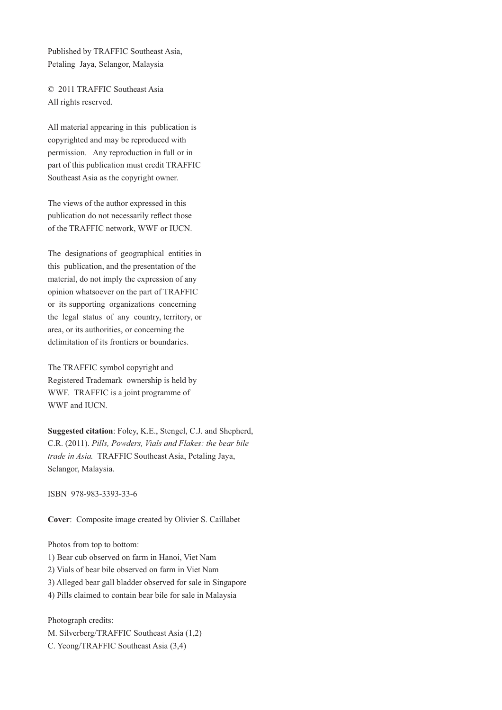Published by TRAFFIC Southeast Asia, Petaling Jaya, Selangor, Malaysia

© 2011 TRAFFIC Southeast Asia All rights reserved.

All material appearing in this publication is copyrighted and may be reproduced with permission. Any reproduction in full or in part of this publication must credit TRAFFIC Southeast Asia as the copyright owner.

The views of the author expressed in this publication do not necessarily reflect those of the TRAFFIC network, WWF or IUCN.

The designations of geographical entities in this publication, and the presentation of the material, do not imply the expression of any opinion whatsoever on the part of TRAFFIC or its supporting organizations concerning the legal status of any country, territory, or area, or its authorities, or concerning the delimitation of its frontiers or boundaries.

The TRAFFIC symbol copyright and Registered Trademark ownership is held by WWF. TRAFFIC is a joint programme of WWF and IUCN.

**Suggested citation**: Foley, K.E., Stengel, C.J. and Shepherd, C.R. (2011). *Pills, Powders, Vials and Flakes: the bear bile trade in Asia.* TRAFFIC Southeast Asia, Petaling Jaya, Selangor, Malaysia.

ISBN 978-983-3393-33-6

**Cover**: Composite image created by Olivier S. Caillabet

Photos from top to bottom:

- 1) Bear cub observed on farm in Hanoi, Viet Nam
- 2) Vials of bear bile observed on farm in Viet Nam
- 3) Alleged bear gall bladder observed for sale in Singapore
- 4) Pills claimed to contain bear bile for sale in Malaysia

Photograph credits:

M. Silverberg/TRAFFIC Southeast Asia (1,2) C. Yeong/TRAFFIC Southeast Asia (3,4)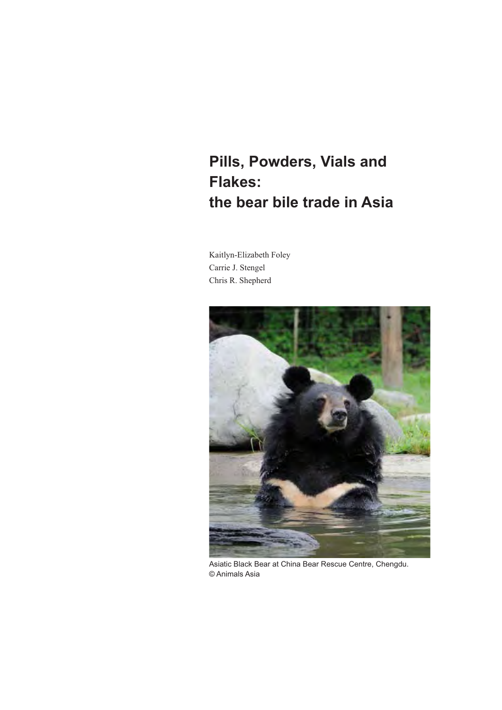# **Pills, Powders, Vials and Flakes: the bear bile trade in Asia**

Kaitlyn-Elizabeth Foley Carrie J. Stengel Chris R. Shepherd



Asiatic Black Bear at China Bear Rescue Centre, Chengdu. © Animals Asia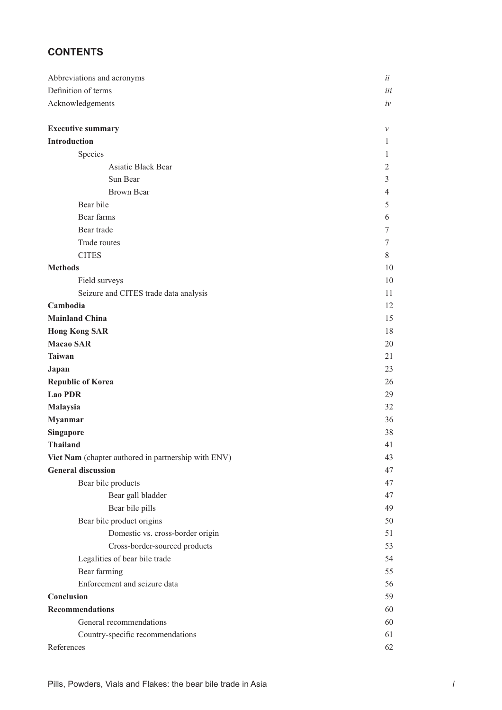# **CONTENTS**

| Abbreviations and acronyms                          | ii             |  |  |  |  |  |
|-----------------------------------------------------|----------------|--|--|--|--|--|
| Definition of terms                                 |                |  |  |  |  |  |
| Acknowledgements                                    |                |  |  |  |  |  |
|                                                     |                |  |  |  |  |  |
| <b>Executive summary</b>                            | $\mathcal V$   |  |  |  |  |  |
| Introduction                                        | 1              |  |  |  |  |  |
| Species                                             | 1              |  |  |  |  |  |
| Asiatic Black Bear                                  | 2              |  |  |  |  |  |
| Sun Bear                                            | 3              |  |  |  |  |  |
| <b>Brown Bear</b>                                   | $\overline{4}$ |  |  |  |  |  |
| Bear bile                                           | 5              |  |  |  |  |  |
| Bear farms                                          | 6              |  |  |  |  |  |
| Bear trade                                          | 7              |  |  |  |  |  |
| Trade routes                                        | 7              |  |  |  |  |  |
| <b>CITES</b>                                        | 8              |  |  |  |  |  |
| <b>Methods</b>                                      | 10             |  |  |  |  |  |
| Field surveys                                       | 10             |  |  |  |  |  |
| Seizure and CITES trade data analysis               | 11             |  |  |  |  |  |
| Cambodia                                            | 12             |  |  |  |  |  |
| <b>Mainland China</b>                               | 15             |  |  |  |  |  |
| <b>Hong Kong SAR</b>                                | 18             |  |  |  |  |  |
| <b>Macao SAR</b>                                    | 20             |  |  |  |  |  |
| <b>Taiwan</b>                                       | 21             |  |  |  |  |  |
| Japan                                               | 23             |  |  |  |  |  |
| <b>Republic of Korea</b>                            | 26             |  |  |  |  |  |
| <b>Lao PDR</b>                                      | 29             |  |  |  |  |  |
| Malaysia                                            | 32             |  |  |  |  |  |
| <b>Myanmar</b>                                      | 36             |  |  |  |  |  |
| <b>Singapore</b>                                    | 38             |  |  |  |  |  |
| <b>Thailand</b>                                     | 41             |  |  |  |  |  |
| Viet Nam (chapter authored in partnership with ENV) | 43             |  |  |  |  |  |
| <b>General discussion</b>                           | 47             |  |  |  |  |  |
| Bear bile products                                  | 47             |  |  |  |  |  |
| Bear gall bladder                                   | 47             |  |  |  |  |  |
| Bear bile pills                                     | 49             |  |  |  |  |  |
| Bear bile product origins                           | 50             |  |  |  |  |  |
| Domestic vs. cross-border origin                    | 51             |  |  |  |  |  |
| Cross-border-sourced products                       | 53             |  |  |  |  |  |
| Legalities of bear bile trade                       | 54             |  |  |  |  |  |
| Bear farming                                        | 55             |  |  |  |  |  |
| Enforcement and seizure data                        | 56             |  |  |  |  |  |
| Conclusion                                          | 59             |  |  |  |  |  |
| <b>Recommendations</b>                              | 60             |  |  |  |  |  |
| General recommendations                             | 60             |  |  |  |  |  |
|                                                     | 61             |  |  |  |  |  |
| Country-specific recommendations<br>References      | 62             |  |  |  |  |  |
|                                                     |                |  |  |  |  |  |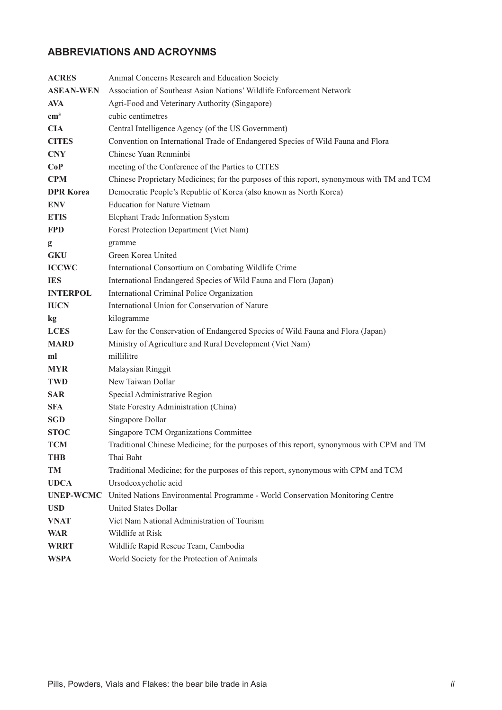# **ABBREVIATIONS AND ACROYNMS**

| <b>ACRES</b>     | Animal Concerns Research and Education Society                                             |
|------------------|--------------------------------------------------------------------------------------------|
| <b>ASEAN-WEN</b> | Association of Southeast Asian Nations' Wildlife Enforcement Network                       |
| <b>AVA</b>       | Agri-Food and Veterinary Authority (Singapore)                                             |
| $\text{cm}^3$    | cubic centimetres                                                                          |
| <b>CIA</b>       | Central Intelligence Agency (of the US Government)                                         |
| <b>CITES</b>     | Convention on International Trade of Endangered Species of Wild Fauna and Flora            |
| <b>CNY</b>       | Chinese Yuan Renminbi                                                                      |
| CoP              | meeting of the Conference of the Parties to CITES                                          |
| <b>CPM</b>       | Chinese Proprietary Medicines; for the purposes of this report, synonymous with TM and TCM |
| <b>DPR Korea</b> | Democratic People's Republic of Korea (also known as North Korea)                          |
| <b>ENV</b>       | <b>Education for Nature Vietnam</b>                                                        |
| <b>ETIS</b>      | Elephant Trade Information System                                                          |
| <b>FPD</b>       | Forest Protection Department (Viet Nam)                                                    |
| $\mathbf{g}$     | gramme                                                                                     |
| <b>GKU</b>       | Green Korea United                                                                         |
| <b>ICCWC</b>     | International Consortium on Combating Wildlife Crime                                       |
| <b>IES</b>       | International Endangered Species of Wild Fauna and Flora (Japan)                           |
| <b>INTERPOL</b>  | International Criminal Police Organization                                                 |
| <b>IUCN</b>      | International Union for Conservation of Nature                                             |
| kg               | kilogramme                                                                                 |
| <b>LCES</b>      | Law for the Conservation of Endangered Species of Wild Fauna and Flora (Japan)             |
| <b>MARD</b>      | Ministry of Agriculture and Rural Development (Viet Nam)                                   |
| ml               | millilitre                                                                                 |
| <b>MYR</b>       | Malaysian Ringgit                                                                          |
| <b>TWD</b>       | New Taiwan Dollar                                                                          |
| <b>SAR</b>       | Special Administrative Region                                                              |
| <b>SFA</b>       | State Forestry Administration (China)                                                      |
| <b>SGD</b>       | Singapore Dollar                                                                           |
| <b>STOC</b>      | Singapore TCM Organizations Committee                                                      |
| <b>TCM</b>       | Traditional Chinese Medicine; for the purposes of this report, synonymous with CPM and TM  |
| <b>THB</b>       | Thai Baht                                                                                  |
| <b>TM</b>        | Traditional Medicine; for the purposes of this report, synonymous with CPM and TCM         |
| <b>UDCA</b>      | Ursodeoxycholic acid                                                                       |
| <b>UNEP-WCMC</b> | United Nations Environmental Programme - World Conservation Monitoring Centre              |
| <b>USD</b>       | <b>United States Dollar</b>                                                                |
| <b>VNAT</b>      | Viet Nam National Administration of Tourism                                                |
| <b>WAR</b>       | Wildlife at Risk                                                                           |
| <b>WRRT</b>      | Wildlife Rapid Rescue Team, Cambodia                                                       |
| <b>WSPA</b>      | World Society for the Protection of Animals                                                |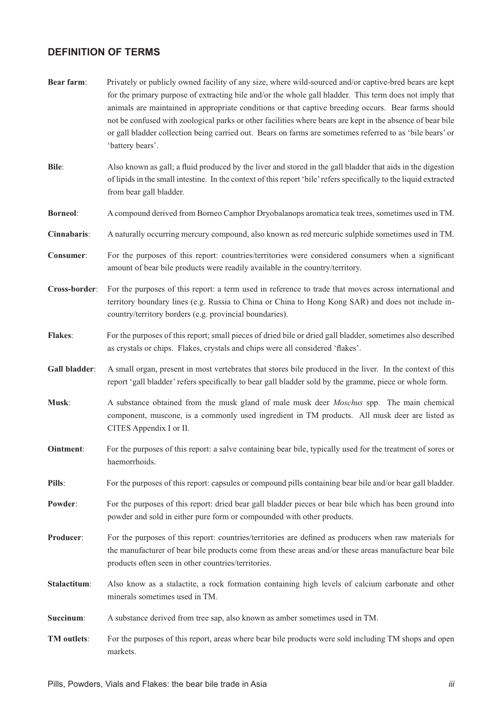# **DEFINITION OF TERMS**

**Bear farm:** Privately or publicly owned facility of any size, where wild-sourced and/or captive-bred bears are kept for the primary purpose of extracting bile and/or the whole gall bladder. This term does not imply that animals are maintained in appropriate conditions or that captive breeding occurs. Bear farms should not be confused with zoological parks or other facilities where bears are kept in the absence of bear bile or gall bladder collection being carried out. Bears on farms are sometimes referred to as 'bile bears' or 'battery bears'. **Bile**: Also known as gall; a fluid produced by the liver and stored in the gall bladder that aids in the digestion of lipids in the small intestine. In the context of this report 'bile' refers specifically to the liquid extracted from bear gall bladder. **Borneol**: A compound derived from Borneo Camphor Dryobalanops aromatica teak trees, sometimes used in TM. **Cinnabaris**: A naturally occurring mercury compound, also known as red mercuric sulphide sometimes used in TM. **Consumer:** For the purposes of this report: countries/territories were considered consumers when a significant amount of bear bile products were readily available in the country/territory. **Cross-border**: For the purposes of this report: a term used in reference to trade that moves across international and territory boundary lines (e.g. Russia to China or China to Hong Kong SAR) and does not include incountry/territory borders (e.g. provincial boundaries). **Flakes**: For the purposes of this report; small pieces of dried bile or dried gall bladder, sometimes also described as crystals or chips. Flakes, crystals and chips were all considered 'flakes'. **Gall bladder**: A small organ, present in most vertebrates that stores bile produced in the liver. In the context of this report 'gall bladder' refers specifically to bear gall bladder sold by the gramme, piece or whole form. **Musk**: A substance obtained from the musk gland of male musk deer *Moschus* spp. The main chemical component, muscone, is a commonly used ingredient in TM products. All musk deer are listed as CITES Appendix I or II. **Ointment:** For the purposes of this report: a salve containing bear bile, typically used for the treatment of sores or haemorrhoids. **Pills**: For the purposes of this report: capsules or compound pills containing bear bile and/or bear gall bladder. **Powder:** For the purposes of this report: dried bear gall bladder pieces or bear bile which has been ground into powder and sold in either pure form or compounded with other products. **Producer:** For the purposes of this report: countries/territories are defined as producers when raw materials for the manufacturer of bear bile products come from these areas and/or these areas manufacture bear bile products often seen in other countries/territories. **Stalactitum**: Also know as a stalactite, a rock formation containing high levels of calcium carbonate and other minerals sometimes used in TM. **Succinum**: A substance derived from tree sap, also known as amber sometimes used in TM. **TM outlets**: For the purposes of this report, areas where bear bile products were sold including TM shops and open markets.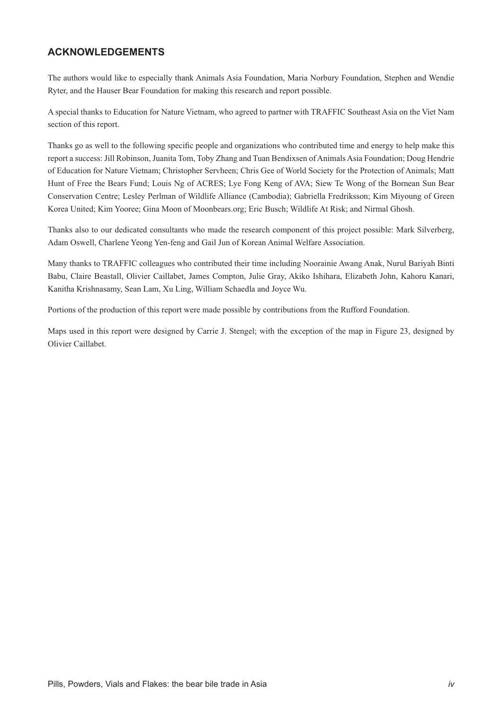# **ACKNOWLEDGEMENTS**

The authors would like to especially thank Animals Asia Foundation, Maria Norbury Foundation, Stephen and Wendie Ryter, and the Hauser Bear Foundation for making this research and report possible.

A special thanks to Education for Nature Vietnam, who agreed to partner with TRAFFIC Southeast Asia on the Viet Nam section of this report.

Thanks go as well to the following specific people and organizations who contributed time and energy to help make this report a success: Jill Robinson, Juanita Tom, Toby Zhang and Tuan Bendixsen of Animals Asia Foundation; Doug Hendrie of Education for Nature Vietnam; Christopher Servheen; Chris Gee of World Society for the Protection of Animals; Matt Hunt of Free the Bears Fund; Louis Ng of ACRES; Lye Fong Keng of AVA; Siew Te Wong of the Bornean Sun Bear Conservation Centre; Lesley Perlman of Wildlife Alliance (Cambodia); Gabriella Fredriksson; Kim Miyoung of Green Korea United; Kim Yooree; Gina Moon of Moonbears.org; Eric Busch; Wildlife At Risk; and Nirmal Ghosh.

Thanks also to our dedicated consultants who made the research component of this project possible: Mark Silverberg, Adam Oswell, Charlene Yeong Yen-feng and Gail Jun of Korean Animal Welfare Association.

Many thanks to TRAFFIC colleagues who contributed their time including Noorainie Awang Anak, Nurul Bariyah Binti Babu, Claire Beastall, Olivier Caillabet, James Compton, Julie Gray, Akiko Ishihara, Elizabeth John, Kahoru Kanari, Kanitha Krishnasamy, Sean Lam, Xu Ling, William Schaedla and Joyce Wu.

Portions of the production of this report were made possible by contributions from the Rufford Foundation.

Maps used in this report were designed by Carrie J. Stengel; with the exception of the map in Figure 23, designed by Olivier Caillabet.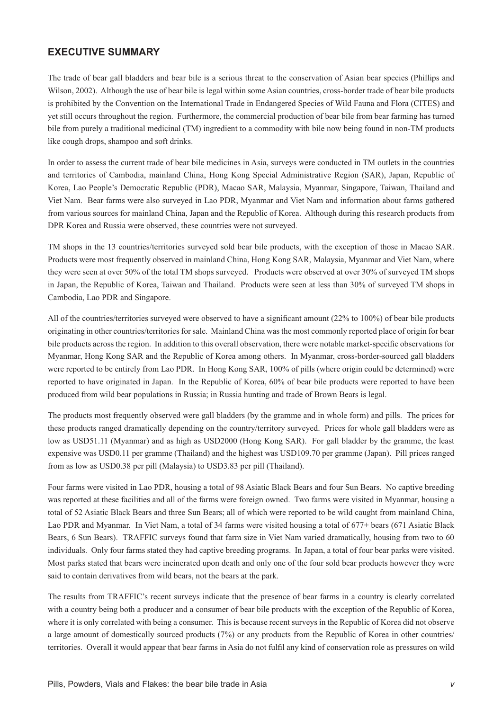# **EXECUTIVE SUMMARY**

The trade of bear gall bladders and bear bile is a serious threat to the conservation of Asian bear species (Phillips and Wilson, 2002). Although the use of bear bile is legal within some Asian countries, cross-border trade of bear bile products is prohibited by the Convention on the International Trade in Endangered Species of Wild Fauna and Flora (CITES) and yet still occurs throughout the region. Furthermore, the commercial production of bear bile from bear farming has turned bile from purely a traditional medicinal (TM) ingredient to a commodity with bile now being found in non-TM products like cough drops, shampoo and soft drinks.

In order to assess the current trade of bear bile medicines in Asia, surveys were conducted in TM outlets in the countries and territories of Cambodia, mainland China, Hong Kong Special Administrative Region (SAR), Japan, Republic of Korea, Lao People's Democratic Republic (PDR), Macao SAR, Malaysia, Myanmar, Singapore, Taiwan, Thailand and Viet Nam. Bear farms were also surveyed in Lao PDR, Myanmar and Viet Nam and information about farms gathered from various sources for mainland China, Japan and the Republic of Korea. Although during this research products from DPR Korea and Russia were observed, these countries were not surveyed.

TM shops in the 13 countries/territories surveyed sold bear bile products, with the exception of those in Macao SAR. Products were most frequently observed in mainland China, Hong Kong SAR, Malaysia, Myanmar and Viet Nam, where they were seen at over 50% of the total TM shops surveyed. Products were observed at over 30% of surveyed TM shops in Japan, the Republic of Korea, Taiwan and Thailand. Products were seen at less than 30% of surveyed TM shops in Cambodia, Lao PDR and Singapore.

All of the countries/territories surveyed were observed to have a significant amount  $(22%$  to 100%) of bear bile products originating in other countries/territories for sale. Mainland China was the most commonly reported place of origin for bear bile products across the region. In addition to this overall observation, there were notable market-specific observations for Myanmar, Hong Kong SAR and the Republic of Korea among others. In Myanmar, cross-border-sourced gall bladders were reported to be entirely from Lao PDR. In Hong Kong SAR, 100% of pills (where origin could be determined) were reported to have originated in Japan. In the Republic of Korea, 60% of bear bile products were reported to have been produced from wild bear populations in Russia; in Russia hunting and trade of Brown Bears is legal.

The products most frequently observed were gall bladders (by the gramme and in whole form) and pills. The prices for these products ranged dramatically depending on the country/territory surveyed. Prices for whole gall bladders were as low as USD51.11 (Myanmar) and as high as USD2000 (Hong Kong SAR). For gall bladder by the gramme, the least expensive was USD0.11 per gramme (Thailand) and the highest was USD109.70 per gramme (Japan). Pill prices ranged from as low as USD0.38 per pill (Malaysia) to USD3.83 per pill (Thailand).

Four farms were visited in Lao PDR, housing a total of 98 Asiatic Black Bears and four Sun Bears. No captive breeding was reported at these facilities and all of the farms were foreign owned. Two farms were visited in Myanmar, housing a total of 52 Asiatic Black Bears and three Sun Bears; all of which were reported to be wild caught from mainland China, Lao PDR and Myanmar. In Viet Nam, a total of 34 farms were visited housing a total of 677+ bears (671 Asiatic Black Bears, 6 Sun Bears). TRAFFIC surveys found that farm size in Viet Nam varied dramatically, housing from two to 60 individuals. Only four farms stated they had captive breeding programs. In Japan, a total of four bear parks were visited. Most parks stated that bears were incinerated upon death and only one of the four sold bear products however they were said to contain derivatives from wild bears, not the bears at the park.

The results from TRAFFIC's recent surveys indicate that the presence of bear farms in a country is clearly correlated with a country being both a producer and a consumer of bear bile products with the exception of the Republic of Korea, where it is only correlated with being a consumer. This is because recent surveys in the Republic of Korea did not observe a large amount of domestically sourced products (7%) or any products from the Republic of Korea in other countries/ territories. Overall it would appear that bear farms in Asia do not fulfil any kind of conservation role as pressures on wild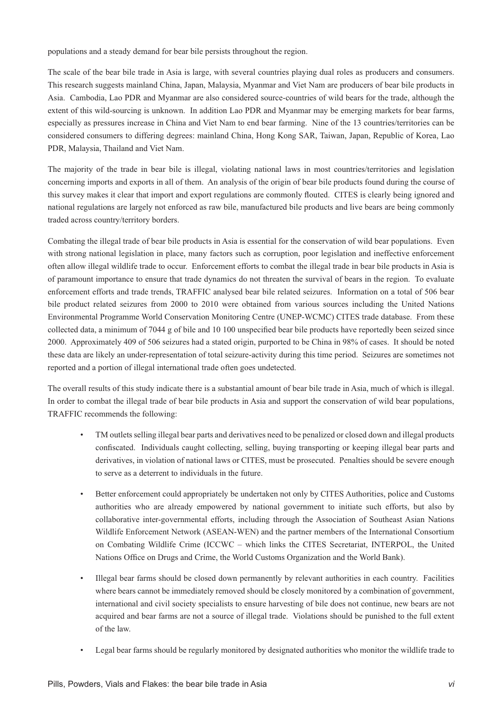populations and a steady demand for bear bile persists throughout the region.

The scale of the bear bile trade in Asia is large, with several countries playing dual roles as producers and consumers. This research suggests mainland China, Japan, Malaysia, Myanmar and Viet Nam are producers of bear bile products in Asia. Cambodia, Lao PDR and Myanmar are also considered source-countries of wild bears for the trade, although the extent of this wild-sourcing is unknown. In addition Lao PDR and Myanmar may be emerging markets for bear farms, especially as pressures increase in China and Viet Nam to end bear farming. Nine of the 13 countries/territories can be considered consumers to differing degrees: mainland China, Hong Kong SAR, Taiwan, Japan, Republic of Korea, Lao PDR, Malaysia, Thailand and Viet Nam.

The majority of the trade in bear bile is illegal, violating national laws in most countries/territories and legislation concerning imports and exports in all of them. An analysis of the origin of bear bile products found during the course of this survey makes it clear that import and export regulations are commonly flouted. CITES is clearly being ignored and national regulations are largely not enforced as raw bile, manufactured bile products and live bears are being commonly traded across country/territory borders.

Combating the illegal trade of bear bile products in Asia is essential for the conservation of wild bear populations. Even with strong national legislation in place, many factors such as corruption, poor legislation and ineffective enforcement often allow illegal wildlife trade to occur. Enforcement efforts to combat the illegal trade in bear bile products in Asia is of paramount importance to ensure that trade dynamics do not threaten the survival of bears in the region. To evaluate enforcement efforts and trade trends, TRAFFIC analysed bear bile related seizures. Information on a total of 506 bear bile product related seizures from 2000 to 2010 were obtained from various sources including the United Nations Environmental Programme World Conservation Monitoring Centre (UNEP-WCMC) CITES trade database. From these collected data, a minimum of 7044 g of bile and 10 100 unspecified bear bile products have reportedly been seized since 2000. Approximately 409 of 506 seizures had a stated origin, purported to be China in 98% of cases. It should be noted these data are likely an under-representation of total seizure-activity during this time period. Seizures are sometimes not reported and a portion of illegal international trade often goes undetected.

The overall results of this study indicate there is a substantial amount of bear bile trade in Asia, much of which is illegal. In order to combat the illegal trade of bear bile products in Asia and support the conservation of wild bear populations, TRAFFIC recommends the following:

- TM outlets selling illegal bear parts and derivatives need to be penalized or closed down and illegal products confiscated. Individuals caught collecting, selling, buying transporting or keeping illegal bear parts and derivatives, in violation of national laws or CITES, must be prosecuted. Penalties should be severe enough to serve as a deterrent to individuals in the future.
- Better enforcement could appropriately be undertaken not only by CITES Authorities, police and Customs authorities who are already empowered by national government to initiate such efforts, but also by collaborative inter-governmental efforts, including through the Association of Southeast Asian Nations Wildlife Enforcement Network (ASEAN-WEN) and the partner members of the International Consortium on Combating Wildlife Crime (ICCWC – which links the CITES Secretariat, INTERPOL, the United Nations Office on Drugs and Crime, the World Customs Organization and the World Bank).
- Illegal bear farms should be closed down permanently by relevant authorities in each country. Facilities where bears cannot be immediately removed should be closely monitored by a combination of government, international and civil society specialists to ensure harvesting of bile does not continue, new bears are not acquired and bear farms are not a source of illegal trade. Violations should be punished to the full extent of the law.
- Legal bear farms should be regularly monitored by designated authorities who monitor the wildlife trade to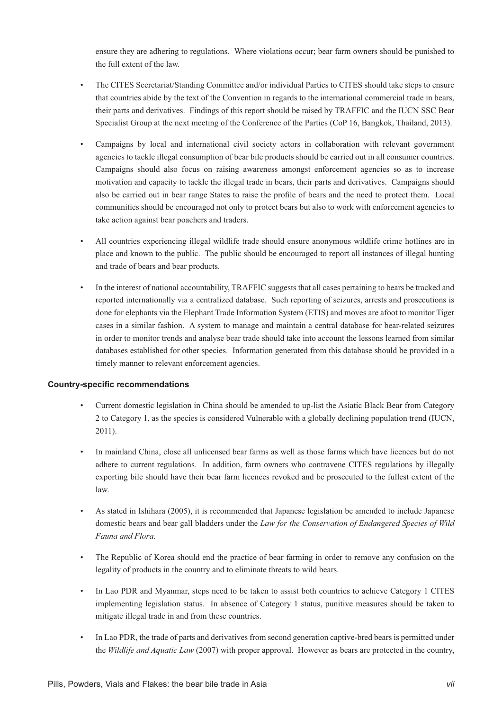ensure they are adhering to regulations. Where violations occur; bear farm owners should be punished to the full extent of the law.

- The CITES Secretariat/Standing Committee and/or individual Parties to CITES should take steps to ensure that countries abide by the text of the Convention in regards to the international commercial trade in bears, their parts and derivatives. Findings of this report should be raised by TRAFFIC and the IUCN SSC Bear Specialist Group at the next meeting of the Conference of the Parties (CoP 16, Bangkok, Thailand, 2013).
- Campaigns by local and international civil society actors in collaboration with relevant government agencies to tackle illegal consumption of bear bile products should be carried out in all consumer countries. Campaigns should also focus on raising awareness amongst enforcement agencies so as to increase motivation and capacity to tackle the illegal trade in bears, their parts and derivatives. Campaigns should also be carried out in bear range States to raise the profile of bears and the need to protect them. Local communities should be encouraged not only to protect bears but also to work with enforcement agencies to take action against bear poachers and traders.
- All countries experiencing illegal wildlife trade should ensure anonymous wildlife crime hotlines are in place and known to the public. The public should be encouraged to report all instances of illegal hunting and trade of bears and bear products.
- In the interest of national accountability, TRAFFIC suggests that all cases pertaining to bears be tracked and reported internationally via a centralized database. Such reporting of seizures, arrests and prosecutions is done for elephants via the Elephant Trade Information System (ETIS) and moves are afoot to monitor Tiger cases in a similar fashion. A system to manage and maintain a central database for bear-related seizures in order to monitor trends and analyse bear trade should take into account the lessons learned from similar databases established for other species. Information generated from this database should be provided in a timely manner to relevant enforcement agencies.

#### **Country-specific recommendations**

- Current domestic legislation in China should be amended to up-list the Asiatic Black Bear from Category 2 to Category 1, as the species is considered Vulnerable with a globally declining population trend (IUCN, 2011).
- In mainland China, close all unlicensed bear farms as well as those farms which have licences but do not adhere to current regulations. In addition, farm owners who contravene CITES regulations by illegally exporting bile should have their bear farm licences revoked and be prosecuted to the fullest extent of the law.
- As stated in Ishihara (2005), it is recommended that Japanese legislation be amended to include Japanese domestic bears and bear gall bladders under the *Law for the Conservation of Endangered Species of Wild Fauna and Flora*.
- The Republic of Korea should end the practice of bear farming in order to remove any confusion on the legality of products in the country and to eliminate threats to wild bears.
- In Lao PDR and Myanmar, steps need to be taken to assist both countries to achieve Category 1 CITES implementing legislation status. In absence of Category 1 status, punitive measures should be taken to mitigate illegal trade in and from these countries.
- In Lao PDR, the trade of parts and derivatives from second generation captive-bred bears is permitted under the *Wildlife and Aquatic Law* (2007) with proper approval. However as bears are protected in the country,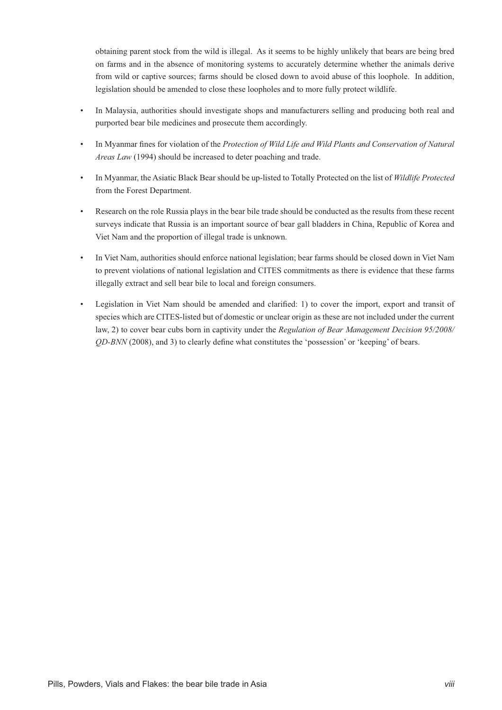obtaining parent stock from the wild is illegal. As it seems to be highly unlikely that bears are being bred on farms and in the absence of monitoring systems to accurately determine whether the animals derive from wild or captive sources; farms should be closed down to avoid abuse of this loophole. In addition, legislation should be amended to close these loopholes and to more fully protect wildlife.

- In Malaysia, authorities should investigate shops and manufacturers selling and producing both real and purported bear bile medicines and prosecute them accordingly.
- In Myanmar fines for violation of the *Protection of Wild Life and Wild Plants and Conservation of Natural Areas Law* (1994) should be increased to deter poaching and trade.
- In Myanmar, the Asiatic Black Bear should be up-listed to Totally Protected on the list of *Wildlife Protected*  from the Forest Department.
- Research on the role Russia plays in the bear bile trade should be conducted as the results from these recent surveys indicate that Russia is an important source of bear gall bladders in China, Republic of Korea and Viet Nam and the proportion of illegal trade is unknown.
- In Viet Nam, authorities should enforce national legislation; bear farms should be closed down in Viet Nam to prevent violations of national legislation and CITES commitments as there is evidence that these farms illegally extract and sell bear bile to local and foreign consumers.
- Legislation in Viet Nam should be amended and clarified: 1) to cover the import, export and transit of species which are CITES-listed but of domestic or unclear origin as these are not included under the current law, 2) to cover bear cubs born in captivity under the *Regulation of Bear Management Decision 95/2008/ QD-BNN* (2008), and 3) to clearly define what constitutes the 'possession' or 'keeping' of bears.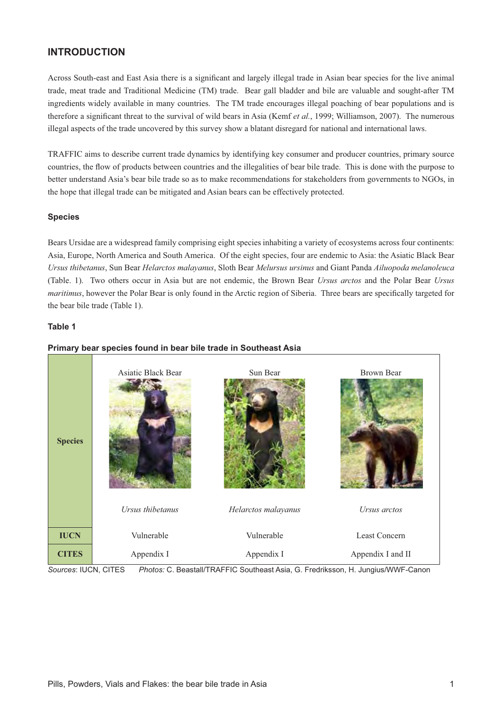# **INTRODUCTION**

Across South-east and East Asia there is a significant and largely illegal trade in Asian bear species for the live animal trade, meat trade and Traditional Medicine (TM) trade. Bear gall bladder and bile are valuable and sought-after TM ingredients widely available in many countries. The TM trade encourages illegal poaching of bear populations and is therefore a significant threat to the survival of wild bears in Asia (Kemf et al., 1999; Williamson, 2007). The numerous illegal aspects of the trade uncovered by this survey show a blatant disregard for national and international laws.

TRAFFIC aims to describe current trade dynamics by identifying key consumer and producer countries, primary source countries, the flow of products between countries and the illegalities of bear bile trade. This is done with the purpose to better understand Asia's bear bile trade so as to make recommendations for stakeholders from governments to NGOs, in the hope that illegal trade can be mitigated and Asian bears can be effectively protected.

#### **Species**

Bears Ursidae are a widespread family comprising eight species inhabiting a variety of ecosystems across four continents: Asia, Europe, North America and South America. Of the eight species, four are endemic to Asia: the Asiatic Black Bear *Ursus thibetanus*, Sun Bear *Helarctos malayanus*, Sloth Bear *Melursus ursinus* and Giant Panda *Ailuopoda melanoleuca* (Table. 1). Two others occur in Asia but are not endemic, the Brown Bear *Ursus arctos* and the Polar Bear *Ursus maritimus*, however the Polar Bear is only found in the Arctic region of Siberia. Three bears are specifically targeted for the bear bile trade (Table 1).

#### **Table 1**



#### **Primary bear species found in bear bile trade in Southeast Asia**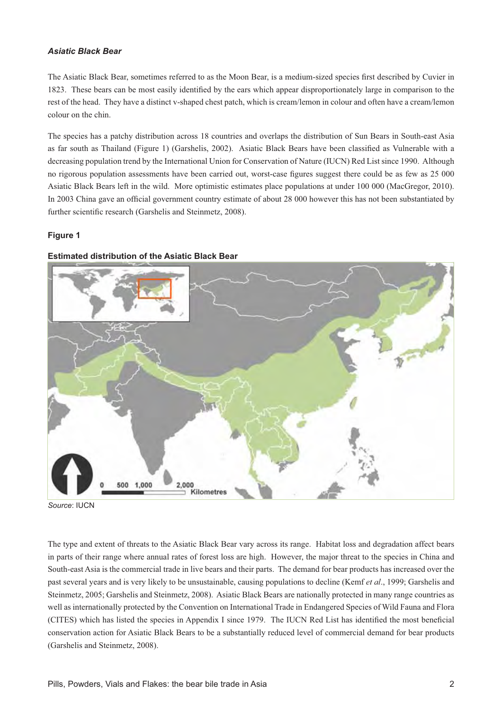#### *Asiatic Black Bear*

The Asiatic Black Bear, sometimes referred to as the Moon Bear, is a medium-sized species first described by Cuvier in 1823. These bears can be most easily identified by the ears which appear disproportionately large in comparison to the rest of the head. They have a distinct v-shaped chest patch, which is cream/lemon in colour and often have a cream/lemon colour on the chin.

The species has a patchy distribution across 18 countries and overlaps the distribution of Sun Bears in South-east Asia as far south as Thailand (Figure 1) (Garshelis, 2002). Asiatic Black Bears have been classified as Vulnerable with a decreasing population trend by the International Union for Conservation of Nature (IUCN) Red List since 1990. Although no rigorous population assessments have been carried out, worst-case figures suggest there could be as few as 25 000 Asiatic Black Bears left in the wild. More optimistic estimates place populations at under 100 000 (MacGregor, 2010). In 2003 China gave an official government country estimate of about 28 000 however this has not been substantiated by further scientific research (Garshelis and Steinmetz, 2008).

#### **Figure 1**



#### **Estimated distribution of the Asiatic Black Bear**

*Source*: IUCN

The type and extent of threats to the Asiatic Black Bear vary across its range. Habitat loss and degradation affect bears in parts of their range where annual rates of forest loss are high. However, the major threat to the species in China and South-east Asia is the commercial trade in live bears and their parts. The demand for bear products has increased over the past several years and is very likely to be unsustainable, causing populations to decline (Kemf *et al*., 1999; Garshelis and Steinmetz, 2005; Garshelis and Steinmetz, 2008). Asiatic Black Bears are nationally protected in many range countries as well as internationally protected by the Convention on International Trade in Endangered Species of Wild Fauna and Flora (CITES) which has listed the species in Appendix I since 1979. The IUCN Red List has identified the most beneficial conservation action for Asiatic Black Bears to be a substantially reduced level of commercial demand for bear products (Garshelis and Steinmetz, 2008).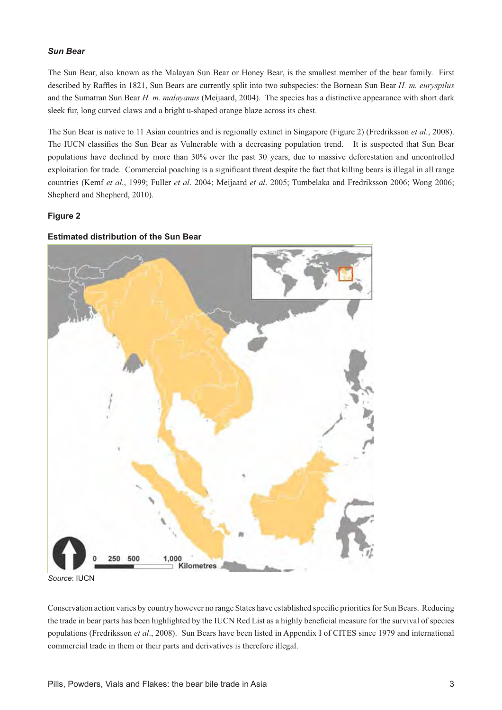#### *Sun Bear*

The Sun Bear, also known as the Malayan Sun Bear or Honey Bear, is the smallest member of the bear family. First described by Raffles in 1821, Sun Bears are currently split into two subspecies: the Bornean Sun Bear H. m. euryspilus and the Sumatran Sun Bear *H. m. malayanus* (Meijaard, 2004). The species has a distinctive appearance with short dark sleek fur, long curved claws and a bright u-shaped orange blaze across its chest.

The Sun Bear is native to 11 Asian countries and is regionally extinct in Singapore (Figure 2) (Fredriksson *et al.*, 2008). The IUCN classifies the Sun Bear as Vulnerable with a decreasing population trend. It is suspected that Sun Bear populations have declined by more than 30% over the past 30 years, due to massive deforestation and uncontrolled exploitation for trade. Commercial poaching is a significant threat despite the fact that killing bears is illegal in all range countries (Kemf *et al.*, 1999; Fuller *et al*. 2004; Meijaard *et al*. 2005; Tumbelaka and Fredriksson 2006; Wong 2006; Shepherd and Shepherd, 2010).

#### **Figure 2**

#### **Estimated distribution of the Sun Bear**



*Source*: IUCN

Conservation action varies by country however no range States have established specific priorities for Sun Bears. Reducing the trade in bear parts has been highlighted by the IUCN Red List as a highly beneficial measure for the survival of species populations (Fredriksson *et al*., 2008). Sun Bears have been listed in Appendix I of CITES since 1979 and international commercial trade in them or their parts and derivatives is therefore illegal.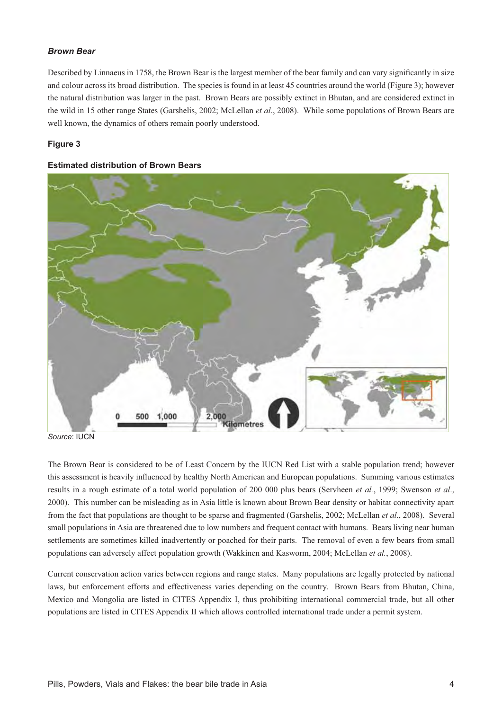#### *Brown Bear*

Described by Linnaeus in 1758, the Brown Bear is the largest member of the bear family and can vary significantly in size and colour across its broad distribution. The species is found in at least 45 countries around the world (Figure 3); however the natural distribution was larger in the past. Brown Bears are possibly extinct in Bhutan, and are considered extinct in the wild in 15 other range States (Garshelis, 2002; McLellan *et al*., 2008). While some populations of Brown Bears are well known, the dynamics of others remain poorly understood.

#### **Figure 3**

#### **Estimated distribution of Brown Bears**



*Source*: IUCN

The Brown Bear is considered to be of Least Concern by the IUCN Red List with a stable population trend; however this assessment is heavily influenced by healthy North American and European populations. Summing various estimates results in a rough estimate of a total world population of 200 000 plus bears (Servheen *et al.*, 1999; Swenson *et al*., 2000). This number can be misleading as in Asia little is known about Brown Bear density or habitat connectivity apart from the fact that populations are thought to be sparse and fragmented (Garshelis, 2002; McLellan *et al*., 2008). Several small populations in Asia are threatened due to low numbers and frequent contact with humans. Bears living near human settlements are sometimes killed inadvertently or poached for their parts. The removal of even a few bears from small populations can adversely affect population growth (Wakkinen and Kasworm, 2004; McLellan *et al.*, 2008).

Current conservation action varies between regions and range states. Many populations are legally protected by national laws, but enforcement efforts and effectiveness varies depending on the country. Brown Bears from Bhutan, China, Mexico and Mongolia are listed in CITES Appendix I, thus prohibiting international commercial trade, but all other populations are listed in CITES Appendix II which allows controlled international trade under a permit system.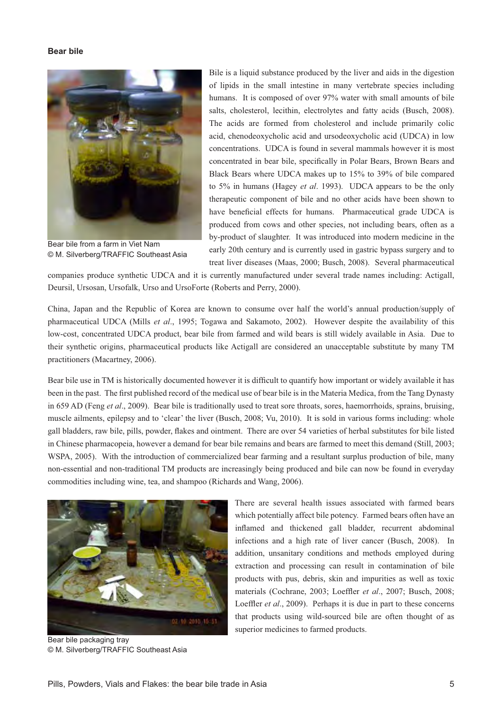#### **Bear bile**



Bear bile from a farm in Viet Nam © M. Silverberg/TRAFFIC Southeast Asia

Bile is a liquid substance produced by the liver and aids in the digestion of lipids in the small intestine in many vertebrate species including humans. It is composed of over 97% water with small amounts of bile salts, cholesterol, lecithin, electrolytes and fatty acids (Busch, 2008). The acids are formed from cholesterol and include primarily colic acid, chenodeoxycholic acid and ursodeoxycholic acid (UDCA) in low concentrations. UDCA is found in several mammals however it is most concentrated in bear bile, specifically in Polar Bears, Brown Bears and Black Bears where UDCA makes up to 15% to 39% of bile compared to 5% in humans (Hagey *et al*. 1993). UDCA appears to be the only therapeutic component of bile and no other acids have been shown to have beneficial effects for humans. Pharmaceutical grade UDCA is produced from cows and other species, not including bears, often as a by-product of slaughter. It was introduced into modern medicine in the early 20th century and is currently used in gastric bypass surgery and to treat liver diseases (Maas, 2000; Busch, 2008). Several pharmaceutical

companies produce synthetic UDCA and it is currently manufactured under several trade names including: Actigall, Deursil, Ursosan, Ursofalk, Urso and UrsoForte (Roberts and Perry, 2000).

China, Japan and the Republic of Korea are known to consume over half the world's annual production/supply of pharmaceutical UDCA (Mills *et al*., 1995; Togawa and Sakamoto, 2002). However despite the availability of this low-cost, concentrated UDCA product, bear bile from farmed and wild bears is still widely available in Asia. Due to their synthetic origins, pharmaceutical products like Actigall are considered an unacceptable substitute by many TM practitioners (Macartney, 2006).

Bear bile use in TM is historically documented however it is difficult to quantify how important or widely available it has been in the past. The first published record of the medical use of bear bile is in the Materia Medica, from the Tang Dynasty in 659 AD (Feng *et al*., 2009). Bear bile is traditionally used to treat sore throats, sores, haemorrhoids, sprains, bruising, muscle ailments, epilepsy and to 'clear' the liver (Busch, 2008; Vu, 2010). It is sold in various forms including: whole gall bladders, raw bile, pills, powder, flakes and ointment. There are over 54 varieties of herbal substitutes for bile listed in Chinese pharmacopeia, however a demand for bear bile remains and bears are farmed to meet this demand (Still, 2003; WSPA, 2005). With the introduction of commercialized bear farming and a resultant surplus production of bile, many non-essential and non-traditional TM products are increasingly being produced and bile can now be found in everyday commodities including wine, tea, and shampoo (Richards and Wang, 2006).



Bear bile packaging tray © M. Silverberg/TRAFFIC Southeast Asia

There are several health issues associated with farmed bears which potentially affect bile potency. Farmed bears often have an inflamed and thickened gall bladder, recurrent abdominal infections and a high rate of liver cancer (Busch, 2008). In addition, unsanitary conditions and methods employed during extraction and processing can result in contamination of bile products with pus, debris, skin and impurities as well as toxic materials (Cochrane, 2003; Loeffler et al., 2007; Busch, 2008; Loeffler et al., 2009). Perhaps it is due in part to these concerns that products using wild-sourced bile are often thought of as superior medicines to farmed products.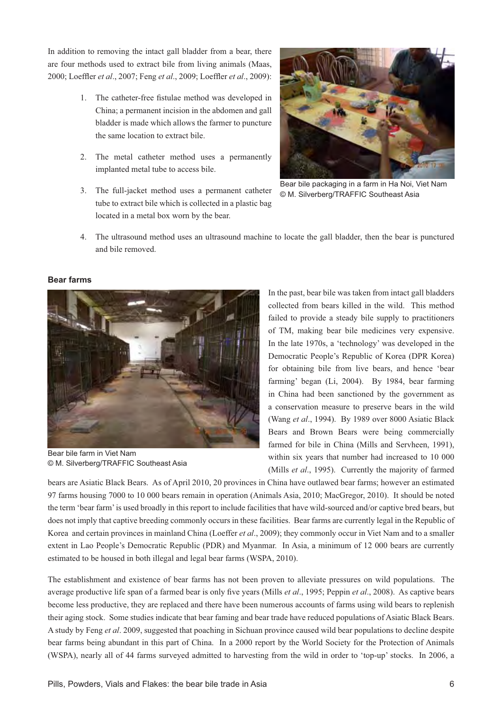In addition to removing the intact gall bladder from a bear, there are four methods used to extract bile from living animals (Maas, 2000; Loeffler *et al.*, 2007; Feng *et al.*, 2009; Loeffler *et al.*, 2009):

- 1. The catheter-free fistulae method was developed in China; a permanent incision in the abdomen and gall bladder is made which allows the farmer to puncture the same location to extract bile.
- 2. The metal catheter method uses a permanently implanted metal tube to access bile.
- 3. The full-jacket method uses a permanent catheter tube to extract bile which is collected in a plastic bag located in a metal box worn by the bear.



Bear bile packaging in a farm in Ha Noi, Viet Nam © M. Silverberg/TRAFFIC Southeast Asia

4. The ultrasound method uses an ultrasound machine to locate the gall bladder, then the bear is punctured and bile removed.



#### **Bear farms**

Bear bile farm in Viet Nam © M. Silverberg/TRAFFIC Southeast Asia

In the past, bear bile was taken from intact gall bladders collected from bears killed in the wild. This method failed to provide a steady bile supply to practitioners of TM, making bear bile medicines very expensive. In the late 1970s, a 'technology' was developed in the Democratic People's Republic of Korea (DPR Korea) for obtaining bile from live bears, and hence 'bear farming' began (Li, 2004). By 1984, bear farming in China had been sanctioned by the government as a conservation measure to preserve bears in the wild (Wang *et al*., 1994). By 1989 over 8000 Asiatic Black Bears and Brown Bears were being commercially farmed for bile in China (Mills and Servheen, 1991), within six years that number had increased to 10 000 (Mills *et al*., 1995). Currently the majority of farmed

bears are Asiatic Black Bears. As of April 2010, 20 provinces in China have outlawed bear farms; however an estimated 97 farms housing 7000 to 10 000 bears remain in operation (Animals Asia, 2010; MacGregor, 2010). It should be noted the term 'bear farm' is used broadly in this report to include facilities that have wild-sourced and/or captive bred bears, but does not imply that captive breeding commonly occurs in these facilities. Bear farms are currently legal in the Republic of Korea and certain provinces in mainland China (Loeffer *et al*., 2009); they commonly occur in Viet Nam and to a smaller extent in Lao People's Democratic Republic (PDR) and Myanmar. In Asia, a minimum of 12 000 bears are currently estimated to be housed in both illegal and legal bear farms (WSPA, 2010).

The establishment and existence of bear farms has not been proven to alleviate pressures on wild populations. The average productive life span of a farmed bear is only five years (Mills *et al.*, 1995; Peppin *et al.*, 2008). As captive bears become less productive, they are replaced and there have been numerous accounts of farms using wild bears to replenish their aging stock. Some studies indicate that bear faming and bear trade have reduced populations of Asiatic Black Bears. A study by Feng *et al*. 2009, suggested that poaching in Sichuan province caused wild bear populations to decline despite bear farms being abundant in this part of China. In a 2000 report by the World Society for the Protection of Animals (WSPA), nearly all of 44 farms surveyed admitted to harvesting from the wild in order to 'top-up' stocks. In 2006, a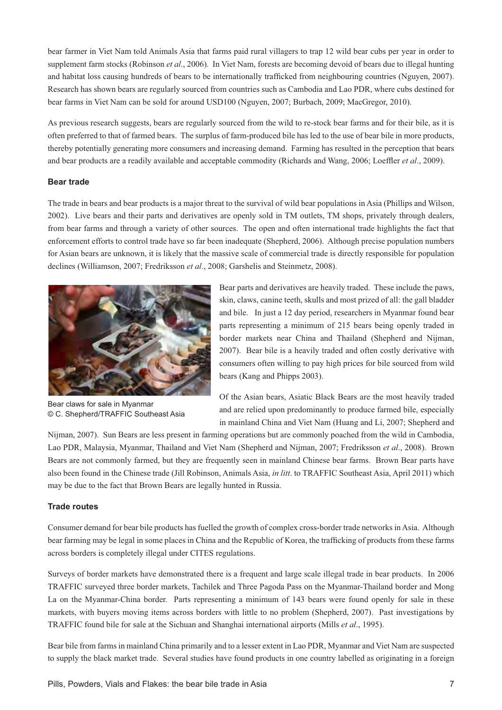bear farmer in Viet Nam told Animals Asia that farms paid rural villagers to trap 12 wild bear cubs per year in order to supplement farm stocks (Robinson *et al*., 2006). In Viet Nam, forests are becoming devoid of bears due to illegal hunting and habitat loss causing hundreds of bears to be internationally trafficked from neighbouring countries (Nguyen, 2007). Research has shown bears are regularly sourced from countries such as Cambodia and Lao PDR, where cubs destined for bear farms in Viet Nam can be sold for around USD100 (Nguyen, 2007; Burbach, 2009; MacGregor, 2010).

As previous research suggests, bears are regularly sourced from the wild to re-stock bear farms and for their bile, as it is often preferred to that of farmed bears. The surplus of farm-produced bile has led to the use of bear bile in more products, thereby potentially generating more consumers and increasing demand. Farming has resulted in the perception that bears and bear products are a readily available and acceptable commodity (Richards and Wang, 2006; Loeffler et al., 2009).

#### **Bear trade**

The trade in bears and bear products is a major threat to the survival of wild bear populations in Asia (Phillips and Wilson, 2002). Live bears and their parts and derivatives are openly sold in TM outlets, TM shops, privately through dealers, from bear farms and through a variety of other sources. The open and often international trade highlights the fact that enforcement efforts to control trade have so far been inadequate (Shepherd, 2006). Although precise population numbers for Asian bears are unknown, it is likely that the massive scale of commercial trade is directly responsible for population declines (Williamson, 2007; Fredriksson *et al*., 2008; Garshelis and Steinmetz, 2008).



Bear claws for sale in Myanmar © C. Shepherd/TRAFFIC Southeast Asia

Bear parts and derivatives are heavily traded. These include the paws, skin, claws, canine teeth, skulls and most prized of all: the gall bladder and bile. In just a 12 day period, researchers in Myanmar found bear parts representing a minimum of 215 bears being openly traded in border markets near China and Thailand (Shepherd and Nijman, 2007). Bear bile is a heavily traded and often costly derivative with consumers often willing to pay high prices for bile sourced from wild bears (Kang and Phipps 2003).

Of the Asian bears, Asiatic Black Bears are the most heavily traded and are relied upon predominantly to produce farmed bile, especially in mainland China and Viet Nam (Huang and Li, 2007; Shepherd and

Nijman, 2007). Sun Bears are less present in farming operations but are commonly poached from the wild in Cambodia, Lao PDR, Malaysia, Myanmar, Thailand and Viet Nam (Shepherd and Nijman, 2007; Fredriksson *et al*., 2008). Brown Bears are not commonly farmed, but they are frequently seen in mainland Chinese bear farms. Brown Bear parts have also been found in the Chinese trade (Jill Robinson, Animals Asia, *in litt*. to TRAFFIC Southeast Asia, April 2011) which may be due to the fact that Brown Bears are legally hunted in Russia.

#### **Trade routes**

Consumer demand for bear bile products has fuelled the growth of complex cross-border trade networks in Asia. Although bear farming may be legal in some places in China and the Republic of Korea, the trafficking of products from these farms across borders is completely illegal under CITES regulations.

Surveys of border markets have demonstrated there is a frequent and large scale illegal trade in bear products. In 2006 TRAFFIC surveyed three border markets, Tachilek and Three Pagoda Pass on the Myanmar-Thailand border and Mong La on the Myanmar-China border. Parts representing a minimum of 143 bears were found openly for sale in these markets, with buyers moving items across borders with little to no problem (Shepherd, 2007). Past investigations by TRAFFIC found bile for sale at the Sichuan and Shanghai international airports (Mills *et al*., 1995).

Bear bile from farms in mainland China primarily and to a lesser extent in Lao PDR, Myanmar and Viet Nam are suspected to supply the black market trade. Several studies have found products in one country labelled as originating in a foreign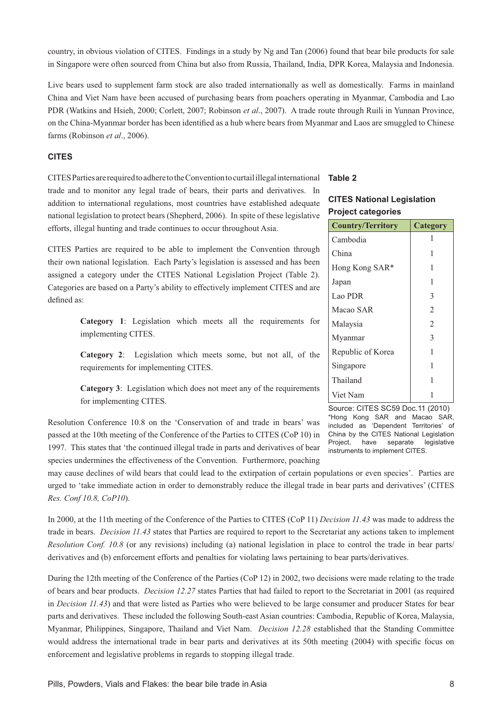country, in obvious violation of CITES. Findings in a study by Ng and Tan (2006) found that bear bile products for sale in Singapore were often sourced from China but also from Russia, Thailand, India, DPR Korea, Malaysia and Indonesia.

Live bears used to supplement farm stock are also traded internationally as well as domestically. Farms in mainland China and Viet Nam have been accused of purchasing bears from poachers operating in Myanmar, Cambodia and Lao PDR (Watkins and Hsieh, 2000; Corlett, 2007; Robinson *et al*., 2007). A trade route through Ruili in Yunnan Province, on the China-Myanmar border has been identified as a hub where bears from Myanmar and Laos are smuggled to Chinese farms (Robinson *et al*., 2006).

#### **CITES**

CITES Parties are required to adhere to the Convention to curtail illegal international trade and to monitor any legal trade of bears, their parts and derivatives. In addition to international regulations, most countries have established adequate national legislation to protect bears (Shepherd, 2006). In spite of these legislative efforts, illegal hunting and trade continues to occur throughout Asia.

CITES Parties are required to be able to implement the Convention through their own national legislation. Each Party's legislation is assessed and has been assigned a category under the CITES National Legislation Project (Table 2). Categories are based on a Party's ability to effectively implement CITES and are defined as:

> **Category 1**: Legislation which meets all the requirements for implementing CITES.

> **Category 2**: Legislation which meets some, but not all, of the requirements for implementing CITES.

> **Category 3**: Legislation which does not meet any of the requirements for implementing CITES.

Resolution Conference 10.8 on the 'Conservation of and trade in bears' was passed at the 10th meeting of the Conference of the Parties to CITES (CoP 10) in 1997. This states that 'the continued illegal trade in parts and derivatives of bear species undermines the effectiveness of the Convention. Furthermore, poaching

may cause declines of wild bears that could lead to the extirpation of certain populations or even species'. Parties are urged to 'take immediate action in order to demonstrably reduce the illegal trade in bear parts and derivatives' (CITES *Res. Conf 10.8, CoP10*).

In 2000, at the 11th meeting of the Conference of the Parties to CITES (CoP 11) *Decision 11.43* was made to address the trade in bears. *Decision 11.43* states that Parties are required to report to the Secretariat any actions taken to implement *Resolution Conf. 10.8* (or any revisions) including (a) national legislation in place to control the trade in bear parts/ derivatives and (b) enforcement efforts and penalties for violating laws pertaining to bear parts/derivatives.

During the 12th meeting of the Conference of the Parties (CoP 12) in 2002, two decisions were made relating to the trade of bears and bear products. *Decision 12.27* states Parties that had failed to report to the Secretariat in 2001 (as required in *Decision 11.43*) and that were listed as Parties who were believed to be large consumer and producer States for bear parts and derivatives. These included the following South-east Asian countries: Cambodia, Republic of Korea, Malaysia, Myanmar, Philippines, Singapore, Thailand and Viet Nam. *Decision 12.28* established that the Standing Committee would address the international trade in bear parts and derivatives at its 50th meeting (2004) with specific focus on enforcement and legislative problems in regards to stopping illegal trade.

#### **Table 2**

# **CITES National Legislation Project categories**

| <b>Country/Territory</b> | Category       |
|--------------------------|----------------|
| Cambodia                 |                |
| China                    | 1              |
| Hong Kong SAR*           | 1              |
| Japan                    | 1              |
| Lao PDR                  | 3              |
| Macao SAR                | 2              |
| Malaysia                 | $\mathfrak{D}$ |
| Myanmar                  | 3              |
| Republic of Korea        | 1              |
| Singapore                | 1              |
| Thailand                 | 1              |
| Viet Nam                 |                |

Source: CITES SC59 Doc.11 (2010) \*Hong Kong SAR and Macao SAR, included as 'Dependent Territories' of China by the CITES National Legislation Project, have separate legislative instruments to implement CITES.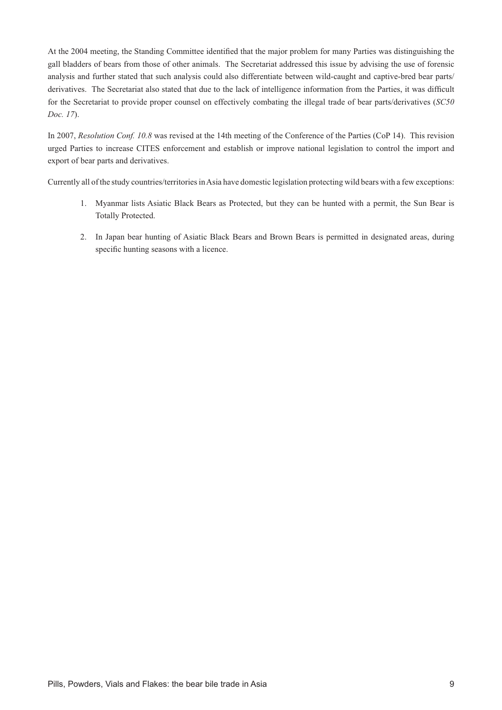At the 2004 meeting, the Standing Committee identified that the major problem for many Parties was distinguishing the gall bladders of bears from those of other animals. The Secretariat addressed this issue by advising the use of forensic analysis and further stated that such analysis could also differentiate between wild-caught and captive-bred bear parts/ derivatives. The Secretariat also stated that due to the lack of intelligence information from the Parties, it was difficult for the Secretariat to provide proper counsel on effectively combating the illegal trade of bear parts/derivatives (*SC50 Doc. 17*).

In 2007, *Resolution Conf. 10.8* was revised at the 14th meeting of the Conference of the Parties (CoP 14). This revision urged Parties to increase CITES enforcement and establish or improve national legislation to control the import and export of bear parts and derivatives.

Currently all of the study countries/territories in Asia have domestic legislation protecting wild bears with a few exceptions:

- 1. Myanmar lists Asiatic Black Bears as Protected, but they can be hunted with a permit, the Sun Bear is Totally Protected.
- 2. In Japan bear hunting of Asiatic Black Bears and Brown Bears is permitted in designated areas, during specific hunting seasons with a licence.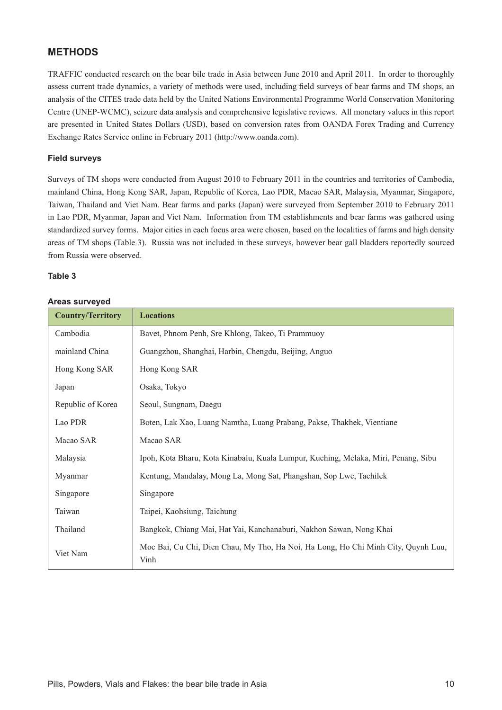# **METHODS**

TRAFFIC conducted research on the bear bile trade in Asia between June 2010 and April 2011. In order to thoroughly assess current trade dynamics, a variety of methods were used, including field surveys of bear farms and TM shops, an analysis of the CITES trade data held by the United Nations Environmental Programme World Conservation Monitoring Centre (UNEP-WCMC), seizure data analysis and comprehensive legislative reviews. All monetary values in this report are presented in United States Dollars (USD), based on conversion rates from OANDA Forex Trading and Currency Exchange Rates Service online in February 2011 (http://www.oanda.com).

#### **Field surveys**

Surveys of TM shops were conducted from August 2010 to February 2011 in the countries and territories of Cambodia, mainland China, Hong Kong SAR, Japan, Republic of Korea, Lao PDR, Macao SAR, Malaysia, Myanmar, Singapore, Taiwan, Thailand and Viet Nam. Bear farms and parks (Japan) were surveyed from September 2010 to February 2011 in Lao PDR, Myanmar, Japan and Viet Nam. Information from TM establishments and bear farms was gathered using standardized survey forms. Major cities in each focus area were chosen, based on the localities of farms and high density areas of TM shops (Table 3). Russia was not included in these surveys, however bear gall bladders reportedly sourced from Russia were observed.

#### **Table 3**

| <b>Country/Territory</b> | <b>Locations</b>                                                                          |
|--------------------------|-------------------------------------------------------------------------------------------|
| Cambodia                 | Bavet, Phnom Penh, Sre Khlong, Takeo, Ti Prammuoy                                         |
| mainland China           | Guangzhou, Shanghai, Harbin, Chengdu, Beijing, Anguo                                      |
| Hong Kong SAR            | Hong Kong SAR                                                                             |
| Japan                    | Osaka, Tokyo                                                                              |
| Republic of Korea        | Seoul, Sungnam, Daegu                                                                     |
| Lao PDR                  | Boten, Lak Xao, Luang Namtha, Luang Prabang, Pakse, Thakhek, Vientiane                    |
| Macao SAR                | Macao SAR                                                                                 |
| Malaysia                 | Ipoh, Kota Bharu, Kota Kinabalu, Kuala Lumpur, Kuching, Melaka, Miri, Penang, Sibu        |
| Myanmar                  | Kentung, Mandalay, Mong La, Mong Sat, Phangshan, Sop Lwe, Tachilek                        |
| Singapore                | Singapore                                                                                 |
| Taiwan                   | Taipei, Kaohsiung, Taichung                                                               |
| Thailand                 | Bangkok, Chiang Mai, Hat Yai, Kanchanaburi, Nakhon Sawan, Nong Khai                       |
| Viet Nam                 | Moc Bai, Cu Chi, Dien Chau, My Tho, Ha Noi, Ha Long, Ho Chi Minh City, Quynh Luu,<br>Vinh |

#### **Areas surveyed**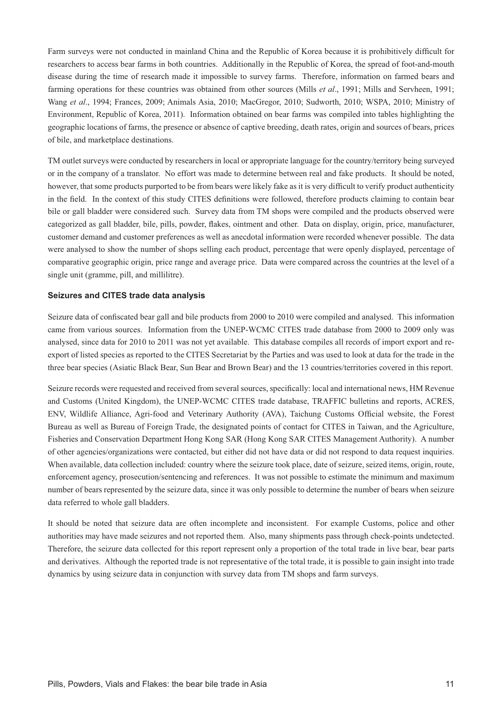Farm surveys were not conducted in mainland China and the Republic of Korea because it is prohibitively difficult for researchers to access bear farms in both countries. Additionally in the Republic of Korea, the spread of foot-and-mouth disease during the time of research made it impossible to survey farms. Therefore, information on farmed bears and farming operations for these countries was obtained from other sources (Mills *et al*., 1991; Mills and Servheen, 1991; Wang *et al*., 1994; Frances, 2009; Animals Asia, 2010; MacGregor, 2010; Sudworth, 2010; WSPA, 2010; Ministry of Environment, Republic of Korea, 2011). Information obtained on bear farms was compiled into tables highlighting the geographic locations of farms, the presence or absence of captive breeding, death rates, origin and sources of bears, prices of bile, and marketplace destinations.

TM outlet surveys were conducted by researchers in local or appropriate language for the country/territory being surveyed or in the company of a translator. No effort was made to determine between real and fake products. It should be noted, however, that some products purported to be from bears were likely fake as it is very difficult to verify product authenticity in the field. In the context of this study CITES definitions were followed, therefore products claiming to contain bear bile or gall bladder were considered such. Survey data from TM shops were compiled and the products observed were categorized as gall bladder, bile, pills, powder, flakes, ointment and other. Data on display, origin, price, manufacturer, customer demand and customer preferences as well as anecdotal information were recorded whenever possible. The data were analysed to show the number of shops selling each product, percentage that were openly displayed, percentage of comparative geographic origin, price range and average price. Data were compared across the countries at the level of a single unit (gramme, pill, and millilitre).

#### **Seizures and CITES trade data analysis**

Seizure data of confiscated bear gall and bile products from 2000 to 2010 were compiled and analysed. This information came from various sources. Information from the UNEP-WCMC CITES trade database from 2000 to 2009 only was analysed, since data for 2010 to 2011 was not yet available. This database compiles all records of import export and reexport of listed species as reported to the CITES Secretariat by the Parties and was used to look at data for the trade in the three bear species (Asiatic Black Bear, Sun Bear and Brown Bear) and the 13 countries/territories covered in this report.

Seizure records were requested and received from several sources, specifically: local and international news, HM Revenue and Customs (United Kingdom), the UNEP-WCMC CITES trade database, TRAFFIC bulletins and reports, ACRES, ENV, Wildlife Alliance, Agri-food and Veterinary Authority (AVA), Taichung Customs Official website, the Forest Bureau as well as Bureau of Foreign Trade, the designated points of contact for CITES in Taiwan, and the Agriculture, Fisheries and Conservation Department Hong Kong SAR (Hong Kong SAR CITES Management Authority). A number of other agencies/organizations were contacted, but either did not have data or did not respond to data request inquiries. When available, data collection included: country where the seizure took place, date of seizure, seized items, origin, route, enforcement agency, prosecution/sentencing and references. It was not possible to estimate the minimum and maximum number of bears represented by the seizure data, since it was only possible to determine the number of bears when seizure data referred to whole gall bladders.

It should be noted that seizure data are often incomplete and inconsistent. For example Customs, police and other authorities may have made seizures and not reported them. Also, many shipments pass through check-points undetected. Therefore, the seizure data collected for this report represent only a proportion of the total trade in live bear, bear parts and derivatives. Although the reported trade is not representative of the total trade, it is possible to gain insight into trade dynamics by using seizure data in conjunction with survey data from TM shops and farm surveys.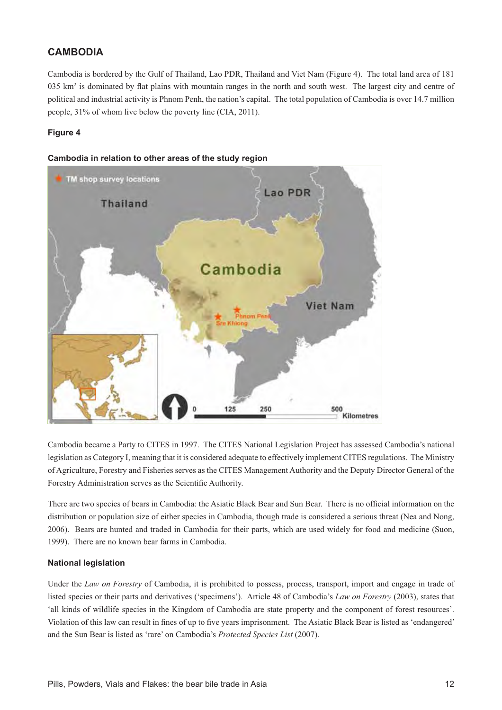# **CAMBODIA**

Cambodia is bordered by the Gulf of Thailand, Lao PDR, Thailand and Viet Nam (Figure 4). The total land area of 181  $035$  km<sup>2</sup> is dominated by flat plains with mountain ranges in the north and south west. The largest city and centre of political and industrial activity is Phnom Penh, the nation's capital. The total population of Cambodia is over 14.7 million people, 31% of whom live below the poverty line (CIA, 2011).

#### **Figure 4**



#### Cambodia in relation to other areas of the study region

Cambodia became a Party to CITES in 1997. The CITES National Legislation Project has assessed Cambodia's national legislation as Category I, meaning that it is considered adequate to effectively implement CITES regulations. The Ministry of Agriculture, Forestry and Fisheries serves as the CITES Management Authority and the Deputy Director General of the Forestry Administration serves as the Scientific Authority.

There are two species of bears in Cambodia: the Asiatic Black Bear and Sun Bear. There is no official information on the distribution or population size of either species in Cambodia, though trade is considered a serious threat (Nea and Nong, 2006). Bears are hunted and traded in Cambodia for their parts, which are used widely for food and medicine (Suon, 1999). There are no known bear farms in Cambodia.

#### **National legislation**

Under the *Law on Forestry* of Cambodia, it is prohibited to possess, process, transport, import and engage in trade of listed species or their parts and derivatives ('specimens'). Article 48 of Cambodia's *Law on Forestry* (2003), states that 'all kinds of wildlife species in the Kingdom of Cambodia are state property and the component of forest resources'. Violation of this law can result in fines of up to five years imprisonment. The Asiatic Black Bear is listed as 'endangered' and the Sun Bear is listed as 'rare' on Cambodia's *Protected Species List* (2007).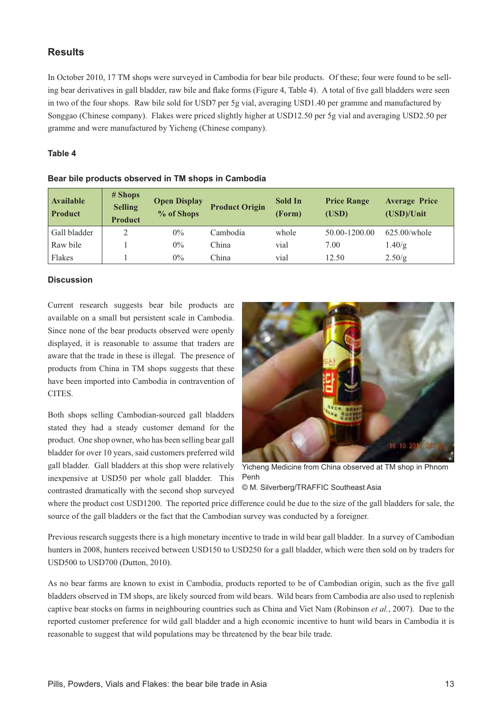# **Results**

In October 2010, 17 TM shops were surveyed in Cambodia for bear bile products. Of these; four were found to be selling bear derivatives in gall bladder, raw bile and flake forms (Figure 4, Table 4). A total of five gall bladders were seen in two of the four shops. Raw bile sold for USD7 per 5g vial, averaging USD1.40 per gramme and manufactured by Songgao (Chinese company). Flakes were priced slightly higher at USD12.50 per 5g vial and averaging USD2.50 per gramme and were manufactured by Yicheng (Chinese company).

#### **Table 4**

| <b>Available</b><br><b>Product</b> | # Shops<br><b>Selling</b><br><b>Product</b> | <b>Open Display</b><br>% of Shops | <b>Product Origin</b> | Sold In<br>(Form) | <b>Price Range</b><br>(USD) | <b>Average Price</b><br>(USD)/Unit |
|------------------------------------|---------------------------------------------|-----------------------------------|-----------------------|-------------------|-----------------------------|------------------------------------|
| Gall bladder                       | 2                                           | $0\%$                             | Cambodia              | whole             | 50.00-1200.00               | $625.00$ /whole                    |
| Raw bile                           |                                             | $0\%$                             | China                 | vial              | 7.00                        | 1.40/g                             |
| Flakes                             |                                             | $0\%$                             | China                 | vial              | 12.50                       | 2.50/g                             |

#### **Discussion**

Current research suggests bear bile products are available on a small but persistent scale in Cambodia. Since none of the bear products observed were openly displayed, it is reasonable to assume that traders are aware that the trade in these is illegal. The presence of products from China in TM shops suggests that these have been imported into Cambodia in contravention of CITES.

Both shops selling Cambodian-sourced gall bladders stated they had a steady customer demand for the product. One shop owner, who has been selling bear gall bladder for over 10 years, said customers preferred wild gall bladder. Gall bladders at this shop were relatively inexpensive at USD50 per whole gall bladder. This contrasted dramatically with the second shop surveyed



Yicheng Medicine from China observed at TM shop in Phnom Penh

© M. Silverberg/TRAFFIC Southeast Asia

where the product cost USD1200. The reported price difference could be due to the size of the gall bladders for sale, the source of the gall bladders or the fact that the Cambodian survey was conducted by a foreigner.

Previous research suggests there is a high monetary incentive to trade in wild bear gall bladder. In a survey of Cambodian hunters in 2008, hunters received between USD150 to USD250 for a gall bladder, which were then sold on by traders for USD500 to USD700 (Dutton, 2010).

As no bear farms are known to exist in Cambodia, products reported to be of Cambodian origin, such as the five gall bladders observed in TM shops, are likely sourced from wild bears. Wild bears from Cambodia are also used to replenish captive bear stocks on farms in neighbouring countries such as China and Viet Nam (Robinson *et al.*, 2007). Due to the reported customer preference for wild gall bladder and a high economic incentive to hunt wild bears in Cambodia it is reasonable to suggest that wild populations may be threatened by the bear bile trade.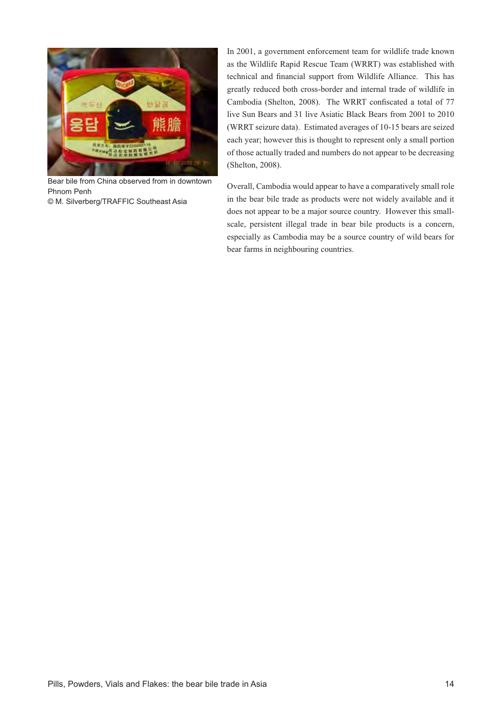

Bear bile from China observed from in downtown Phnom Penh © M. Silverberg/TRAFFIC Southeast Asia

In 2001, a government enforcement team for wildlife trade known as the Wildlife Rapid Rescue Team (WRRT) was established with technical and financial support from Wildlife Alliance. This has greatly reduced both cross-border and internal trade of wildlife in Cambodia (Shelton, 2008). The WRRT confiscated a total of 77 live Sun Bears and 31 live Asiatic Black Bears from 2001 to 2010 (WRRT seizure data). Estimated averages of 10-15 bears are seized each year; however this is thought to represent only a small portion of those actually traded and numbers do not appear to be decreasing (Shelton, 2008).

Overall, Cambodia would appear to have a comparatively small role in the bear bile trade as products were not widely available and it does not appear to be a major source country. However this smallscale, persistent illegal trade in bear bile products is a concern, especially as Cambodia may be a source country of wild bears for bear farms in neighbouring countries.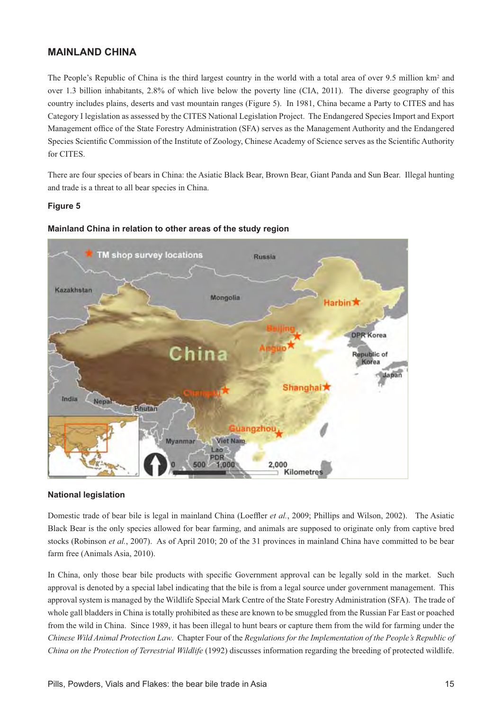# **MAINLAND CHINA**

The People's Republic of China is the third largest country in the world with a total area of over 9.5 million km<sup>2</sup> and over 1.3 billion inhabitants, 2.8% of which live below the poverty line (CIA, 2011). The diverse geography of this country includes plains, deserts and vast mountain ranges (Figure 5). In 1981, China became a Party to CITES and has Category I legislation as assessed by the CITES National Legislation Project. The Endangered Species Import and Export Management office of the State Forestry Administration (SFA) serves as the Management Authority and the Endangered Species Scientific Commission of the Institute of Zoology, Chinese Academy of Science serves as the Scientific Authority for CITES.

There are four species of bears in China: the Asiatic Black Bear, Brown Bear, Giant Panda and Sun Bear. Illegal hunting and trade is a threat to all bear species in China.

#### **Figure 5**



#### **Mainland China in relation to other areas of the study region**

#### **National legislation**

Domestic trade of bear bile is legal in mainland China (Loeffler *et al.*, 2009; Phillips and Wilson, 2002). The Asiatic Black Bear is the only species allowed for bear farming, and animals are supposed to originate only from captive bred stocks (Robinson *et al.*, 2007). As of April 2010; 20 of the 31 provinces in mainland China have committed to be bear farm free (Animals Asia, 2010).

In China, only those bear bile products with specific Government approval can be legally sold in the market. Such approval is denoted by a special label indicating that the bile is from a legal source under government management. This approval system is managed by the Wildlife Special Mark Centre of the State Forestry Administration (SFA). The trade of whole gall bladders in China is totally prohibited as these are known to be smuggled from the Russian Far East or poached from the wild in China. Since 1989, it has been illegal to hunt bears or capture them from the wild for farming under the *Chinese Wild Animal Protection Law*. Chapter Four of the *Regulations for the Implementation of the People's Republic of China on the Protection of Terrestrial Wildlife* (1992) discusses information regarding the breeding of protected wildlife.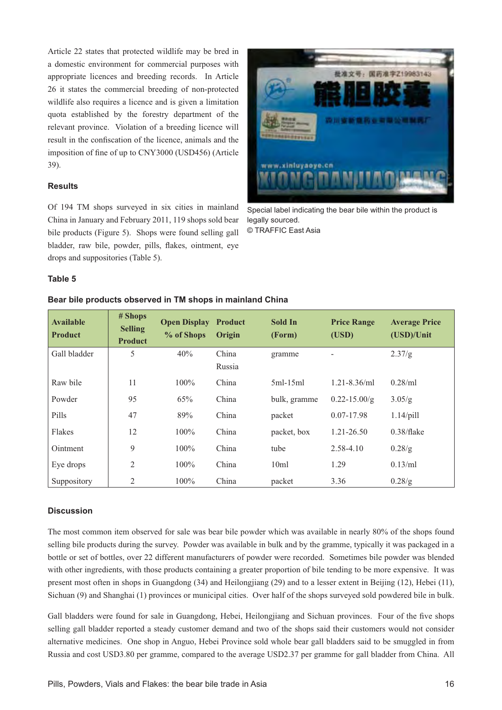Article 22 states that protected wildlife may be bred in a domestic environment for commercial purposes with appropriate licences and breeding records. In Article 26 it states the commercial breeding of non-protected wildlife also requires a licence and is given a limitation quota established by the forestry department of the relevant province. Violation of a breeding licence will result in the confiscation of the licence, animals and the imposition of fine of up to CNY3000 (USD456) (Article 39).

#### **Results**

Of 194 TM shops surveyed in six cities in mainland China in January and February 2011, 119 shops sold bear bile products (Figure 5). Shops were found selling gall bladder, raw bile, powder, pills, flakes, ointment, eve drops and suppositories (Table 5).



Special label indicating the bear bile within the product is legally sourced. © TRAFFIC East Asia

#### **Table 5**

| <b>Available</b><br><b>Product</b> | # Shops<br><b>Selling</b><br><b>Product</b> | <b>Open Display</b><br>% of Shops | <b>Product</b><br>Origin | Sold In<br>(Form) | <b>Price Range</b><br>(USD) | <b>Average Price</b><br>(USD)/Unit |
|------------------------------------|---------------------------------------------|-----------------------------------|--------------------------|-------------------|-----------------------------|------------------------------------|
| Gall bladder                       | 5                                           | 40%                               | China                    | gramme            |                             | 2.37/g                             |
|                                    |                                             |                                   | Russia                   |                   |                             |                                    |
| Raw bile                           | 11                                          | $100\%$                           | China                    | $5ml-15ml$        | $1.21 - 8.36$ /ml           | 0.28/ml                            |
| Powder                             | 95                                          | 65%                               | China                    | bulk, gramme      | $0.22 - 15.00/g$            | 3.05/g                             |
| Pills                              | 47                                          | 89%                               | China                    | packet            | $0.07 - 17.98$              | $1.14$ /pill                       |
| Flakes                             | 12                                          | $100\%$                           | China                    | packet, box       | $1.21 - 26.50$              | 0.38/flake                         |
| Ointment                           | 9                                           | $100\%$                           | China                    | tube              | 2.58-4.10                   | 0.28/g                             |
| Eye drops                          | 2                                           | $100\%$                           | China                    | 10ml              | 1.29                        | $0.13$ /ml                         |
| Suppository                        | $\overline{2}$                              | $100\%$                           | China                    | packet            | 3.36                        | 0.28/g                             |

#### Bear bile products observed in TM shops in mainland China

#### **Discussion**

The most common item observed for sale was bear bile powder which was available in nearly 80% of the shops found selling bile products during the survey. Powder was available in bulk and by the gramme, typically it was packaged in a bottle or set of bottles, over 22 different manufacturers of powder were recorded. Sometimes bile powder was blended with other ingredients, with those products containing a greater proportion of bile tending to be more expensive. It was present most often in shops in Guangdong (34) and Heilongjiang (29) and to a lesser extent in Beijing (12), Hebei (11), Sichuan (9) and Shanghai (1) provinces or municipal cities. Over half of the shops surveyed sold powdered bile in bulk.

Gall bladders were found for sale in Guangdong, Hebei, Heilongjiang and Sichuan provinces. Four of the five shops selling gall bladder reported a steady customer demand and two of the shops said their customers would not consider alternative medicines. One shop in Anguo, Hebei Province sold whole bear gall bladders said to be smuggled in from Russia and cost USD3.80 per gramme, compared to the average USD2.37 per gramme for gall bladder from China. All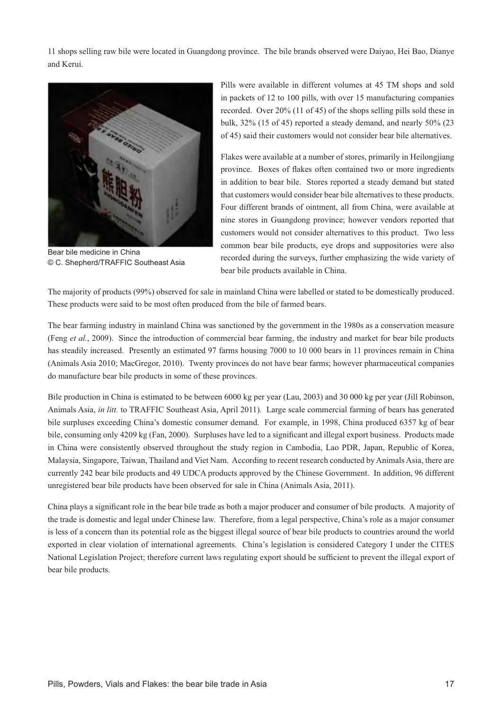11 shops selling raw bile were located in Guangdong province. The bile brands observed were Daiyao, Hei Bao, Dianye and Kerui.



Bear bile medicine in China © C. Shepherd/TRAFFIC Southeast Asia

Pills were available in different volumes at 45 TM shops and sold in packets of 12 to 100 pills, with over 15 manufacturing companies recorded. Over 20% (11 of 45) of the shops selling pills sold these in bulk, 32% (15 of 45) reported a steady demand, and nearly 50% (23 of 45) said their customers would not consider bear bile alternatives.

Flakes were available at a number of stores, primarily in Heilongjiang province. Boxes of flakes often contained two or more ingredients in addition to bear bile. Stores reported a steady demand but stated that customers would consider bear bile alternatives to these products. Four different brands of ointment, all from China, were available at nine stores in Guangdong province; however vendors reported that customers would not consider alternatives to this product. Two less common bear bile products, eye drops and suppositories were also recorded during the surveys, further emphasizing the wide variety of bear bile products available in China.

The majority of products (99%) observed for sale in mainland China were labelled or stated to be domestically produced. These products were said to be most often produced from the bile of farmed bears.

The bear farming industry in mainland China was sanctioned by the government in the 1980s as a conservation measure (Feng *et al.*, 2009). Since the introduction of commercial bear farming, the industry and market for bear bile products has steadily increased. Presently an estimated 97 farms housing 7000 to 10 000 bears in 11 provinces remain in China (Animals Asia 2010; MacGregor, 2010). Twenty provinces do not have bear farms; however pharmaceutical companies do manufacture bear bile products in some of these provinces.

Bile production in China is estimated to be between 6000 kg per year (Lau, 2003) and 30 000 kg per year (Jill Robinson, Animals Asia, *in litt.* to TRAFFIC Southeast Asia, April 2011). Large scale commercial farming of bears has generated bile surpluses exceeding China's domestic consumer demand. For example, in 1998, China produced 6357 kg of bear bile, consuming only 4209 kg (Fan, 2000). Surpluses have led to a significant and illegal export business. Products made in China were consistently observed throughout the study region in Cambodia, Lao PDR, Japan, Republic of Korea, Malaysia, Singapore, Taiwan, Thailand and Viet Nam. According to recent research conducted by Animals Asia, there are currently 242 bear bile products and 49 UDCA products approved by the Chinese Government. In addition, 96 different unregistered bear bile products have been observed for sale in China (Animals Asia, 2011).

China plays a significant role in the bear bile trade as both a major producer and consumer of bile products. A majority of the trade is domestic and legal under Chinese law. Therefore, from a legal perspective, China's role as a major consumer is less of a concern than its potential role as the biggest illegal source of bear bile products to countries around the world exported in clear violation of international agreements. China's legislation is considered Category I under the CITES National Legislation Project; therefore current laws regulating export should be sufficient to prevent the illegal export of bear bile products.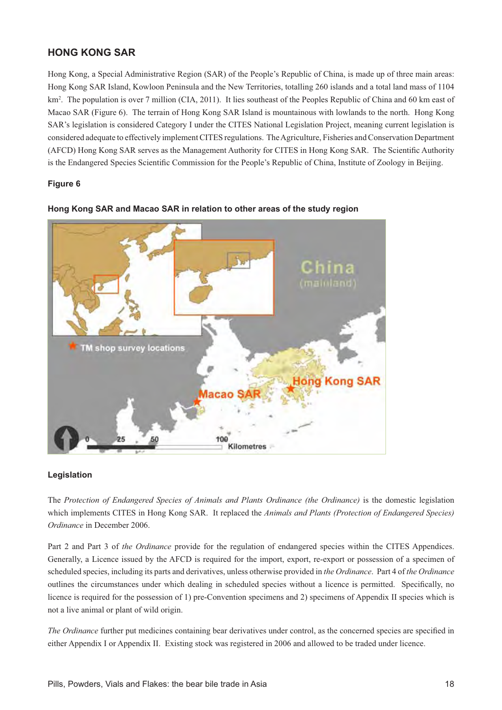# **HONG KONG SAR**

Hong Kong, a Special Administrative Region (SAR) of the People's Republic of China, is made up of three main areas: Hong Kong SAR Island, Kowloon Peninsula and the New Territories, totalling 260 islands and a total land mass of 1104 km<sup>2</sup>. The population is over 7 million (CIA, 2011). It lies southeast of the Peoples Republic of China and 60 km east of Macao SAR (Figure 6). The terrain of Hong Kong SAR Island is mountainous with lowlands to the north. Hong Kong SAR's legislation is considered Category I under the CITES National Legislation Project, meaning current legislation is considered adequate to effectively implement CITES regulations. The Agriculture, Fisheries and Conservation Department (AFCD) Hong Kong SAR serves as the Management Authority for CITES in Hong Kong SAR. The Scientific Authority is the Endangered Species Scientific Commission for the People's Republic of China, Institute of Zoology in Beijing.

# **Figure 6**



#### **Hong Kong SAR and Macao SAR in relation to other areas of the study region**

#### **Legislation**

The *Protection of Endangered Species of Animals and Plants Ordinance (the Ordinance)* is the domestic legislation which implements CITES in Hong Kong SAR. It replaced the *Animals and Plants (Protection of Endangered Species) Ordinance* in December 2006.

Part 2 and Part 3 of *the Ordinance* provide for the regulation of endangered species within the CITES Appendices. Generally, a Licence issued by the AFCD is required for the import, export, re-export or possession of a specimen of scheduled species, including its parts and derivatives, unless otherwise provided in *the Ordinance*. Part 4 of *the Ordinance* outlines the circumstances under which dealing in scheduled species without a licence is permitted. Specifically, no licence is required for the possession of 1) pre-Convention specimens and 2) specimens of Appendix II species which is not a live animal or plant of wild origin.

*The Ordinance* further put medicines containing bear derivatives under control, as the concerned species are specified in either Appendix I or Appendix II. Existing stock was registered in 2006 and allowed to be traded under licence.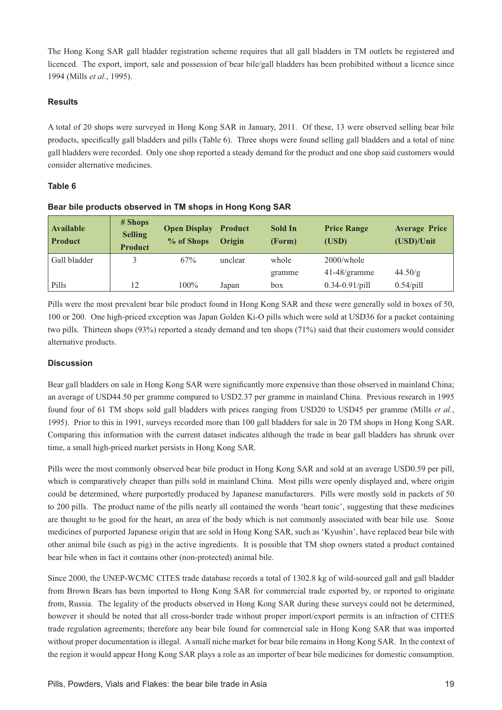The Hong Kong SAR gall bladder registration scheme requires that all gall bladders in TM outlets be registered and licenced. The export, import, sale and possession of bear bile/gall bladders has been prohibited without a licence since 1994 (Mills *et al.*, 1995).

#### **Results**

A total of 20 shops were surveyed in Hong Kong SAR in January, 2011. Of these, 13 were observed selling bear bile products, specifically gall bladders and pills (Table 6). Three shops were found selling gall bladders and a total of nine gall bladders were recorded. Only one shop reported a steady demand for the product and one shop said customers would consider alternative medicines.

# **Table 6**

| <b>Available</b><br><b>Product</b> | # Shops<br><b>Selling</b><br><b>Product</b> | <b>Open Display</b><br>% of Shops | <b>Product</b><br>Origin | Sold In<br>(Form) | <b>Price Range</b><br>(USD) | <b>Average Price</b><br>(USD)/Unit |
|------------------------------------|---------------------------------------------|-----------------------------------|--------------------------|-------------------|-----------------------------|------------------------------------|
| Gall bladder                       |                                             | 67%                               | unclear                  | whole             | $2000$ /whole               |                                    |
|                                    |                                             |                                   |                          | gramme            | $41-48$ /gramme             | 44.50/g                            |
| Pills                              | 12                                          | $100\%$                           | Japan                    | box               | $0.34 - 0.91$ /pill         | $0.54$ /pill                       |

#### **Bear bile products observed in TM shops in Hong Kong SAR**

Pills were the most prevalent bear bile product found in Hong Kong SAR and these were generally sold in boxes of 50, 100 or 200. One high-priced exception was Japan Golden Ki-O pills which were sold at USD36 for a packet containing two pills. Thirteen shops (93%) reported a steady demand and ten shops (71%) said that their customers would consider alternative products.

# **Discussion**

Bear gall bladders on sale in Hong Kong SAR were significantly more expensive than those observed in mainland China: an average of USD44.50 per gramme compared to USD2.37 per gramme in mainland China. Previous research in 1995 found four of 61 TM shops sold gall bladders with prices ranging from USD20 to USD45 per gramme (Mills *et al.*, 1995). Prior to this in 1991, surveys recorded more than 100 gall bladders for sale in 20 TM shops in Hong Kong SAR. Comparing this information with the current dataset indicates although the trade in bear gall bladders has shrunk over time, a small high-priced market persists in Hong Kong SAR.

Pills were the most commonly observed bear bile product in Hong Kong SAR and sold at an average USD0.59 per pill, which is comparatively cheaper than pills sold in mainland China. Most pills were openly displayed and, where origin could be determined, where purportedly produced by Japanese manufacturers. Pills were mostly sold in packets of 50 to 200 pills. The product name of the pills nearly all contained the words 'heart tonic', suggesting that these medicines are thought to be good for the heart, an area of the body which is not commonly associated with bear bile use. Some medicines of purported Japanese origin that are sold in Hong Kong SAR, such as 'Kyushin', have replaced bear bile with other animal bile (such as pig) in the active ingredients. It is possible that TM shop owners stated a product contained bear bile when in fact it contains other (non-protected) animal bile.

Since 2000, the UNEP-WCMC CITES trade database records a total of 1302.8 kg of wild-sourced gall and gall bladder from Brown Bears has been imported to Hong Kong SAR for commercial trade exported by, or reported to originate from, Russia. The legality of the products observed in Hong Kong SAR during these surveys could not be determined, however it should be noted that all cross-border trade without proper import/export permits is an infraction of CITES trade regulation agreements; therefore any bear bile found for commercial sale in Hong Kong SAR that was imported without proper documentation is illegal. A small niche market for bear bile remains in Hong Kong SAR. In the context of the region it would appear Hong Kong SAR plays a role as an importer of bear bile medicines for domestic consumption.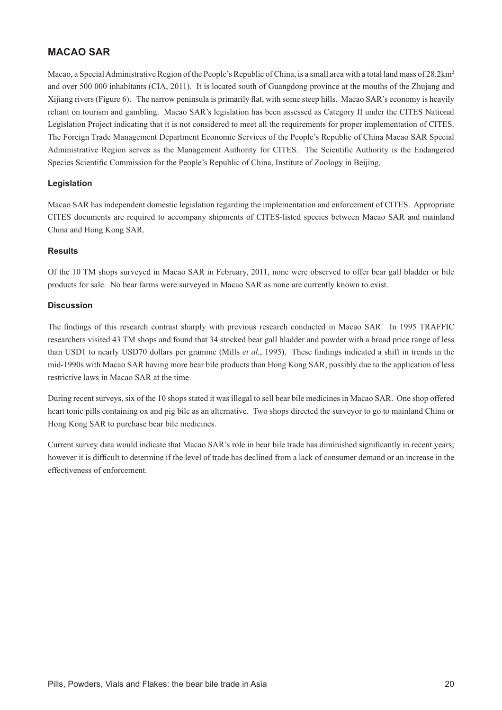# **MACAO SAR**

Macao, a Special Administrative Region of the People's Republic of China, is a small area with a total land mass of 28.2km<sup>2</sup> and over 500 000 inhabitants (CIA, 2011). It is located south of Guangdong province at the mouths of the Zhujang and Xijiang rivers (Figure 6). The narrow peninsula is primarily flat, with some steep hills. Macao SAR's economy is heavily reliant on tourism and gambling. Macao SAR's legislation has been assessed as Category II under the CITES National Legislation Project indicating that it is not considered to meet all the requirements for proper implementation of CITES. The Foreign Trade Management Department Economic Services of the People's Republic of China Macao SAR Special Administrative Region serves as the Management Authority for CITES. The Scientific Authority is the Endangered Species Scientific Commission for the People's Republic of China, Institute of Zoology in Beijing.

#### **Legislation**

Macao SAR has independent domestic legislation regarding the implementation and enforcement of CITES. Appropriate CITES documents are required to accompany shipments of CITES-listed species between Macao SAR and mainland China and Hong Kong SAR.

#### **Results**

Of the 10 TM shops surveyed in Macao SAR in February, 2011, none were observed to offer bear gall bladder or bile products for sale. No bear farms were surveyed in Macao SAR as none are currently known to exist.

#### **Discussion**

The findings of this research contrast sharply with previous research conducted in Macao SAR. In 1995 TRAFFIC researchers visited 43 TM shops and found that 34 stocked bear gall bladder and powder with a broad price range of less than USD1 to nearly USD70 dollars per gramme (Mills *et al.*, 1995). These findings indicated a shift in trends in the mid-1990s with Macao SAR having more bear bile products than Hong Kong SAR, possibly due to the application of less restrictive laws in Macao SAR at the time.

During recent surveys, six of the 10 shops stated it was illegal to sell bear bile medicines in Macao SAR. One shop offered heart tonic pills containing ox and pig bile as an alternative. Two shops directed the surveyor to go to mainland China or Hong Kong SAR to purchase bear bile medicines.

Current survey data would indicate that Macao SAR's role in bear bile trade has diminished significantly in recent years; however it is difficult to determine if the level of trade has declined from a lack of consumer demand or an increase in the effectiveness of enforcement.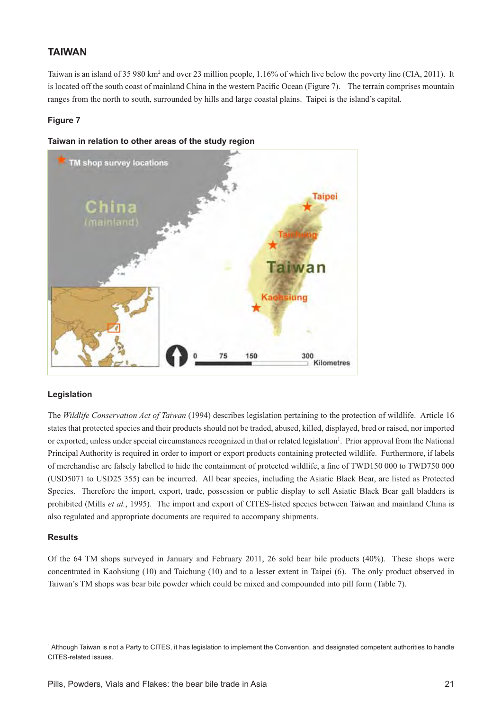# **TAIWAN**

Taiwan is an island of 35 980 km<sup>2</sup> and over 23 million people, 1.16% of which live below the poverty line (CIA, 2011). It is located off the south coast of mainland China in the western Pacific Ocean (Figure 7). The terrain comprises mountain ranges from the north to south, surrounded by hills and large coastal plains. Taipei is the island's capital.

#### **Figure 7**





#### **Legislation**

The *Wildlife Conservation Act of Taiwan* (1994) describes legislation pertaining to the protection of wildlife. Article 16 states that protected species and their products should not be traded, abused, killed, displayed, bred or raised, nor imported or exported; unless under special circumstances recognized in that or related legislation<sup>1</sup>. Prior approval from the National Principal Authority is required in order to import or export products containing protected wildlife. Furthermore, if labels of merchandise are falsely labelled to hide the containment of protected wildlife, a fine of TWD150 000 to TWD750 000 (USD5071 to USD25 355) can be incurred. All bear species, including the Asiatic Black Bear, are listed as Protected Species. Therefore the import, export, trade, possession or public display to sell Asiatic Black Bear gall bladders is prohibited (Mills *et al.*, 1995). The import and export of CITES-listed species between Taiwan and mainland China is also regulated and appropriate documents are required to accompany shipments.

#### **Results**

Of the 64 TM shops surveyed in January and February 2011, 26 sold bear bile products (40%). These shops were concentrated in Kaohsiung (10) and Taichung (10) and to a lesser extent in Taipei (6). The only product observed in Taiwan's TM shops was bear bile powder which could be mixed and compounded into pill form (Table 7).

<sup>1</sup> Although Taiwan is not a Party to CITES, it has legislation to implement the Convention, and designated competent authorities to handle CITES-related issues.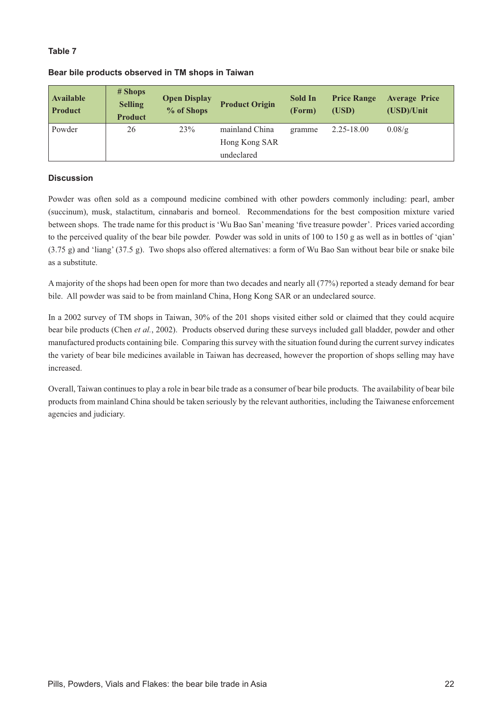#### **Table 7**

| <b>Available</b><br><b>Product</b> | $#$ Shops<br><b>Selling</b><br><b>Product</b> | <b>Open Display</b><br>% of Shops | <b>Product Origin</b> | <b>Sold In</b><br>(Form) | <b>Price Range</b><br>(USD) | <b>Average Price</b><br>(USD)/Unit |  |  |
|------------------------------------|-----------------------------------------------|-----------------------------------|-----------------------|--------------------------|-----------------------------|------------------------------------|--|--|
| Powder                             | 26                                            | 23%                               | mainland China        | gramme                   | $2.25 - 18.00$              | 0.08/g                             |  |  |
|                                    |                                               |                                   | Hong Kong SAR         |                          |                             |                                    |  |  |
|                                    |                                               |                                   | undeclared            |                          |                             |                                    |  |  |

#### **Bear bile products observed in TM shops in Taiwan**

#### **Discussion**

Powder was often sold as a compound medicine combined with other powders commonly including: pearl, amber (succinum), musk, stalactitum, cinnabaris and borneol. Recommendations for the best composition mixture varied between shops. The trade name for this product is 'Wu Bao San' meaning 'five treasure powder'. Prices varied according to the perceived quality of the bear bile powder. Powder was sold in units of 100 to 150 g as well as in bottles of 'qian' (3.75 g) and 'liang' (37.5 g). Two shops also offered alternatives: a form of Wu Bao San without bear bile or snake bile as a substitute.

A majority of the shops had been open for more than two decades and nearly all (77%) reported a steady demand for bear bile. All powder was said to be from mainland China, Hong Kong SAR or an undeclared source.

In a 2002 survey of TM shops in Taiwan, 30% of the 201 shops visited either sold or claimed that they could acquire bear bile products (Chen *et al.*, 2002). Products observed during these surveys included gall bladder, powder and other manufactured products containing bile. Comparing this survey with the situation found during the current survey indicates the variety of bear bile medicines available in Taiwan has decreased, however the proportion of shops selling may have increased.

Overall, Taiwan continues to play a role in bear bile trade as a consumer of bear bile products. The availability of bear bile products from mainland China should be taken seriously by the relevant authorities, including the Taiwanese enforcement agencies and judiciary.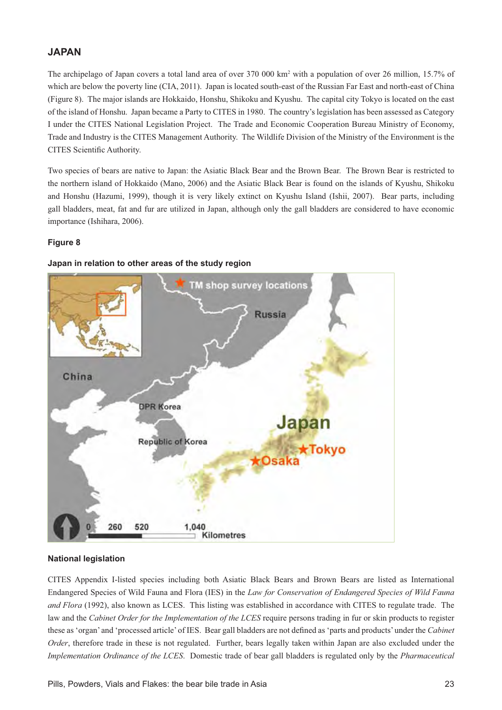# **JAPAN**

The archipelago of Japan covers a total land area of over 370 000 km<sup>2</sup> with a population of over 26 million, 15.7% of which are below the poverty line (CIA, 2011). Japan is located south-east of the Russian Far East and north-east of China (Figure 8). The major islands are Hokkaido, Honshu, Shikoku and Kyushu. The capital city Tokyo is located on the east of the island of Honshu. Japan became a Party to CITES in 1980. The country's legislation has been assessed as Category I under the CITES National Legislation Project. The Trade and Economic Cooperation Bureau Ministry of Economy, Trade and Industry is the CITES Management Authority. The Wildlife Division of the Ministry of the Environment is the CITES Scientific Authority.

Two species of bears are native to Japan: the Asiatic Black Bear and the Brown Bear. The Brown Bear is restricted to the northern island of Hokkaido (Mano, 2006) and the Asiatic Black Bear is found on the islands of Kyushu, Shikoku and Honshu (Hazumi, 1999), though it is very likely extinct on Kyushu Island (Ishii, 2007). Bear parts, including gall bladders, meat, fat and fur are utilized in Japan, although only the gall bladders are considered to have economic importance (Ishihara, 2006).

#### **Figure 8**



#### **Japan in relation to other areas of the study region**

#### **National legislation**

CITES Appendix I-listed species including both Asiatic Black Bears and Brown Bears are listed as International Endangered Species of Wild Fauna and Flora (IES) in the *Law for Conservation of Endangered Species of Wild Fauna and Flora* (1992), also known as LCES. This listing was established in accordance with CITES to regulate trade. The law and the *Cabinet Order for the Implementation of the LCES* require persons trading in fur or skin products to register these as 'organ' and 'processed article' of IES. Bear gall bladders are not defined as 'parts and products' under the Cabinet *Order*, therefore trade in these is not regulated. Further, bears legally taken within Japan are also excluded under the *Implementation Ordinance of the LCES*. Domestic trade of bear gall bladders is regulated only by the *Pharmaceutical*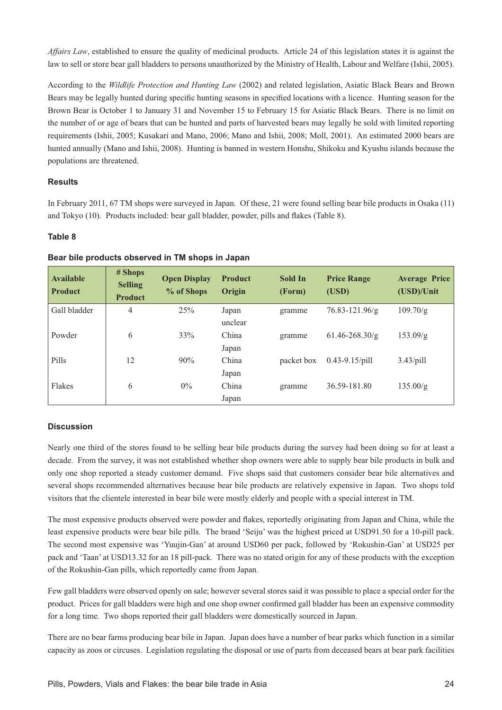*Affairs Law*, established to ensure the quality of medicinal products. Article 24 of this legislation states it is against the law to sell or store bear gall bladders to persons unauthorized by the Ministry of Health, Labour and Welfare (Ishii, 2005).

According to the *Wildlife Protection and Hunting Law* (2002) and related legislation, Asiatic Black Bears and Brown Bears may be legally hunted during specific hunting seasons in specified locations with a licence. Hunting season for the Brown Bear is October 1 to January 31 and November 15 to February 15 for Asiatic Black Bears. There is no limit on the number of or age of bears that can be hunted and parts of harvested bears may legally be sold with limited reporting requirements (Ishii, 2005; Kusakari and Mano, 2006; Mano and Ishii, 2008; Moll, 2001). An estimated 2000 bears are hunted annually (Mano and Ishii, 2008). Hunting is banned in western Honshu, Shikoku and Kyushu islands because the populations are threatened.

#### **Results**

In February 2011, 67 TM shops were surveyed in Japan. Of these, 21 were found selling bear bile products in Osaka (11) and Tokyo (10). Products included: bear gall bladder, powder, pills and flakes (Table 8).

#### **Table 8**

| <b>Available</b><br><b>Product</b> | # Shops<br><b>Selling</b><br><b>Product</b> | <b>Open Display</b><br>% of Shops | <b>Product</b><br>Origin | Sold In<br>(Form) | <b>Price Range</b><br>(USD) | <b>Average Price</b><br>(USD)/Unit |
|------------------------------------|---------------------------------------------|-----------------------------------|--------------------------|-------------------|-----------------------------|------------------------------------|
| Gall bladder                       | $\overline{4}$                              | 25%                               | Japan                    | gramme            | 76.83-121.96/g              | 109.70/g                           |
|                                    |                                             |                                   | unclear                  |                   |                             |                                    |
| Powder                             | 6                                           | 33%                               | China                    | gramme            | $61.46 - 268.30/g$          | 153.09/g                           |
|                                    |                                             |                                   | Japan                    |                   |                             |                                    |
| Pills                              | 12                                          | 90%                               | China                    | packet box        | $0.43 - 9.15$ /pill         | $3.43$ /pill                       |
|                                    |                                             |                                   | Japan                    |                   |                             |                                    |
| Flakes                             | 6                                           | $0\%$                             | China                    | gramme            | 36.59-181.80                | 135.00/g                           |
|                                    |                                             |                                   | Japan                    |                   |                             |                                    |

#### **Bear bile products observed in TM shops in Japan**

#### **Discussion**

Nearly one third of the stores found to be selling bear bile products during the survey had been doing so for at least a decade. From the survey, it was not established whether shop owners were able to supply bear bile products in bulk and only one shop reported a steady customer demand. Five shops said that customers consider bear bile alternatives and several shops recommended alternatives because bear bile products are relatively expensive in Japan. Two shops told visitors that the clientele interested in bear bile were mostly elderly and people with a special interest in TM.

The most expensive products observed were powder and flakes, reportedly originating from Japan and China, while the least expensive products were bear bile pills. The brand 'Seiju' was the highest priced at USD91.50 for a 10-pill pack. The second most expensive was 'Yuujin-Gan' at around USD60 per pack, followed by 'Rokushin-Gan' at USD25 per pack and 'Taan' at USD13.32 for an 18 pill-pack. There was no stated origin for any of these products with the exception of the Rokushin-Gan pills, which reportedly came from Japan.

Few gall bladders were observed openly on sale; however several stores said it was possible to place a special order for the product. Prices for gall bladders were high and one shop owner confirmed gall bladder has been an expensive commodity for a long time. Two shops reported their gall bladders were domestically sourced in Japan.

There are no bear farms producing bear bile in Japan. Japan does have a number of bear parks which function in a similar capacity as zoos or circuses. Legislation regulating the disposal or use of parts from deceased bears at bear park facilities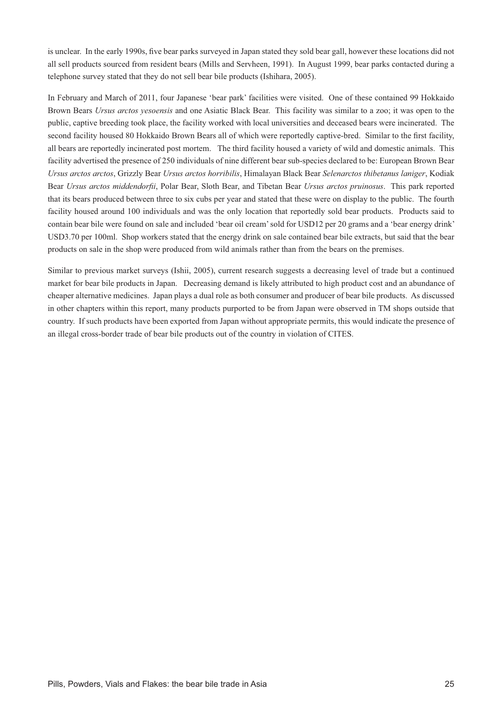is unclear. In the early 1990s, five bear parks surveyed in Japan stated they sold bear gall, however these locations did not all sell products sourced from resident bears (Mills and Servheen, 1991). In August 1999, bear parks contacted during a telephone survey stated that they do not sell bear bile products (Ishihara, 2005).

In February and March of 2011, four Japanese 'bear park' facilities were visited. One of these contained 99 Hokkaido Brown Bears *Ursus arctos yesoensis* and one Asiatic Black Bear. This facility was similar to a zoo; it was open to the public, captive breeding took place, the facility worked with local universities and deceased bears were incinerated. The second facility housed 80 Hokkaido Brown Bears all of which were reportedly captive-bred. Similar to the first facility, all bears are reportedly incinerated post mortem. The third facility housed a variety of wild and domestic animals. This facility advertised the presence of 250 individuals of nine different bear sub-species declared to be: European Brown Bear *Ursus arctos arctos*, Grizzly Bear *Ursus arctos horribilis*, Himalayan Black Bear *Selenarctos thibetanus laniger*, Kodiak Bear *Ursus arctos middendorfii*, Polar Bear, Sloth Bear, and Tibetan Bear *Ursus arctos pruinosus*. This park reported that its bears produced between three to six cubs per year and stated that these were on display to the public. The fourth facility housed around 100 individuals and was the only location that reportedly sold bear products. Products said to contain bear bile were found on sale and included 'bear oil cream' sold for USD12 per 20 grams and a 'bear energy drink' USD3.70 per 100ml. Shop workers stated that the energy drink on sale contained bear bile extracts, but said that the bear products on sale in the shop were produced from wild animals rather than from the bears on the premises.

Similar to previous market surveys (Ishii, 2005), current research suggests a decreasing level of trade but a continued market for bear bile products in Japan. Decreasing demand is likely attributed to high product cost and an abundance of cheaper alternative medicines. Japan plays a dual role as both consumer and producer of bear bile products. As discussed in other chapters within this report, many products purported to be from Japan were observed in TM shops outside that country. If such products have been exported from Japan without appropriate permits, this would indicate the presence of an illegal cross-border trade of bear bile products out of the country in violation of CITES.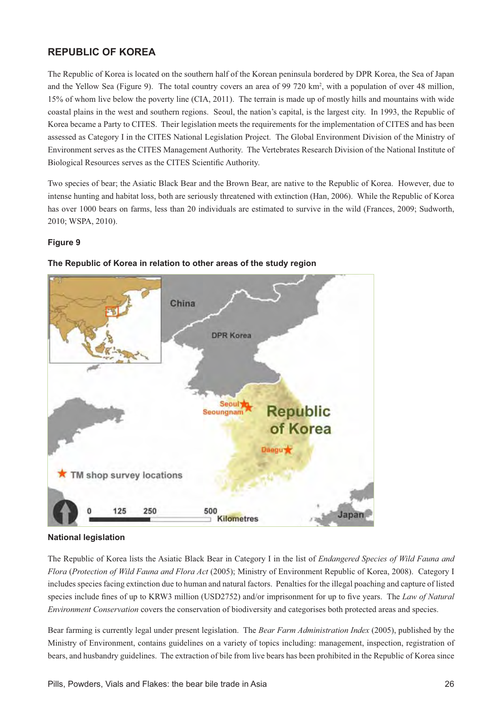# **REPUBLIC OF KOREA**

The Republic of Korea is located on the southern half of the Korean peninsula bordered by DPR Korea, the Sea of Japan and the Yellow Sea (Figure 9). The total country covers an area of 99 720 km<sup>2</sup>, with a population of over 48 million, 15% of whom live below the poverty line (CIA, 2011). The terrain is made up of mostly hills and mountains with wide coastal plains in the west and southern regions. Seoul, the nation's capital, is the largest city. In 1993, the Republic of Korea became a Party to CITES. Their legislation meets the requirements for the implementation of CITES and has been assessed as Category I in the CITES National Legislation Project. The Global Environment Division of the Ministry of Environment serves as the CITES Management Authority. The Vertebrates Research Division of the National Institute of Biological Resources serves as the CITES Scientific Authority.

Two species of bear; the Asiatic Black Bear and the Brown Bear, are native to the Republic of Korea. However, due to intense hunting and habitat loss, both are seriously threatened with extinction (Han, 2006). While the Republic of Korea has over 1000 bears on farms, less than 20 individuals are estimated to survive in the wild (Frances, 2009; Sudworth, 2010; WSPA, 2010).

# **Figure 9**



## The Republic of Korea in relation to other areas of the study region

### **National legislation**

The Republic of Korea lists the Asiatic Black Bear in Category I in the list of *Endangered Species of Wild Fauna and Flora* (*Protection of Wild Fauna and Flora Act* (2005); Ministry of Environment Republic of Korea, 2008). Category I includes species facing extinction due to human and natural factors. Penalties for the illegal poaching and capture of listed species include fines of up to KRW3 million (USD2752) and/or imprisonment for up to five vears. The *Law of Natural Environment Conservation* covers the conservation of biodiversity and categorises both protected areas and species.

Bear farming is currently legal under present legislation. The *Bear Farm Administration Index* (2005), published by the Ministry of Environment, contains guidelines on a variety of topics including: management, inspection, registration of bears, and husbandry guidelines. The extraction of bile from live bears has been prohibited in the Republic of Korea since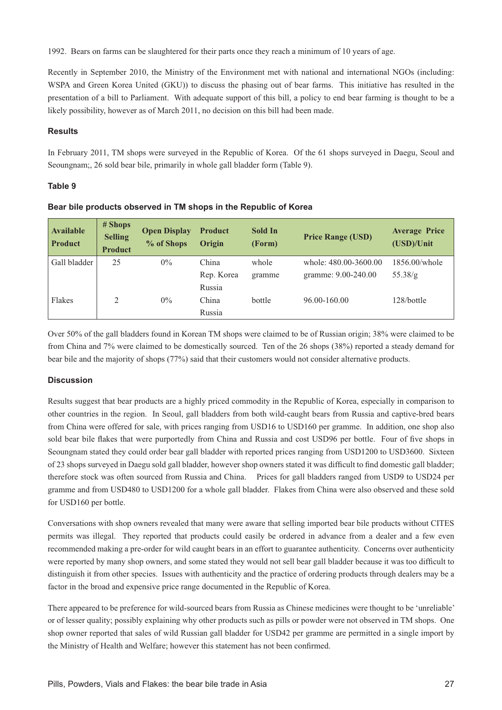1992. Bears on farms can be slaughtered for their parts once they reach a minimum of 10 years of age.

Recently in September 2010, the Ministry of the Environment met with national and international NGOs (including: WSPA and Green Korea United (GKU)) to discuss the phasing out of bear farms. This initiative has resulted in the presentation of a bill to Parliament. With adequate support of this bill, a policy to end bear farming is thought to be a likely possibility, however as of March 2011, no decision on this bill had been made.

## **Results**

In February 2011, TM shops were surveyed in the Republic of Korea. Of the 61 shops surveyed in Daegu, Seoul and Seoungnam;, 26 sold bear bile, primarily in whole gall bladder form (Table 9).

# **Table 9**

| <b>Available</b><br><b>Product</b> | # Shops<br><b>Selling</b><br><b>Product</b> | <b>Open Display</b><br>% of Shops | <b>Product</b><br><b>Origin</b> | Sold In<br>(Form) | <b>Price Range (USD)</b> | <b>Average Price</b><br>(USD)/Unit |
|------------------------------------|---------------------------------------------|-----------------------------------|---------------------------------|-------------------|--------------------------|------------------------------------|
| Gall bladder                       | 25                                          | $0\%$                             | China                           | whole             | whole: 480.00-3600.00    | $1856.00$ /whole                   |
|                                    |                                             |                                   | Rep. Korea                      | gramme            | gramme: 9.00-240.00      | 55.38/g                            |
|                                    |                                             |                                   | Russia                          |                   |                          |                                    |
| Flakes                             | 2                                           | $0\%$                             | China                           | bottle            | 96.00-160.00             | 128/bottle                         |
|                                    |                                             |                                   | Russia                          |                   |                          |                                    |

Bear bile products observed in TM shops in the Republic of Korea

Over 50% of the gall bladders found in Korean TM shops were claimed to be of Russian origin; 38% were claimed to be from China and 7% were claimed to be domestically sourced. Ten of the 26 shops (38%) reported a steady demand for bear bile and the majority of shops (77%) said that their customers would not consider alternative products.

# **Discussion**

Results suggest that bear products are a highly priced commodity in the Republic of Korea, especially in comparison to other countries in the region. In Seoul, gall bladders from both wild-caught bears from Russia and captive-bred bears from China were offered for sale, with prices ranging from USD16 to USD160 per gramme. In addition, one shop also sold bear bile flakes that were purportedly from China and Russia and cost USD96 per bottle. Four of five shops in Seoungnam stated they could order bear gall bladder with reported prices ranging from USD1200 to USD3600. Sixteen of 23 shops surveyed in Daegu sold gall bladder, however shop owners stated it was difficult to find domestic gall bladder; therefore stock was often sourced from Russia and China. Prices for gall bladders ranged from USD9 to USD24 per gramme and from USD480 to USD1200 for a whole gall bladder. Flakes from China were also observed and these sold for USD160 per bottle.

Conversations with shop owners revealed that many were aware that selling imported bear bile products without CITES permits was illegal. They reported that products could easily be ordered in advance from a dealer and a few even recommended making a pre-order for wild caught bears in an effort to guarantee authenticity. Concerns over authenticity were reported by many shop owners, and some stated they would not sell bear gall bladder because it was too difficult to distinguish it from other species. Issues with authenticity and the practice of ordering products through dealers may be a factor in the broad and expensive price range documented in the Republic of Korea.

There appeared to be preference for wild-sourced bears from Russia as Chinese medicines were thought to be 'unreliable' or of lesser quality; possibly explaining why other products such as pills or powder were not observed in TM shops. One shop owner reported that sales of wild Russian gall bladder for USD42 per gramme are permitted in a single import by the Ministry of Health and Welfare; however this statement has not been confirmed.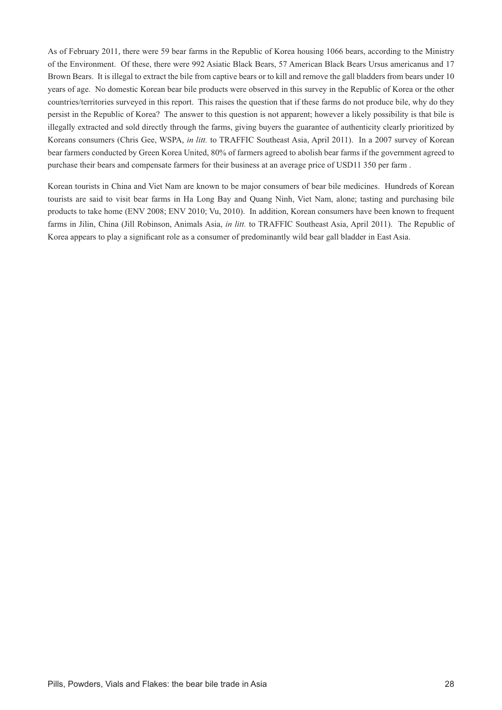As of February 2011, there were 59 bear farms in the Republic of Korea housing 1066 bears, according to the Ministry of the Environment. Of these, there were 992 Asiatic Black Bears, 57 American Black Bears Ursus americanus and 17 Brown Bears. It is illegal to extract the bile from captive bears or to kill and remove the gall bladders from bears under 10 years of age. No domestic Korean bear bile products were observed in this survey in the Republic of Korea or the other countries/territories surveyed in this report. This raises the question that if these farms do not produce bile, why do they persist in the Republic of Korea? The answer to this question is not apparent; however a likely possibility is that bile is illegally extracted and sold directly through the farms, giving buyers the guarantee of authenticity clearly prioritized by Koreans consumers (Chris Gee, WSPA, *in litt.* to TRAFFIC Southeast Asia, April 2011). In a 2007 survey of Korean bear farmers conducted by Green Korea United, 80% of farmers agreed to abolish bear farms if the government agreed to purchase their bears and compensate farmers for their business at an average price of USD11 350 per farm .

Korean tourists in China and Viet Nam are known to be major consumers of bear bile medicines. Hundreds of Korean tourists are said to visit bear farms in Ha Long Bay and Quang Ninh, Viet Nam, alone; tasting and purchasing bile products to take home (ENV 2008; ENV 2010; Vu, 2010). In addition, Korean consumers have been known to frequent farms in Jilin, China (Jill Robinson, Animals Asia, *in litt.* to TRAFFIC Southeast Asia, April 2011). The Republic of Korea appears to play a significant role as a consumer of predominantly wild bear gall bladder in East Asia.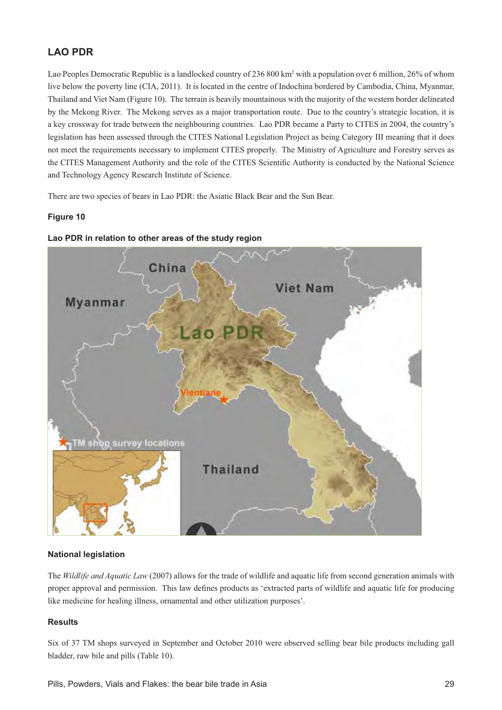# **LAO PDR**

Lao Peoples Democratic Republic is a landlocked country of 236 800 km<sup>2</sup> with a population over 6 million, 26% of whom live below the poverty line (CIA, 2011). It is located in the centre of Indochina bordered by Cambodia, China, Myanmar, Thailand and Viet Nam (Figure 10). The terrain is heavily mountainous with the majority of the western border delineated by the Mekong River. The Mekong serves as a major transportation route. Due to the country's strategic location, it is a key crossway for trade between the neighbouring countries. Lao PDR became a Party to CITES in 2004, the country's legislation has been assessed through the CITES National Legislation Project as being Category III meaning that it does not meet the requirements necessary to implement CITES properly. The Ministry of Agriculture and Forestry serves as the CITES Management Authority and the role of the CITES Scientific Authority is conducted by the National Science and Technology Agency Research Institute of Science.

There are two species of bears in Lao PDR: the Asiatic Black Bear and the Sun Bear.

# **Figure 10**



# **Lao PDR in relation to other areas of the study region**

# **National legislation**

The *Wildlife and Aquatic Law* (2007) allows for the trade of wildlife and aquatic life from second generation animals with proper approval and permission. This law defines products as 'extracted parts of wildlife and aquatic life for producing like medicine for healing illness, ornamental and other utilization purposes'.

# **Results**

Six of 37 TM shops surveyed in September and October 2010 were observed selling bear bile products including gall bladder, raw bile and pills (Table 10).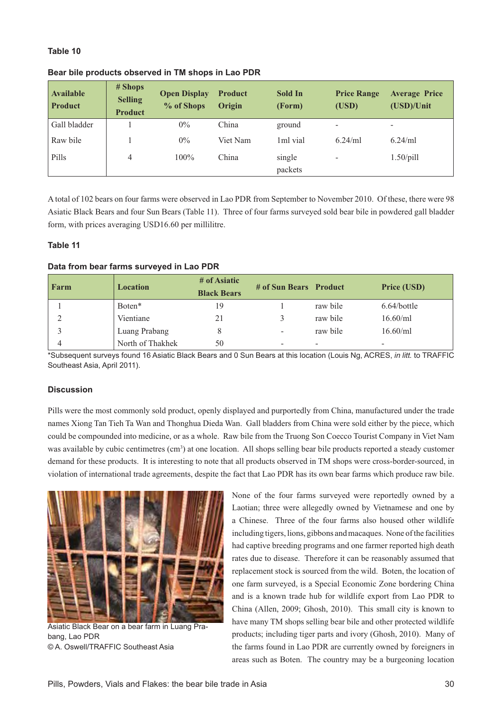# **Table 10**

| <b>Available</b><br><b>Product</b> | # Shops<br><b>Selling</b><br><b>Product</b> | <b>Open Display</b><br>% of Shops | <b>Product</b><br>Origin | Sold In<br>(Form) | <b>Price Range</b><br>(USD) | <b>Average Price</b><br>(USD)/Unit |
|------------------------------------|---------------------------------------------|-----------------------------------|--------------------------|-------------------|-----------------------------|------------------------------------|
| Gall bladder                       |                                             | $0\%$                             | China                    | ground            | $\overline{\phantom{0}}$    | $\overline{\phantom{0}}$           |
| Raw bile                           |                                             | $0\%$                             | Viet Nam                 | 1ml vial          | $6.24$ /ml                  | $6.24$ /ml                         |
| <b>Pills</b>                       | 4                                           | $100\%$                           | China                    | single<br>packets | $\overline{\phantom{0}}$    | $1.50\text{/pill}$                 |

### **Bear bile products observed in TM shops in Lao PDR**

A total of 102 bears on four farms were observed in Lao PDR from September to November 2010. Of these, there were 98 Asiatic Black Bears and four Sun Bears (Table 11). Three of four farms surveyed sold bear bile in powdered gall bladder form, with prices averaging USD16.60 per millilitre.

### **Table 11**

### Data from bear farms surveyed in Lao PDR

| Farm | <b>Location</b>  | # of Asiatic<br><b>Black Bears</b> | # of Sun Bears Product |                          | <b>Price (USD)</b> |
|------|------------------|------------------------------------|------------------------|--------------------------|--------------------|
|      | Boten*           | 19                                 |                        | raw bile                 | $6.64/b$ ottle     |
|      | Vientiane        | 21                                 |                        | raw bile                 | $16.60$ /ml        |
|      | Luang Prabang    |                                    | $\sim$                 | raw bile                 | $16.60$ /ml        |
|      | North of Thakhek | 50                                 | -                      | $\overline{\phantom{0}}$ |                    |

\*Subsequent surveys found 16 Asiatic Black Bears and 0 Sun Bears at this location (Louis Ng, ACRES, *in litt.* to TRAFFIC Southeast Asia, April 2011).

### **Discussion**

Pills were the most commonly sold product, openly displayed and purportedly from China, manufactured under the trade names Xiong Tan Tieh Ta Wan and Thonghua Dieda Wan. Gall bladders from China were sold either by the piece, which could be compounded into medicine, or as a whole. Raw bile from the Truong Son Coecco Tourist Company in Viet Nam was available by cubic centimetres (cm<sup>3</sup>) at one location. All shops selling bear bile products reported a steady customer demand for these products. It is interesting to note that all products observed in TM shops were cross-border-sourced, in violation of international trade agreements, despite the fact that Lao PDR has its own bear farms which produce raw bile.



Asiatic Black Bear on a bear farm in Luang Prabang, Lao PDR © A. Oswell/TRAFFIC Southeast Asia

None of the four farms surveyed were reportedly owned by a Laotian; three were allegedly owned by Vietnamese and one by a Chinese. Three of the four farms also housed other wildlife including tigers, lions, gibbons and macaques. None of the facilities had captive breeding programs and one farmer reported high death rates due to disease. Therefore it can be reasonably assumed that replacement stock is sourced from the wild. Boten, the location of one farm surveyed, is a Special Economic Zone bordering China and is a known trade hub for wildlife export from Lao PDR to China (Allen, 2009; Ghosh, 2010). This small city is known to have many TM shops selling bear bile and other protected wildlife products; including tiger parts and ivory (Ghosh, 2010). Many of the farms found in Lao PDR are currently owned by foreigners in areas such as Boten. The country may be a burgeoning location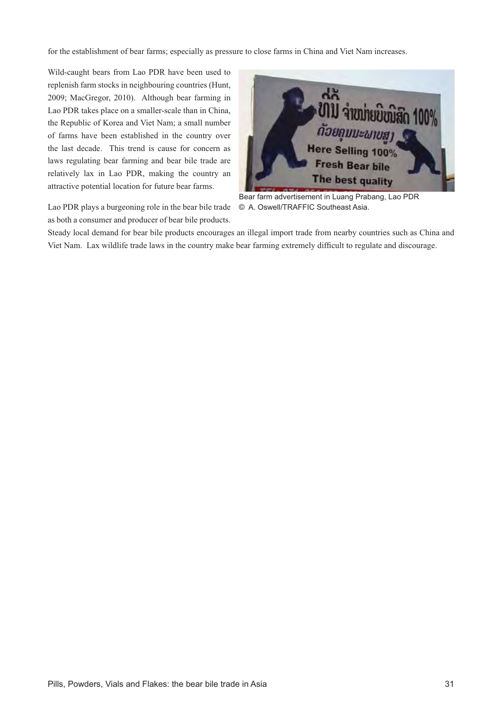for the establishment of bear farms; especially as pressure to close farms in China and Viet Nam increases.

Wild-caught bears from Lao PDR have been used to replenish farm stocks in neighbouring countries (Hunt, 2009; MacGregor, 2010). Although bear farming in Lao PDR takes place on a smaller-scale than in China, the Republic of Korea and Viet Nam; a small number of farms have been established in the country over the last decade. This trend is cause for concern as laws regulating bear farming and bear bile trade are relatively lax in Lao PDR, making the country an attractive potential location for future bear farms.

Lao PDR plays a burgeoning role in the bear bile trade as both a consumer and producer of bear bile products.



Bear farm advertisement in Luang Prabang, Lao PDR © A. Oswell/TRAFFIC Southeast Asia.

Steady local demand for bear bile products encourages an illegal import trade from nearby countries such as China and Viet Nam. Lax wildlife trade laws in the country make bear farming extremely difficult to regulate and discourage.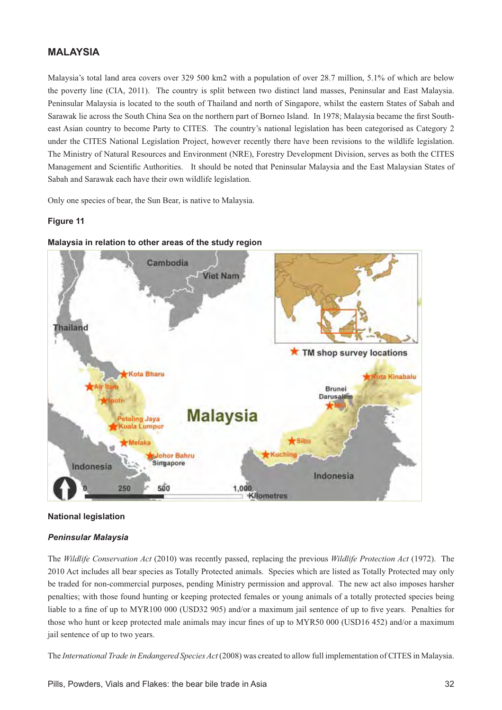# **MALAYSIA**

Malaysia's total land area covers over 329 500 km2 with a population of over 28.7 million, 5.1% of which are below the poverty line (CIA, 2011). The country is split between two distinct land masses, Peninsular and East Malaysia. Peninsular Malaysia is located to the south of Thailand and north of Singapore, whilst the eastern States of Sabah and Sarawak lie across the South China Sea on the northern part of Borneo Island. In 1978; Malaysia became the first Southeast Asian country to become Party to CITES. The country's national legislation has been categorised as Category 2 under the CITES National Legislation Project, however recently there have been revisions to the wildlife legislation. The Ministry of Natural Resources and Environment (NRE), Forestry Development Division, serves as both the CITES Management and Scientific Authorities. It should be noted that Peninsular Malaysia and the East Malaysian States of Sabah and Sarawak each have their own wildlife legislation.

Only one species of bear, the Sun Bear, is native to Malaysia.

## **Figure 11**



## **Malaysia in relation to other areas of the study region**

### **National legislation**

### *Peninsular Malaysia*

The *Wildlife Conservation Act* (2010) was recently passed, replacing the previous *Wildlife Protection Act* (1972). The 2010 Act includes all bear species as Totally Protected animals. Species which are listed as Totally Protected may only be traded for non-commercial purposes, pending Ministry permission and approval. The new act also imposes harsher penalties; with those found hunting or keeping protected females or young animals of a totally protected species being liable to a fine of up to MYR100 000 (USD32 905) and/or a maximum jail sentence of up to five years. Penalties for those who hunt or keep protected male animals may incur fines of up to MYR50 000 (USD16 452) and/or a maximum jail sentence of up to two years.

The *International Trade in Endangered Species Act* (2008) was created to allow full implementation of CITES in Malaysia.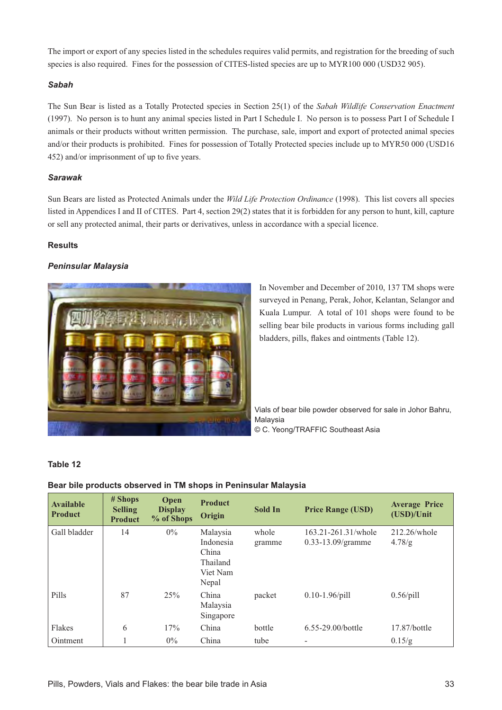The import or export of any species listed in the schedules requires valid permits, and registration for the breeding of such species is also required. Fines for the possession of CITES-listed species are up to MYR100 000 (USD32 905).

# *Sabah*

The Sun Bear is listed as a Totally Protected species in Section 25(1) of the *Sabah Wildlife Conservation Enactment* (1997). No person is to hunt any animal species listed in Part I Schedule I. No person is to possess Part I of Schedule I animals or their products without written permission. The purchase, sale, import and export of protected animal species and/or their products is prohibited. Fines for possession of Totally Protected species include up to MYR50 000 (USD16 452) and/or imprisonment of up to five years.

## *Sarawak*

Sun Bears are listed as Protected Animals under the *Wild Life Protection Ordinance* (1998). This list covers all species listed in Appendices I and II of CITES. Part 4, section 29(2) states that it is forbidden for any person to hunt, kill, capture or sell any protected animal, their parts or derivatives, unless in accordance with a special licence.

# **Results**

# *Peninsular Malaysia*



In November and December of 2010, 137 TM shops were surveyed in Penang, Perak, Johor, Kelantan, Selangor and Kuala Lumpur. A total of 101 shops were found to be selling bear bile products in various forms including gall bladders, pills, flakes and ointments (Table 12).

Vials of bear bile powder observed for sale in Johor Bahru, Malaysia © C. Yeong/TRAFFIC Southeast Asia

### **Table 12**

# **Bear bile products observed in TM shops in Peninsular Malaysia**

| <b>Available</b><br><b>Product</b> | $#$ Shops<br><b>Selling</b><br><b>Product</b> | Open<br><b>Display</b><br>% of Shops | <b>Product</b><br>Origin                                        | <b>Sold In</b>  | <b>Price Range (USD)</b>                      | <b>Average Price</b><br>(USD)/Unit |
|------------------------------------|-----------------------------------------------|--------------------------------------|-----------------------------------------------------------------|-----------------|-----------------------------------------------|------------------------------------|
| Gall bladder                       | 14                                            | $0\%$                                | Malaysia<br>Indonesia<br>China<br>Thailand<br>Viet Nam<br>Nepal | whole<br>gramme | 163.21-261.31/whole<br>$0.33 - 13.09$ /gramme | $212.26$ /whole<br>4.78/g          |
| Pills                              | 87                                            | 25%                                  | China<br>Malaysia<br>Singapore                                  | packet          | $0.10 - 1.96$ /pill                           | $0.56$ /pill                       |
| Flakes                             | 6                                             | 17%                                  | China                                                           | bottle          | $6.55 - 29.00$ /bottle                        | $17.87/b$ ottle                    |
| Ointment                           |                                               | $0\%$                                | China                                                           | tube            | -                                             | 0.15/g                             |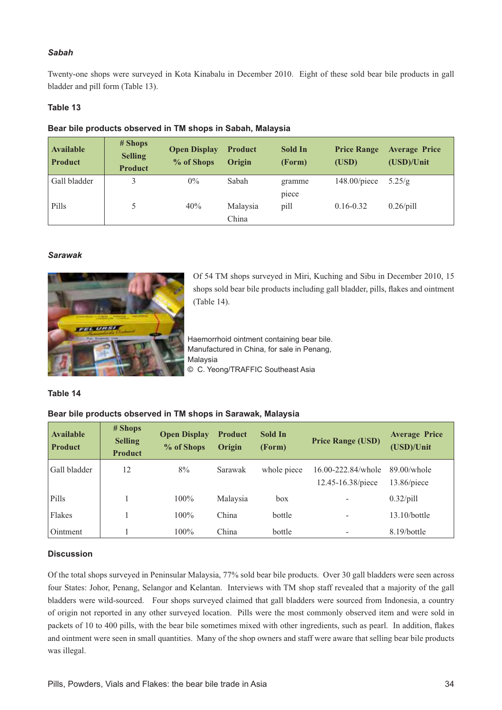# *Sabah*

Twenty-one shops were surveyed in Kota Kinabalu in December 2010. Eight of these sold bear bile products in gall bladder and pill form (Table 13).

# **Table 13**

# **Bear bile products observed in TM shops in Sabah, Malaysia**

| <b>Available</b><br><b>Product</b> | # Shops<br><b>Selling</b><br><b>Product</b> | <b>Open Display</b><br>% of Shops | <b>Product</b><br>Origin | Sold In<br>(Form) | <b>Price Range</b><br>(USD) | <b>Average Price</b><br>(USD)/Unit |
|------------------------------------|---------------------------------------------|-----------------------------------|--------------------------|-------------------|-----------------------------|------------------------------------|
| Gall bladder                       |                                             | $0\%$                             | Sabah                    | gramme            | $148.00$ /piece             | 5.25/g                             |
|                                    |                                             |                                   |                          | piece             |                             |                                    |
| Pills                              |                                             | 40%                               | Malaysia                 | pill              | $0.16 - 0.32$               | $0.26$ /pill                       |
|                                    |                                             |                                   | China                    |                   |                             |                                    |

### *Sarawak*



Of 54 TM shops surveyed in Miri, Kuching and Sibu in December 2010, 15 shops sold bear bile products including gall bladder, pills, flakes and ointment (Table 14).

Haemorrhoid ointment containing bear bile. Manufactured in China, for sale in Penang, Malaysia © C. Yeong/TRAFFIC Southeast Asia

### **Table 14**

### **Bear bile products observed in TM shops in Sarawak, Malaysia**

| <b>Available</b><br><b>Product</b> | # Shops<br><b>Selling</b><br><b>Product</b> | <b>Open Display</b><br>% of Shops | <b>Product</b><br>Origin | <b>Sold In</b><br>(Form) | <b>Price Range (USD)</b>                | <b>Average Price</b><br>(USD)/Unit |
|------------------------------------|---------------------------------------------|-----------------------------------|--------------------------|--------------------------|-----------------------------------------|------------------------------------|
| Gall bladder                       | 12                                          | 8%                                | Sarawak                  | whole piece              | 16.00-222.84/whole<br>12.45-16.38/piece | $89.00$ /whole<br>$13.86$ /piece   |
| Pills                              |                                             | $100\%$                           | Malaysia                 | box                      |                                         | $0.32$ /pill                       |
| Flakes                             |                                             | $100\%$                           | China                    | bottle                   |                                         | $13.10/b$ ottle                    |
| Ointment                           |                                             | $100\%$                           | China                    | bottle                   |                                         | 8.19/bottle                        |

### **Discussion**

Of the total shops surveyed in Peninsular Malaysia, 77% sold bear bile products. Over 30 gall bladders were seen across four States: Johor, Penang, Selangor and Kelantan. Interviews with TM shop staff revealed that a majority of the gall bladders were wild-sourced. Four shops surveyed claimed that gall bladders were sourced from Indonesia, a country of origin not reported in any other surveyed location. Pills were the most commonly observed item and were sold in packets of 10 to 400 pills, with the bear bile sometimes mixed with other ingredients, such as pearl. In addition, flakes and ointment were seen in small quantities. Many of the shop owners and staff were aware that selling bear bile products was illegal.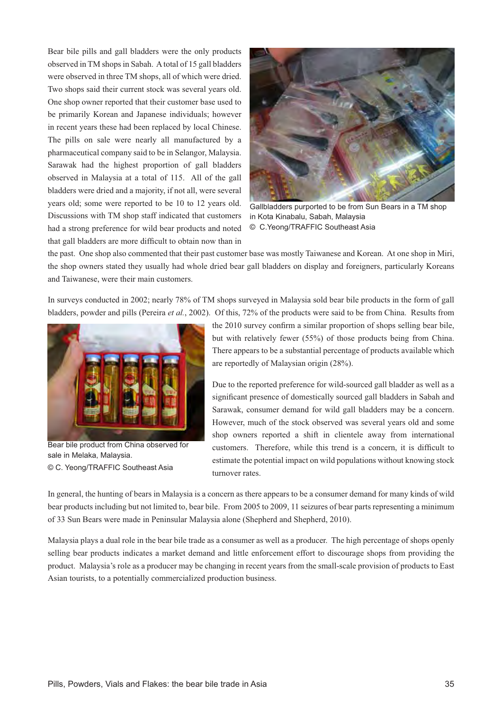Bear bile pills and gall bladders were the only products observed in TM shops in Sabah. A total of 15 gall bladders were observed in three TM shops, all of which were dried. Two shops said their current stock was several years old. One shop owner reported that their customer base used to be primarily Korean and Japanese individuals; however in recent years these had been replaced by local Chinese. The pills on sale were nearly all manufactured by a pharmaceutical company said to be in Selangor, Malaysia. Sarawak had the highest proportion of gall bladders observed in Malaysia at a total of 115. All of the gall bladders were dried and a majority, if not all, were several years old; some were reported to be 10 to 12 years old. Discussions with TM shop staff indicated that customers had a strong preference for wild bear products and noted that gall bladders are more difficult to obtain now than in



Gallbladders purported to be from Sun Bears in a TM shop in Kota Kinabalu, Sabah, Malaysia © C.Yeong/TRAFFIC Southeast Asia

the past. One shop also commented that their past customer base was mostly Taiwanese and Korean. At one shop in Miri, the shop owners stated they usually had whole dried bear gall bladders on display and foreigners, particularly Koreans and Taiwanese, were their main customers.

In surveys conducted in 2002; nearly 78% of TM shops surveyed in Malaysia sold bear bile products in the form of gall bladders, powder and pills (Pereira *et al.*, 2002). Of this, 72% of the products were said to be from China. Results from



Bear bile product from China observed for sale in Melaka, Malaysia. © C. Yeong/TRAFFIC Southeast Asia

the 2010 survey confirm a similar proportion of shops selling bear bile, but with relatively fewer (55%) of those products being from China. There appears to be a substantial percentage of products available which are reportedly of Malaysian origin (28%).

Due to the reported preference for wild-sourced gall bladder as well as a significant presence of domestically sourced gall bladders in Sabah and Sarawak, consumer demand for wild gall bladders may be a concern. However, much of the stock observed was several years old and some shop owners reported a shift in clientele away from international customers. Therefore, while this trend is a concern, it is difficult to estimate the potential impact on wild populations without knowing stock turnover rates.

In general, the hunting of bears in Malaysia is a concern as there appears to be a consumer demand for many kinds of wild bear products including but not limited to, bear bile. From 2005 to 2009, 11 seizures of bear parts representing a minimum of 33 Sun Bears were made in Peninsular Malaysia alone (Shepherd and Shepherd, 2010).

Malaysia plays a dual role in the bear bile trade as a consumer as well as a producer. The high percentage of shops openly selling bear products indicates a market demand and little enforcement effort to discourage shops from providing the product. Malaysia's role as a producer may be changing in recent years from the small-scale provision of products to East Asian tourists, to a potentially commercialized production business.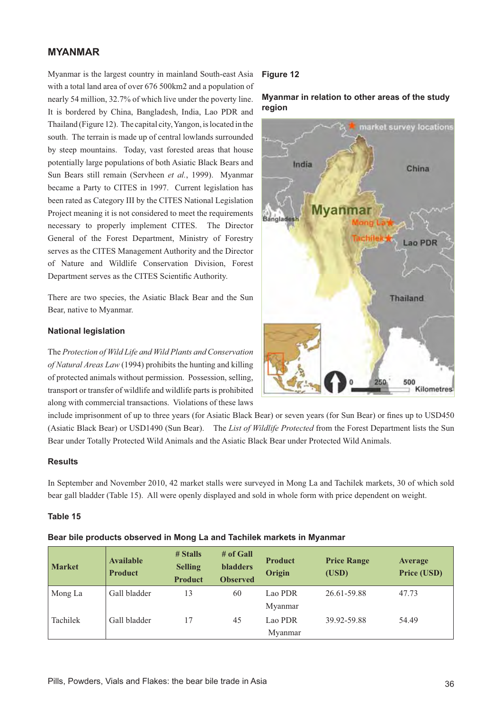# **MYANMAR**

Myanmar is the largest country in mainland South-east Asia with a total land area of over 676 500km2 and a population of nearly 54 million, 32.7% of which live under the poverty line. It is bordered by China, Bangladesh, India, Lao PDR and Thailand (Figure 12). The capital city, Yangon, is located in the south. The terrain is made up of central lowlands surrounded by steep mountains. Today, vast forested areas that house potentially large populations of both Asiatic Black Bears and Sun Bears still remain (Servheen *et al.*, 1999). Myanmar became a Party to CITES in 1997. Current legislation has been rated as Category III by the CITES National Legislation Project meaning it is not considered to meet the requirements necessary to properly implement CITES. The Director General of the Forest Department, Ministry of Forestry serves as the CITES Management Authority and the Director of Nature and Wildlife Conservation Division, Forest Department serves as the CITES Scientific Authority.

There are two species, the Asiatic Black Bear and the Sun Bear, native to Myanmar.

### **National legislation**

The *Protection of Wild Life and Wild Plants and Conservation of Natural Areas Law* (1994) prohibits the hunting and killing of protected animals without permission. Possession, selling, transport or transfer of wildlife and wildlife parts is prohibited along with commercial transactions. Violations of these laws

# **Figure 12**

**Myanmar in relation to other areas of the study region**



include imprisonment of up to three years (for Asiatic Black Bear) or seven years (for Sun Bear) or fines up to USD450 (Asiatic Black Bear) or USD1490 (Sun Bear). The *List of Wildlife Protected* from the Forest Department lists the Sun Bear under Totally Protected Wild Animals and the Asiatic Black Bear under Protected Wild Animals.

## **Results**

In September and November 2010, 42 market stalls were surveyed in Mong La and Tachilek markets, 30 of which sold bear gall bladder (Table 15). All were openly displayed and sold in whole form with price dependent on weight.

## **Table 15**

Bear bile products observed in Mong La and Tachilek markets in Myanmar

| <b>Market</b> | <b>Available</b><br><b>Product</b> | $#$ Stalls<br><b>Selling</b><br><b>Product</b> | $#$ of Gall<br><b>bladders</b><br><b>Observed</b> | <b>Product</b><br>Origin | <b>Price Range</b><br>(USD) | Average<br>Price (USD) |
|---------------|------------------------------------|------------------------------------------------|---------------------------------------------------|--------------------------|-----------------------------|------------------------|
| Mong La       | Gall bladder                       | 13                                             | 60                                                | Lao PDR                  | 26.61-59.88                 | 47.73                  |
|               |                                    |                                                |                                                   | Myanmar                  |                             |                        |
| Tachilek      | Gall bladder                       | 17                                             | 45                                                | Lao PDR                  | 39.92-59.88                 | 54.49                  |
|               |                                    |                                                |                                                   | Myanmar                  |                             |                        |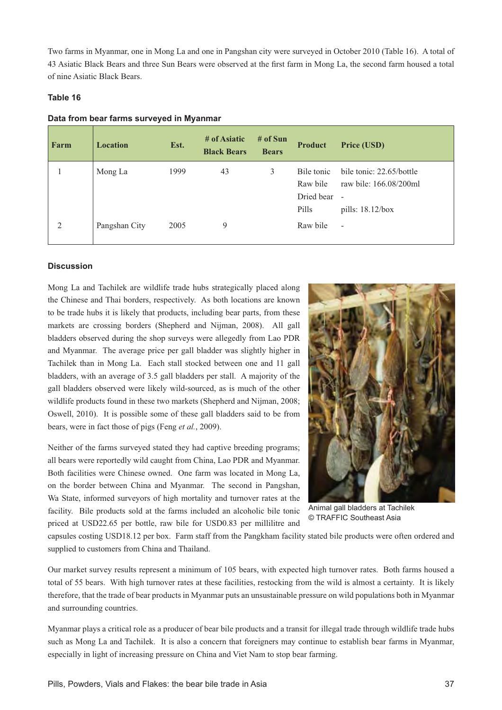Two farms in Myanmar, one in Mong La and one in Pangshan city were surveyed in October 2010 (Table 16). A total of 43 Asiatic Black Bears and three Sun Bears were observed at the first farm in Mong La, the second farm housed a total of nine Asiatic Black Bears.

# **Table 16**

## Data from bear farms surveyed in Myanmar

| Farm | <b>Location</b> | Est. | # of Asiatic<br><b>Black Bears</b> | # of Sun<br><b>Bears</b> | <b>Product</b>                                | Price (USD)                                                                              |
|------|-----------------|------|------------------------------------|--------------------------|-----------------------------------------------|------------------------------------------------------------------------------------------|
|      | Mong La         | 1999 | 43                                 | 3                        | Bile tonic<br>Raw bile<br>Dried bear<br>Pills | bile tonic: 22.65/bottle<br>raw bile: 166.08/200ml<br>$\blacksquare$<br>pills: 18.12/box |
| 2    | Pangshan City   | 2005 | 9                                  |                          | Raw bile                                      | $\overline{a}$                                                                           |

## **Discussion**

Mong La and Tachilek are wildlife trade hubs strategically placed along the Chinese and Thai borders, respectively. As both locations are known to be trade hubs it is likely that products, including bear parts, from these markets are crossing borders (Shepherd and Nijman, 2008). All gall bladders observed during the shop surveys were allegedly from Lao PDR and Myanmar. The average price per gall bladder was slightly higher in Tachilek than in Mong La. Each stall stocked between one and 11 gall bladders, with an average of 3.5 gall bladders per stall. A majority of the gall bladders observed were likely wild-sourced, as is much of the other wildlife products found in these two markets (Shepherd and Nijman, 2008; Oswell, 2010). It is possible some of these gall bladders said to be from bears, were in fact those of pigs (Feng *et al.*, 2009).

Neither of the farms surveyed stated they had captive breeding programs; all bears were reportedly wild caught from China, Lao PDR and Myanmar. Both facilities were Chinese owned. One farm was located in Mong La, on the border between China and Myanmar. The second in Pangshan, Wa State, informed surveyors of high mortality and turnover rates at the facility. Bile products sold at the farms included an alcoholic bile tonic priced at USD22.65 per bottle, raw bile for USD0.83 per millilitre and



Animal gall bladders at Tachilek © TRAFFIC Southeast Asia

capsules costing USD18.12 per box. Farm staff from the Pangkham facility stated bile products were often ordered and supplied to customers from China and Thailand.

Our market survey results represent a minimum of 105 bears, with expected high turnover rates. Both farms housed a total of 55 bears. With high turnover rates at these facilities, restocking from the wild is almost a certainty. It is likely therefore, that the trade of bear products in Myanmar puts an unsustainable pressure on wild populations both in Myanmar and surrounding countries.

Myanmar plays a critical role as a producer of bear bile products and a transit for illegal trade through wildlife trade hubs such as Mong La and Tachilek. It is also a concern that foreigners may continue to establish bear farms in Myanmar, especially in light of increasing pressure on China and Viet Nam to stop bear farming.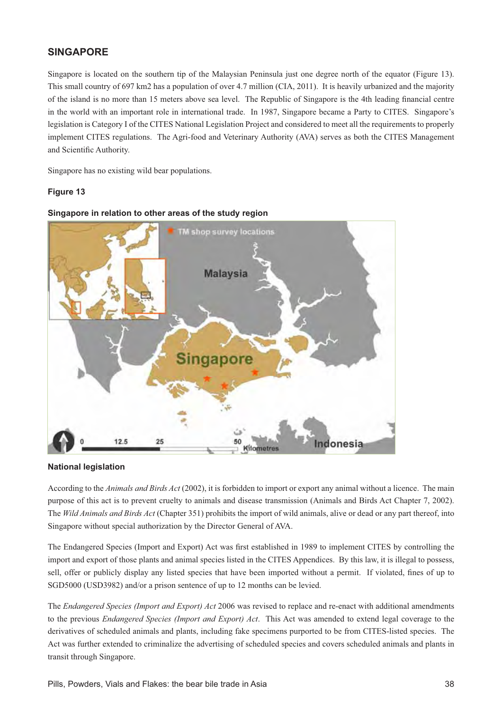# **SINGAPORE**

Singapore is located on the southern tip of the Malaysian Peninsula just one degree north of the equator (Figure 13). This small country of 697 km2 has a population of over 4.7 million (CIA, 2011). It is heavily urbanized and the majority of the island is no more than 15 meters above sea level. The Republic of Singapore is the 4th leading financial centre in the world with an important role in international trade. In 1987, Singapore became a Party to CITES. Singapore's legislation is Category I of the CITES National Legislation Project and considered to meet all the requirements to properly implement CITES regulations. The Agri-food and Veterinary Authority (AVA) serves as both the CITES Management and Scientific Authority.

Singapore has no existing wild bear populations.

# **Figure 13**



### **Singapore in relation to other areas of the study region**

### **National legislation**

According to the *Animals and Birds Act* (2002), it is forbidden to import or export any animal without a licence. The main purpose of this act is to prevent cruelty to animals and disease transmission (Animals and Birds Act Chapter 7, 2002). The *Wild Animals and Birds Act* (Chapter 351) prohibits the import of wild animals, alive or dead or any part thereof, into Singapore without special authorization by the Director General of AVA.

The Endangered Species (Import and Export) Act was first established in 1989 to implement CITES by controlling the import and export of those plants and animal species listed in the CITES Appendices. By this law, it is illegal to possess, sell, offer or publicly display any listed species that have been imported without a permit. If violated, fines of up to SGD5000 (USD3982) and/or a prison sentence of up to 12 months can be levied.

The *Endangered Species (Import and Export) Act* 2006 was revised to replace and re-enact with additional amendments to the previous *Endangered Species (Import and Export) Act*. This Act was amended to extend legal coverage to the derivatives of scheduled animals and plants, including fake specimens purported to be from CITES-listed species. The Act was further extended to criminalize the advertising of scheduled species and covers scheduled animals and plants in transit through Singapore.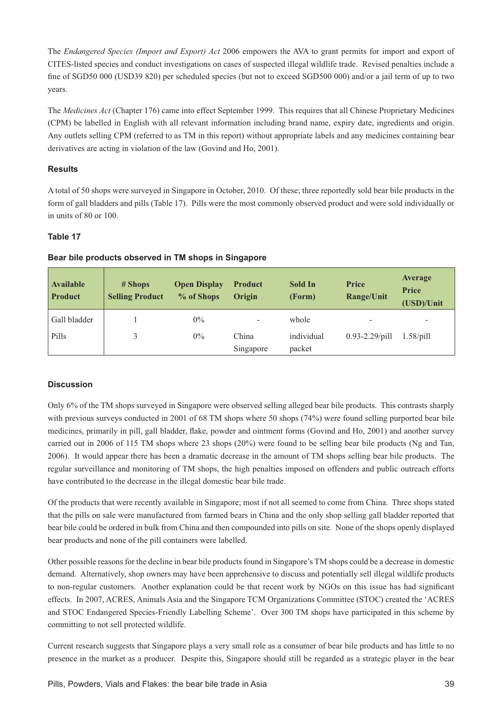The *Endangered Species (Import and Export) Act* 2006 empowers the AVA to grant permits for import and export of CITES-listed species and conduct investigations on cases of suspected illegal wildlife trade. Revised penalties include a fine of SGD50 000 (USD39 820) per scheduled species (but not to exceed SGD500 000) and/or a jail term of up to two years.

The *Medicines Act* (Chapter 176) came into effect September 1999. This requires that all Chinese Proprietary Medicines (CPM) be labelled in English with all relevant information including brand name, expiry date, ingredients and origin. Any outlets selling CPM (referred to as TM in this report) without appropriate labels and any medicines containing bear derivatives are acting in violation of the law (Govind and Ho, 2001).

# **Results**

A total of 50 shops were surveyed in Singapore in October, 2010. Of these; three reportedly sold bear bile products in the form of gall bladders and pills (Table 17). Pills were the most commonly observed product and were sold individually or in units of 80 or 100.

# **Table 17**

| <b>Available</b><br><b>Product</b> | # Shops<br><b>Selling Product</b> | <b>Open Display</b><br>% of Shops | <b>Product</b><br>Origin     | Sold In<br>(Form) | Price<br><b>Range/Unit</b> | Average<br><b>Price</b><br>(USD)/Unit |
|------------------------------------|-----------------------------------|-----------------------------------|------------------------------|-------------------|----------------------------|---------------------------------------|
| Gall bladder                       |                                   | $0\%$                             | $\qquad \qquad \blacksquare$ | whole             | $\overline{\phantom{0}}$   | $\overline{\phantom{0}}$              |
| Pills                              | 3                                 | $0\%$                             | China                        | individual        | $0.93 - 2.29$ /pill        | $1.58$ /pill                          |
|                                    |                                   |                                   | Singapore                    | packet            |                            |                                       |

# **Bear bile products observed in TM shops in Singapore**

# **Discussion**

Only 6% of the TM shops surveyed in Singapore were observed selling alleged bear bile products. This contrasts sharply with previous surveys conducted in 2001 of 68 TM shops where 50 shops (74%) were found selling purported bear bile medicines, primarily in pill, gall bladder, flake, powder and ointment forms (Govind and Ho, 2001) and another survey carried out in 2006 of 115 TM shops where 23 shops (20%) were found to be selling bear bile products (Ng and Tan, 2006). It would appear there has been a dramatic decrease in the amount of TM shops selling bear bile products. The regular surveillance and monitoring of TM shops, the high penalties imposed on offenders and public outreach efforts have contributed to the decrease in the illegal domestic bear bile trade.

Of the products that were recently available in Singapore; most if not all seemed to come from China. Three shops stated that the pills on sale were manufactured from farmed bears in China and the only shop selling gall bladder reported that bear bile could be ordered in bulk from China and then compounded into pills on site. None of the shops openly displayed bear products and none of the pill containers were labelled.

Other possible reasons for the decline in bear bile products found in Singapore's TM shops could be a decrease in domestic demand. Alternatively, shop owners may have been apprehensive to discuss and potentially sell illegal wildlife products to non-regular customers. Another explanation could be that recent work by NGOs on this issue has had significant effects. In 2007, ACRES, Animals Asia and the Singapore TCM Organizations Committee (STOC) created the 'ACRES and STOC Endangered Species-Friendly Labelling Scheme'. Over 300 TM shops have participated in this scheme by committing to not sell protected wildlife.

Current research suggests that Singapore plays a very small role as a consumer of bear bile products and has little to no presence in the market as a producer. Despite this, Singapore should still be regarded as a strategic player in the bear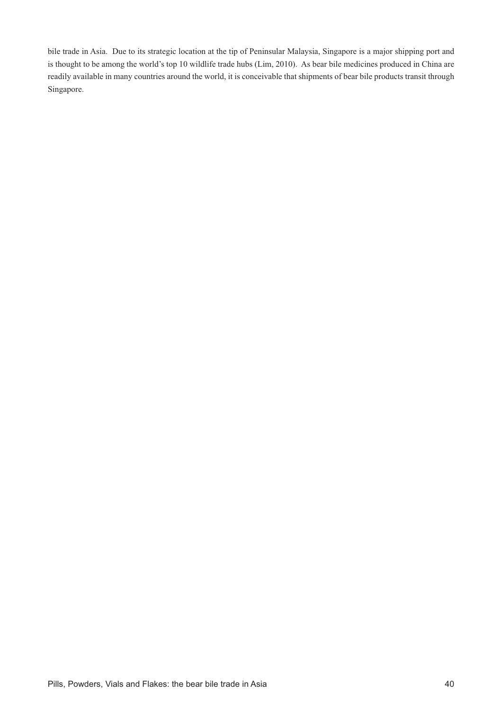bile trade in Asia. Due to its strategic location at the tip of Peninsular Malaysia, Singapore is a major shipping port and is thought to be among the world's top 10 wildlife trade hubs (Lim, 2010). As bear bile medicines produced in China are readily available in many countries around the world, it is conceivable that shipments of bear bile products transit through Singapore.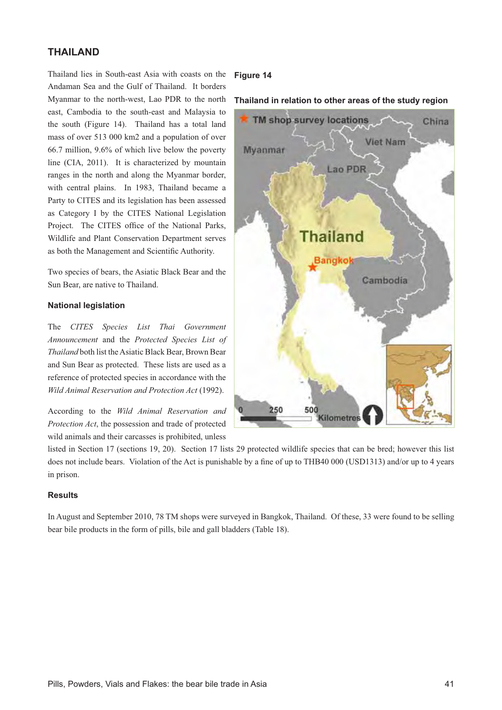# **THAILAND**

Thailand lies in South-east Asia with coasts on the Andaman Sea and the Gulf of Thailand. It borders Myanmar to the north-west, Lao PDR to the north east, Cambodia to the south-east and Malaysia to the south (Figure 14). Thailand has a total land mass of over 513 000 km2 and a population of over 66.7 million, 9.6% of which live below the poverty line (CIA, 2011). It is characterized by mountain ranges in the north and along the Myanmar border, with central plains. In 1983, Thailand became a Party to CITES and its legislation has been assessed as Category I by the CITES National Legislation Project. The CITES office of the National Parks, Wildlife and Plant Conservation Department serves as both the Management and Scientific Authority.

Two species of bears, the Asiatic Black Bear and the Sun Bear, are native to Thailand.

## **National legislation**

The *CITES Species List Thai Government Announcement* and the *Protected Species List of Thailand* both list the Asiatic Black Bear, Brown Bear and Sun Bear as protected. These lists are used as a reference of protected species in accordance with the *Wild Animal Reservation and Protection Act* (1992).

According to the *Wild Animal Reservation and Protection Act*, the possession and trade of protected wild animals and their carcasses is prohibited, unless

## **Figure 14**

## Thailand in relation to other areas of the study region



listed in Section 17 (sections 19, 20). Section 17 lists 29 protected wildlife species that can be bred; however this list does not include bears. Violation of the Act is punishable by a fine of up to THB40 000 (USD1313) and/or up to 4 years in prison.

## **Results**

In August and September 2010, 78 TM shops were surveyed in Bangkok, Thailand. Of these, 33 were found to be selling bear bile products in the form of pills, bile and gall bladders (Table 18).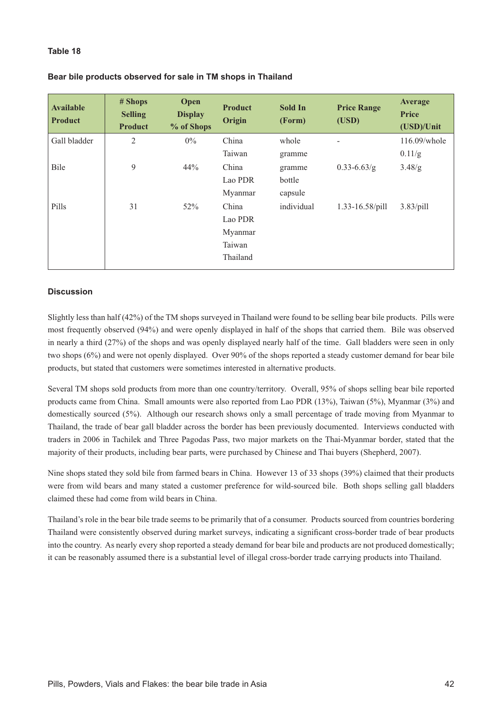## **Table 18**

| Bear bile products observed for sale in TM shops in Thailand |  |  |  |
|--------------------------------------------------------------|--|--|--|
|--------------------------------------------------------------|--|--|--|

| <b>Available</b><br><b>Product</b> | # Shops<br><b>Selling</b><br><b>Product</b> | Open<br><b>Display</b><br>% of Shops | <b>Product</b><br>Origin | <b>Sold In</b><br>(Form) | <b>Price Range</b><br>(USD) | <b>Average</b><br><b>Price</b><br>(USD)/Unit |
|------------------------------------|---------------------------------------------|--------------------------------------|--------------------------|--------------------------|-----------------------------|----------------------------------------------|
| Gall bladder                       | 2                                           | $0\%$                                | China                    | whole                    | -                           | 116.09/whole                                 |
|                                    |                                             |                                      | Taiwan                   | gramme                   |                             | 0.11/g                                       |
| Bile                               | 9                                           | 44%                                  | China                    | gramme                   | $0.33 - 6.63/g$             | 3.48/g                                       |
|                                    |                                             |                                      | Lao PDR                  | bottle                   |                             |                                              |
|                                    |                                             |                                      | Myanmar                  | capsule                  |                             |                                              |
| Pills                              | 31                                          | 52%                                  | China                    | individual               | 1.33-16.58/pill             | $3.83$ /pill                                 |
|                                    |                                             |                                      | Lao PDR                  |                          |                             |                                              |
|                                    |                                             |                                      | Myanmar                  |                          |                             |                                              |
|                                    |                                             |                                      | Taiwan                   |                          |                             |                                              |
|                                    |                                             |                                      | Thailand                 |                          |                             |                                              |

## **Discussion**

Slightly less than half (42%) of the TM shops surveyed in Thailand were found to be selling bear bile products. Pills were most frequently observed (94%) and were openly displayed in half of the shops that carried them. Bile was observed in nearly a third (27%) of the shops and was openly displayed nearly half of the time. Gall bladders were seen in only two shops (6%) and were not openly displayed. Over 90% of the shops reported a steady customer demand for bear bile products, but stated that customers were sometimes interested in alternative products.

Several TM shops sold products from more than one country/territory. Overall, 95% of shops selling bear bile reported products came from China. Small amounts were also reported from Lao PDR (13%), Taiwan (5%), Myanmar (3%) and domestically sourced (5%). Although our research shows only a small percentage of trade moving from Myanmar to Thailand, the trade of bear gall bladder across the border has been previously documented. Interviews conducted with traders in 2006 in Tachilek and Three Pagodas Pass, two major markets on the Thai-Myanmar border, stated that the majority of their products, including bear parts, were purchased by Chinese and Thai buyers (Shepherd, 2007).

Nine shops stated they sold bile from farmed bears in China. However 13 of 33 shops (39%) claimed that their products were from wild bears and many stated a customer preference for wild-sourced bile. Both shops selling gall bladders claimed these had come from wild bears in China.

Thailand's role in the bear bile trade seems to be primarily that of a consumer. Products sourced from countries bordering Thailand were consistently observed during market surveys, indicating a significant cross-border trade of bear products into the country. As nearly every shop reported a steady demand for bear bile and products are not produced domestically; it can be reasonably assumed there is a substantial level of illegal cross-border trade carrying products into Thailand.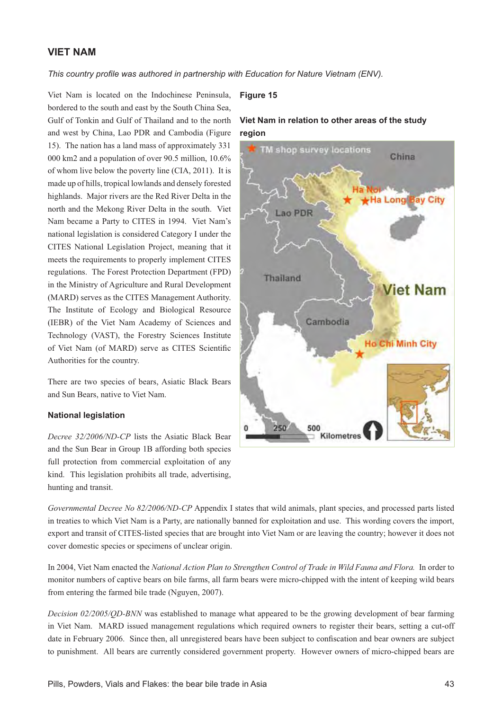# **VIET NAM**

This country profile was authored in partnership with Education for Nature Vietnam (ENV).

Viet Nam is located on the Indochinese Peninsula, bordered to the south and east by the South China Sea, Gulf of Tonkin and Gulf of Thailand and to the north and west by China, Lao PDR and Cambodia (Figure 15). The nation has a land mass of approximately 331 000 km2 and a population of over 90.5 million, 10.6% of whom live below the poverty line (CIA, 2011). It is made up of hills, tropical lowlands and densely forested highlands. Major rivers are the Red River Delta in the north and the Mekong River Delta in the south. Viet Nam became a Party to CITES in 1994. Viet Nam's national legislation is considered Category I under the CITES National Legislation Project, meaning that it meets the requirements to properly implement CITES regulations. The Forest Protection Department (FPD) in the Ministry of Agriculture and Rural Development (MARD) serves as the CITES Management Authority. The Institute of Ecology and Biological Resource (IEBR) of the Viet Nam Academy of Sciences and Technology (VAST), the Forestry Sciences Institute of Viet Nam (of MARD) serve as CITES Scientific Authorities for the country.

There are two species of bears, Asiatic Black Bears and Sun Bears, native to Viet Nam.

#### **National legislation**

*Decree 32/2006/ND-CP* lists the Asiatic Black Bear and the Sun Bear in Group 1B affording both species full protection from commercial exploitation of any kind. This legislation prohibits all trade, advertising, hunting and transit.

#### **Figure 15**





*Governmental Decree No 82/2006/ND-CP* Appendix I states that wild animals, plant species, and processed parts listed in treaties to which Viet Nam is a Party, are nationally banned for exploitation and use. This wording covers the import, export and transit of CITES-listed species that are brought into Viet Nam or are leaving the country; however it does not cover domestic species or specimens of unclear origin.

In 2004, Viet Nam enacted the *National Action Plan to Strengthen Control of Trade in Wild Fauna and Flora.* In order to monitor numbers of captive bears on bile farms, all farm bears were micro-chipped with the intent of keeping wild bears from entering the farmed bile trade (Nguyen, 2007).

*Decision 02/2005/QD-BNN* was established to manage what appeared to be the growing development of bear farming in Viet Nam. MARD issued management regulations which required owners to register their bears, setting a cut-off date in February 2006. Since then, all unregistered bears have been subject to confiscation and bear owners are subject to punishment. All bears are currently considered government property. However owners of micro-chipped bears are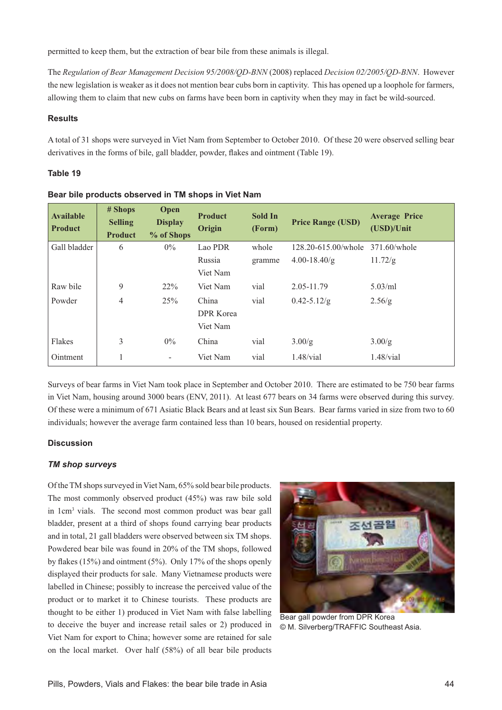permitted to keep them, but the extraction of bear bile from these animals is illegal.

The *Regulation of Bear Management Decision 95/2008/QD-BNN* (2008) replaced *Decision 02/2005/QD-BNN*. However the new legislation is weaker as it does not mention bear cubs born in captivity. This has opened up a loophole for farmers, allowing them to claim that new cubs on farms have been born in captivity when they may in fact be wild-sourced.

### **Results**

A total of 31 shops were surveyed in Viet Nam from September to October 2010. Of these 20 were observed selling bear derivatives in the forms of bile, gall bladder, powder, flakes and ointment (Table 19).

# **Table 19**

| <b>Available</b><br><b>Product</b> | # Shops<br><b>Selling</b><br><b>Product</b> | Open<br><b>Display</b><br>% of Shops | <b>Product</b><br>Origin | Sold In<br>(Form) | <b>Price Range (USD)</b>         | <b>Average Price</b><br>(USD)/Unit |
|------------------------------------|---------------------------------------------|--------------------------------------|--------------------------|-------------------|----------------------------------|------------------------------------|
| Gall bladder                       | 6                                           | $0\%$                                | Lao PDR                  | whole             | 128.20-615.00/whole 371.60/whole |                                    |
|                                    |                                             |                                      | Russia                   | gramme            | $4.00 - 18.40/g$                 | 11.72/g                            |
|                                    |                                             |                                      | Viet Nam                 |                   |                                  |                                    |
| Raw bile                           | 9                                           | $22\%$                               | Viet Nam                 | vial              | 2.05-11.79                       | $5.03$ /ml                         |
| Powder                             | 4                                           | 25%                                  | China                    | vial              | $0.42 - 5.12/g$                  | 2.56/g                             |
|                                    |                                             |                                      | <b>DPR</b> Korea         |                   |                                  |                                    |
|                                    |                                             |                                      | Viet Nam                 |                   |                                  |                                    |
| Flakes                             | 3                                           | $0\%$                                | China                    | vial              | 3.00/g                           | 3.00/g                             |
| Ointment                           |                                             | $\overline{\phantom{a}}$             | Viet Nam                 | vial              | $1.48/\text{vial}$               | $1.48/\text{vial}$                 |

| Bear bile products observed in TM shops in Viet Nam |  |  |  |
|-----------------------------------------------------|--|--|--|
|-----------------------------------------------------|--|--|--|

Surveys of bear farms in Viet Nam took place in September and October 2010. There are estimated to be 750 bear farms in Viet Nam, housing around 3000 bears (ENV, 2011). At least 677 bears on 34 farms were observed during this survey. Of these were a minimum of 671 Asiatic Black Bears and at least six Sun Bears. Bear farms varied in size from two to 60 individuals; however the average farm contained less than 10 bears, housed on residential property.

## **Discussion**

### *TM shop surveys*

Of the TM shops surveyed in Viet Nam, 65% sold bear bile products. The most commonly observed product (45%) was raw bile sold in 1cm<sup>3</sup> vials. The second most common product was bear gall bladder, present at a third of shops found carrying bear products and in total, 21 gall bladders were observed between six TM shops. Powdered bear bile was found in 20% of the TM shops, followed by flakes (15%) and ointment (5%). Only 17% of the shops openly displayed their products for sale. Many Vietnamese products were labelled in Chinese; possibly to increase the perceived value of the product or to market it to Chinese tourists. These products are thought to be either 1) produced in Viet Nam with false labelling to deceive the buyer and increase retail sales or 2) produced in Viet Nam for export to China; however some are retained for sale on the local market. Over half (58%) of all bear bile products



Bear gall powder from DPR Korea © M. Silverberg/TRAFFIC Southeast Asia.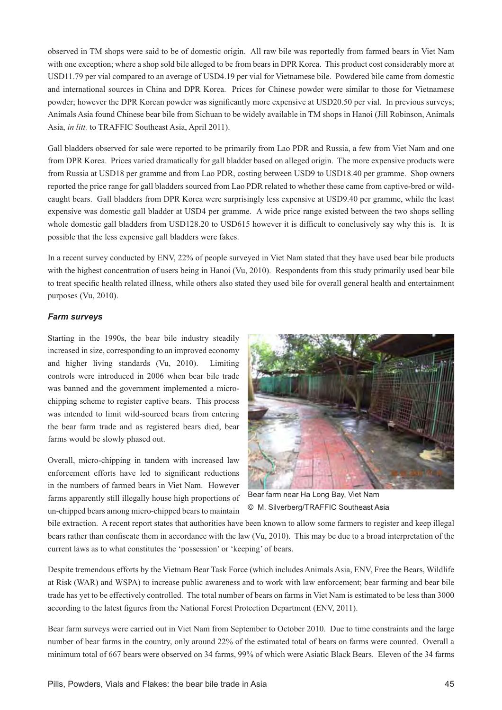observed in TM shops were said to be of domestic origin. All raw bile was reportedly from farmed bears in Viet Nam with one exception; where a shop sold bile alleged to be from bears in DPR Korea. This product cost considerably more at USD11.79 per vial compared to an average of USD4.19 per vial for Vietnamese bile. Powdered bile came from domestic and international sources in China and DPR Korea. Prices for Chinese powder were similar to those for Vietnamese powder; however the DPR Korean powder was significantly more expensive at USD20.50 per vial. In previous surveys; Animals Asia found Chinese bear bile from Sichuan to be widely available in TM shops in Hanoi (Jill Robinson, Animals Asia, *in litt.* to TRAFFIC Southeast Asia, April 2011).

Gall bladders observed for sale were reported to be primarily from Lao PDR and Russia, a few from Viet Nam and one from DPR Korea. Prices varied dramatically for gall bladder based on alleged origin. The more expensive products were from Russia at USD18 per gramme and from Lao PDR, costing between USD9 to USD18.40 per gramme. Shop owners reported the price range for gall bladders sourced from Lao PDR related to whether these came from captive-bred or wildcaught bears. Gall bladders from DPR Korea were surprisingly less expensive at USD9.40 per gramme, while the least expensive was domestic gall bladder at USD4 per gramme. A wide price range existed between the two shops selling whole domestic gall bladders from USD128.20 to USD615 however it is difficult to conclusively say why this is. It is possible that the less expensive gall bladders were fakes.

In a recent survey conducted by ENV, 22% of people surveyed in Viet Nam stated that they have used bear bile products with the highest concentration of users being in Hanoi (Vu, 2010). Respondents from this study primarily used bear bile to treat specific health related illness, while others also stated they used bile for overall general health and entertainment purposes (Vu, 2010).

# *Farm surveys*

Starting in the 1990s, the bear bile industry steadily increased in size, corresponding to an improved economy and higher living standards (Vu, 2010). Limiting controls were introduced in 2006 when bear bile trade was banned and the government implemented a microchipping scheme to register captive bears. This process was intended to limit wild-sourced bears from entering the bear farm trade and as registered bears died, bear farms would be slowly phased out.

Overall, micro-chipping in tandem with increased law enforcement efforts have led to significant reductions in the numbers of farmed bears in Viet Nam. However farms apparently still illegally house high proportions of un-chipped bears among micro-chipped bears to maintain



Bear farm near Ha Long Bay, Viet Nam © M. Silverberg/TRAFFIC Southeast Asia

bile extraction. A recent report states that authorities have been known to allow some farmers to register and keep illegal bears rather than confiscate them in accordance with the law (Vu, 2010). This may be due to a broad interpretation of the current laws as to what constitutes the 'possession' or 'keeping' of bears.

Despite tremendous efforts by the Vietnam Bear Task Force (which includes Animals Asia, ENV, Free the Bears, Wildlife at Risk (WAR) and WSPA) to increase public awareness and to work with law enforcement; bear farming and bear bile trade has yet to be effectively controlled. The total number of bears on farms in Viet Nam is estimated to be less than 3000 according to the latest figures from the National Forest Protection Department (ENV, 2011).

Bear farm surveys were carried out in Viet Nam from September to October 2010. Due to time constraints and the large number of bear farms in the country, only around 22% of the estimated total of bears on farms were counted. Overall a minimum total of 667 bears were observed on 34 farms, 99% of which were Asiatic Black Bears. Eleven of the 34 farms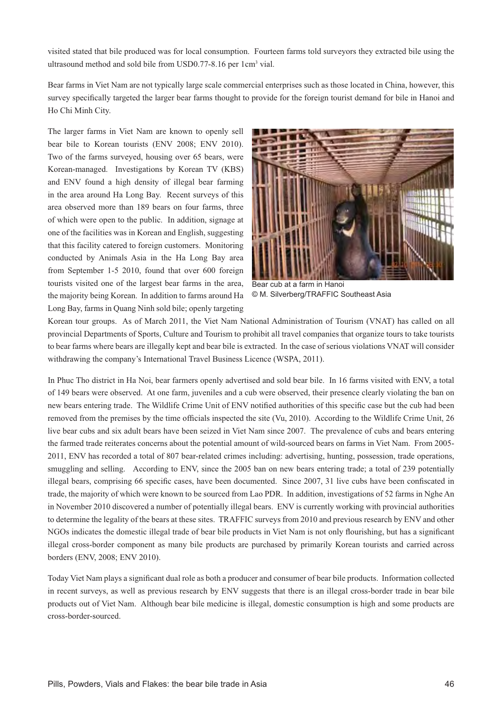visited stated that bile produced was for local consumption. Fourteen farms told surveyors they extracted bile using the ultrasound method and sold bile from USD0.77-8.16 per 1cm<sup>3</sup> vial.

Bear farms in Viet Nam are not typically large scale commercial enterprises such as those located in China, however, this survey specifically targeted the larger bear farms thought to provide for the foreign tourist demand for bile in Hanoi and Ho Chi Minh City.

The larger farms in Viet Nam are known to openly sell bear bile to Korean tourists (ENV 2008; ENV 2010). Two of the farms surveyed, housing over 65 bears, were Korean-managed. Investigations by Korean TV (KBS) and ENV found a high density of illegal bear farming in the area around Ha Long Bay. Recent surveys of this area observed more than 189 bears on four farms, three of which were open to the public. In addition, signage at one of the facilities was in Korean and English, suggesting that this facility catered to foreign customers. Monitoring conducted by Animals Asia in the Ha Long Bay area from September 1-5 2010, found that over 600 foreign tourists visited one of the largest bear farms in the area, the majority being Korean. In addition to farms around Ha Long Bay, farms in Quang Ninh sold bile; openly targeting



Bear cub at a farm in Hanoi © M. Silverberg/TRAFFIC Southeast Asia

Korean tour groups. As of March 2011, the Viet Nam National Administration of Tourism (VNAT) has called on all provincial Departments of Sports, Culture and Tourism to prohibit all travel companies that organize tours to take tourists to bear farms where bears are illegally kept and bear bile is extracted. In the case of serious violations VNAT will consider withdrawing the company's International Travel Business Licence (WSPA, 2011).

In Phuc Tho district in Ha Noi, bear farmers openly advertised and sold bear bile. In 16 farms visited with ENV, a total of 149 bears were observed. At one farm, juveniles and a cub were observed, their presence clearly violating the ban on new bears entering trade. The Wildlife Crime Unit of ENV notified authorities of this specific case but the cub had been removed from the premises by the time officials inspected the site (Vu, 2010). According to the Wildlife Crime Unit, 26 live bear cubs and six adult bears have been seized in Viet Nam since 2007. The prevalence of cubs and bears entering the farmed trade reiterates concerns about the potential amount of wild-sourced bears on farms in Viet Nam. From 2005- 2011, ENV has recorded a total of 807 bear-related crimes including: advertising, hunting, possession, trade operations, smuggling and selling. According to ENV, since the 2005 ban on new bears entering trade; a total of 239 potentially illegal bears, comprising 66 specific cases, have been documented. Since 2007, 31 live cubs have been confiscated in trade, the majority of which were known to be sourced from Lao PDR. In addition, investigations of 52 farms in Nghe An in November 2010 discovered a number of potentially illegal bears. ENV is currently working with provincial authorities to determine the legality of the bears at these sites. TRAFFIC surveys from 2010 and previous research by ENV and other NGOs indicates the domestic illegal trade of bear bile products in Viet Nam is not only flourishing, but has a significant illegal cross-border component as many bile products are purchased by primarily Korean tourists and carried across borders (ENV, 2008; ENV 2010).

Today Viet Nam plays a significant dual role as both a producer and consumer of bear bile products. Information collected in recent surveys, as well as previous research by ENV suggests that there is an illegal cross-border trade in bear bile products out of Viet Nam. Although bear bile medicine is illegal, domestic consumption is high and some products are cross-border-sourced.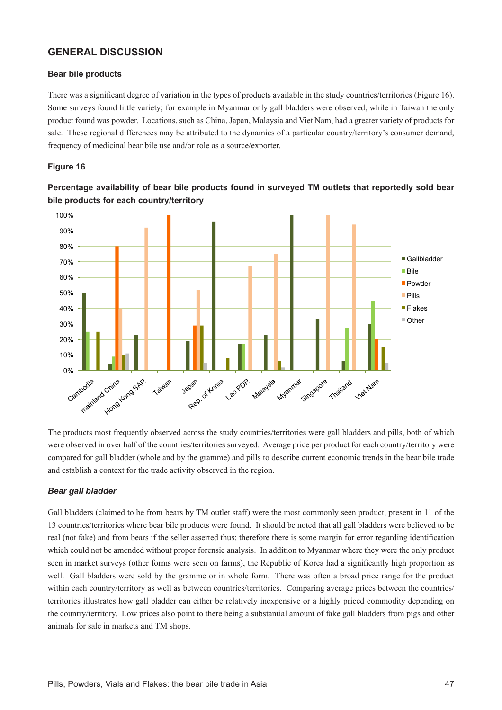# **GENERAL DISCUSSION**

### **Bear bile products**

There was a significant degree of variation in the types of products available in the study countries/territories (Figure 16). Some surveys found little variety; for example in Myanmar only gall bladders were observed, while in Taiwan the only product found was powder. Locations, such as China, Japan, Malaysia and Viet Nam, had a greater variety of products for sale. These regional differences may be attributed to the dynamics of a particular country/territory's consumer demand, frequency of medicinal bear bile use and/or role as a source/exporter.

## **Figure 16**



Percentage availability of bear bile products found in surveyed TM outlets that reportedly sold bear **bile products for each country/territory** 

The products most frequently observed across the study countries/territories were gall bladders and pills, both of which were observed in over half of the countries/territories surveyed. Average price per product for each country/territory were compared for gall bladder (whole and by the gramme) and pills to describe current economic trends in the bear bile trade and establish a context for the trade activity observed in the region.

# *Bear gall bladder*

Gall bladders (claimed to be from bears by TM outlet staff) were the most commonly seen product, present in 11 of the 13 countries/territories where bear bile products were found. It should be noted that all gall bladders were believed to be real (not fake) and from bears if the seller asserted thus; therefore there is some margin for error regarding identification which could not be amended without proper forensic analysis. In addition to Myanmar where they were the only product seen in market surveys (other forms were seen on farms), the Republic of Korea had a significantly high proportion as well. Gall bladders were sold by the gramme or in whole form. There was often a broad price range for the product within each country/territory as well as between countries/territories. Comparing average prices between the countries/ territories illustrates how gall bladder can either be relatively inexpensive or a highly priced commodity depending on the country/territory. Low prices also point to there being a substantial amount of fake gall bladders from pigs and other animals for sale in markets and TM shops.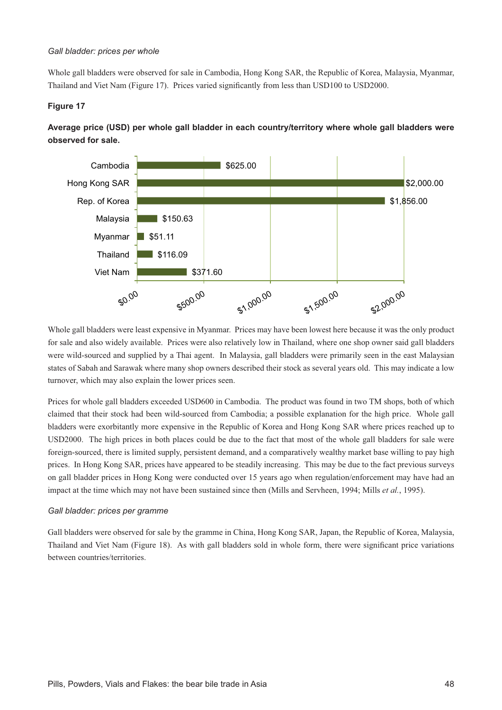#### Gall bladder: prices per whole

Whole gall bladders were observed for sale in Cambodia, Hong Kong SAR, the Republic of Korea, Malaysia, Myanmar, Thailand and Viet Nam (Figure 17). Prices varied significantly from less than USD100 to USD2000.

# **Figure 17**



Average price (USD) per whole gall bladder in each country/territory where whole gall bladders were observed for sale.

Whole gall bladders were least expensive in Myanmar. Prices may have been lowest here because it was the only product for sale and also widely available. Prices were also relatively low in Thailand, where one shop owner said gall bladders were wild-sourced and supplied by a Thai agent. In Malaysia, gall bladders were primarily seen in the east Malaysian states of Sabah and Sarawak where many shop owners described their stock as several years old. This may indicate a low turnover, which may also explain the lower prices seen.

Prices for whole gall bladders exceeded USD600 in Cambodia. The product was found in two TM shops, both of which claimed that their stock had been wild-sourced from Cambodia; a possible explanation for the high price. Whole gall bladders were exorbitantly more expensive in the Republic of Korea and Hong Kong SAR where prices reached up to USD2000. The high prices in both places could be due to the fact that most of the whole gall bladders for sale were foreign-sourced, there is limited supply, persistent demand, and a comparatively wealthy market base willing to pay high prices. In Hong Kong SAR, prices have appeared to be steadily increasing. This may be due to the fact previous surveys on gall bladder prices in Hong Kong were conducted over 15 years ago when regulation/enforcement may have had an impact at the time which may not have been sustained since then (Mills and Servheen, 1994; Mills *et al.*, 1995).

### Gall bladder: prices per gramme

Gall bladders were observed for sale by the gramme in China, Hong Kong SAR, Japan, the Republic of Korea, Malaysia, Thailand and Viet Nam (Figure 18). As with gall bladders sold in whole form, there were significant price variations between countries/territories.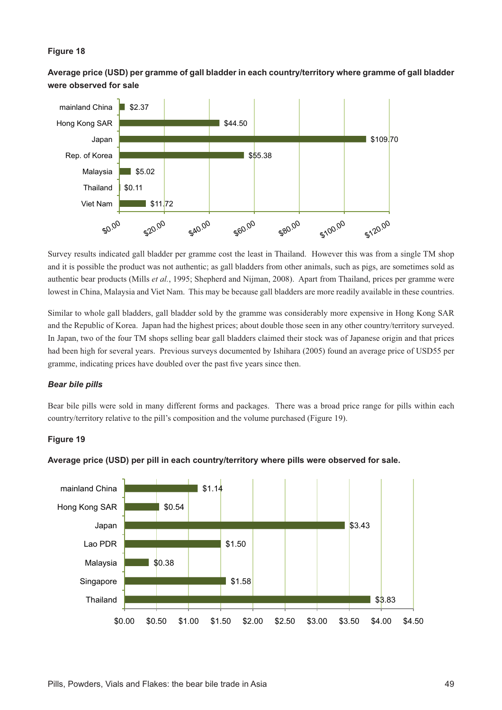# **Figure 18**

Average price (USD) per gramme of gall bladder in each country/territory where gramme of gall bladder **Were observed for sale** 



Survey results indicated gall bladder per gramme cost the least in Thailand. However this was from a single TM shop and it is possible the product was not authentic; as gall bladders from other animals, such as pigs, are sometimes sold as authentic bear products (Mills *et al.*, 1995; Shepherd and Nijman, 2008). Apart from Thailand, prices per gramme were lowest in China, Malaysia and Viet Nam. This may be because gall bladders are more readily available in these countries.

Similar to whole gall bladders, gall bladder sold by the gramme was considerably more expensive in Hong Kong SAR and the Republic of Korea. Japan had the highest prices; about double those seen in any other country/territory surveyed. In Japan, two of the four TM shops selling bear gall bladders claimed their stock was of Japanese origin and that prices had been high for several years. Previous surveys documented by Ishihara (2005) found an average price of USD55 per gramme, indicating prices have doubled over the past five years since then.

# *Bear bile pills*

Bear bile pills were sold in many different forms and packages. There was a broad price range for pills within each country/territory relative to the pill's composition and the volume purchased (Figure 19).

# **Figure 19**



### Average price (USD) per pill in each country/territory where pills were observed for sale.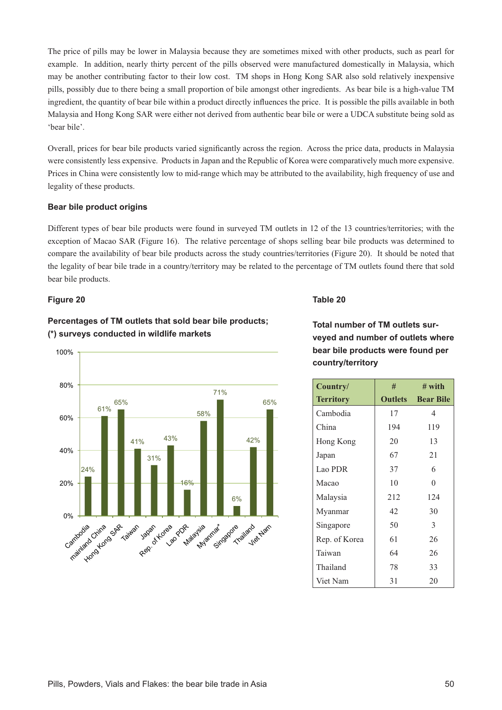The price of pills may be lower in Malaysia because they are sometimes mixed with other products, such as pearl for example. In addition, nearly thirty percent of the pills observed were manufactured domestically in Malaysia, which may be another contributing factor to their low cost. TM shops in Hong Kong SAR also sold relatively inexpensive pills, possibly due to there being a small proportion of bile amongst other ingredients. As bear bile is a high-value TM ingredient, the quantity of bear bile within a product directly influences the price. It is possible the pills available in both Malaysia and Hong Kong SAR were either not derived from authentic bear bile or were a UDCA substitute being sold as 'bear bile'.

Overall, prices for bear bile products varied significantly across the region. Across the price data, products in Malaysia were consistently less expensive. Products in Japan and the Republic of Korea were comparatively much more expensive. Prices in China were consistently low to mid-range which may be attributed to the availability, high frequency of use and legality of these products.

## **Bear bile product origins**

Different types of bear bile products were found in surveyed TM outlets in 12 of the 13 countries/territories; with the exception of Macao SAR (Figure 16). The relative percentage of shops selling bear bile products was determined to compare the availability of bear bile products across the study countries/territories (Figure 20). It should be noted that the legality of bear bile trade in a country/territory may be related to the percentage of TM outlets found there that sold bear bile products.

## **Figure 20**

# **Percentages of TM outlets that sold bear bile products:** (\*) surveys conducted in wildlife markets



# **Table 20**

**70bgamber of TM outlets sur-Veved and number of outlets where bear bile products were found per** country/territory

| Country/         | #              | $#$ with         |
|------------------|----------------|------------------|
| <b>Territory</b> | <b>Outlets</b> | <b>Bear Bile</b> |
| Cambodia         | 17             | 4                |
| China            | 194            | 119              |
| Hong Kong        | 20             | 13               |
| Japan            | 67             | 21               |
| Lao PDR          | 37             | 6                |
| Macao            | 10             | $\theta$         |
| Malaysia         | 212            | 124              |
| Myanmar          | 42             | 30               |
| Singapore        | 50             | 3                |
| Rep. of Korea    | 61             | 26               |
| Taiwan           | 64             | 26               |
| Thailand         | 78             | 33               |
| Viet Nam         | 31             | 20               |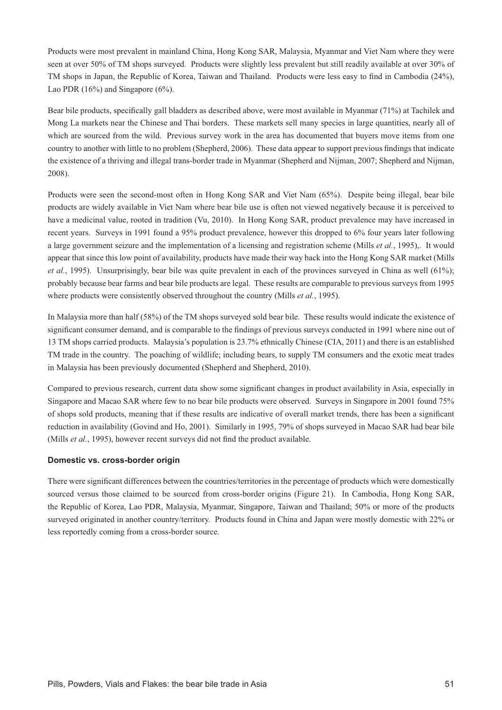Products were most prevalent in mainland China, Hong Kong SAR, Malaysia, Myanmar and Viet Nam where they were seen at over 50% of TM shops surveyed. Products were slightly less prevalent but still readily available at over 30% of TM shops in Japan, the Republic of Korea, Taiwan and Thailand. Products were less easy to find in Cambodia (24%), Lao PDR  $(16\%)$  and Singapore  $(6\%)$ .

Bear bile products, specifically gall bladders as described above, were most available in Myanmar  $(71\%)$  at Tachilek and Mong La markets near the Chinese and Thai borders. These markets sell many species in large quantities, nearly all of which are sourced from the wild. Previous survey work in the area has documented that buyers move items from one country to another with little to no problem (Shepherd, 2006). These data appear to support previous findings that indicate the existence of a thriving and illegal trans-border trade in Myanmar (Shepherd and Nijman, 2007; Shepherd and Nijman, 2008).

Products were seen the second-most often in Hong Kong SAR and Viet Nam (65%). Despite being illegal, bear bile products are widely available in Viet Nam where bear bile use is often not viewed negatively because it is perceived to have a medicinal value, rooted in tradition (Vu, 2010). In Hong Kong SAR, product prevalence may have increased in recent years. Surveys in 1991 found a 95% product prevalence, however this dropped to 6% four years later following a large government seizure and the implementation of a licensing and registration scheme (Mills *et al.*, 1995),. It would appear that since this low point of availability, products have made their way back into the Hong Kong SAR market (Mills *et al.*, 1995). Unsurprisingly, bear bile was quite prevalent in each of the provinces surveyed in China as well  $(61\%)$ ; probably because bear farms and bear bile products are legal. These results are comparable to previous surveys from 1995 where products were consistently observed throughout the country (Mills *et al.*, 1995).

In Malaysia more than half (58%) of the TM shops surveyed sold bear bile. These results would indicate the existence of significant consumer demand, and is comparable to the findings of previous surveys conducted in 1991 where nine out of 13 TM shops carried products. Malaysia's population is 23.7% ethnically Chinese (CIA, 2011) and there is an established TM trade in the country. The poaching of wildlife; including bears, to supply TM consumers and the exotic meat trades in Malaysia has been previously documented (Shepherd and Shepherd, 2010).

Compared to previous research, current data show some significant changes in product availability in Asia, especially in Singapore and Macao SAR where few to no bear bile products were observed. Surveys in Singapore in 2001 found 75% of shops sold products, meaning that if these results are indicative of overall market trends, there has been a significant reduction in availability (Govind and Ho, 2001). Similarly in 1995, 79% of shops surveyed in Macao SAR had bear bile (Mills *et al.*, 1995), however recent surveys did not find the product available.

# Domestic vs. cross-border origin

There were significant differences between the countries/territories in the percentage of products which were domestically sourced versus those claimed to be sourced from cross-border origins (Figure 21). In Cambodia, Hong Kong SAR, the Republic of Korea, Lao PDR, Malaysia, Myanmar, Singapore, Taiwan and Thailand; 50% or more of the products surveyed originated in another country/territory. Products found in China and Japan were mostly domestic with 22% or less reportedly coming from a cross-border source.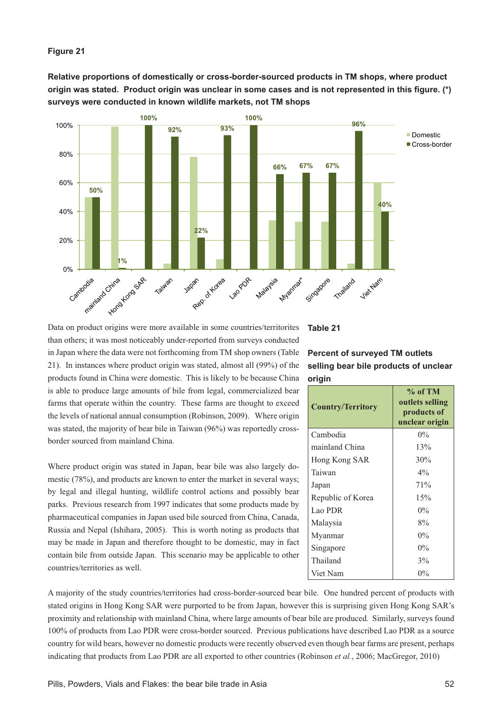## **Figure 21**

Relative proportions of domestically or cross-border-sourced products in TM shops, where product origin was stated. Product origin was unclear in some cases and is not represented in this figure. (\*) surveys were conducted in known wildlife markets, not TM shops



Data on product origins were more available in some countries/territorites than others; it was most noticeably under-reported from surveys conducted in Japan where the data were not forthcoming from TM shop owners (Table 21). In instances where product origin was stated, almost all (99%) of the products found in China were domestic. This is likely to be because China is able to produce large amounts of bile from legal, commercialized bear farms that operate within the country. These farms are thought to exceed the levels of national annual consumption (Robinson, 2009). Where origin was stated, the majority of bear bile in Taiwan (96%) was reportedly crossborder sourced from mainland China.

Where product origin was stated in Japan, bear bile was also largely domestic (78%), and products are known to enter the market in several ways; by legal and illegal hunting, wildlife control actions and possibly bear parks. Previous research from 1997 indicates that some products made by pharmaceutical companies in Japan used bile sourced from China, Canada, Russia and Nepal (Ishihara, 2005). This is worth noting as products that may be made in Japan and therefore thought to be domestic, may in fact contain bile from outside Japan. This scenario may be applicable to other countries/territories as well.

A majority of the study countries/territories had cross-border-sourced bear bile. One hundred percent of products with stated origins in Hong Kong SAR were purported to be from Japan, however this is surprising given Hong Kong SAR's proximity and relationship with mainland China, where large amounts of bear bile are produced. Similarly, surveys found 100% of products from Lao PDR were cross-border sourced. Previous publications have described Lao PDR as a source country for wild bears, however no domestic products were recently observed even though bear farms are present, perhaps indicating that products from Lao PDR are all exported to other countries (Robinson *et al.*, 2006; MacGregor, 2010)

**Table 21**

# **Percent of surveyed TM outlets** selling bear bile products of unclear **origin**

| <b>Country/Territory</b> | $%$ of TM<br>outlets selling<br>products of<br>unclear origin |  |
|--------------------------|---------------------------------------------------------------|--|
| Cambodia                 | $0\%$                                                         |  |
| mainland China           | 13%                                                           |  |
| Hong Kong SAR            | 30%                                                           |  |
| Taiwan                   | $4\%$                                                         |  |
| Japan                    | 71%                                                           |  |
| Republic of Korea        | 15%                                                           |  |
| Lao PDR                  | $0\%$                                                         |  |
| Malaysia                 | 8%                                                            |  |
| Myanmar                  | $0\%$                                                         |  |
| Singapore                | $0\%$                                                         |  |
| Thailand                 | $3\%$                                                         |  |
| Viet Nam                 | $0\%$                                                         |  |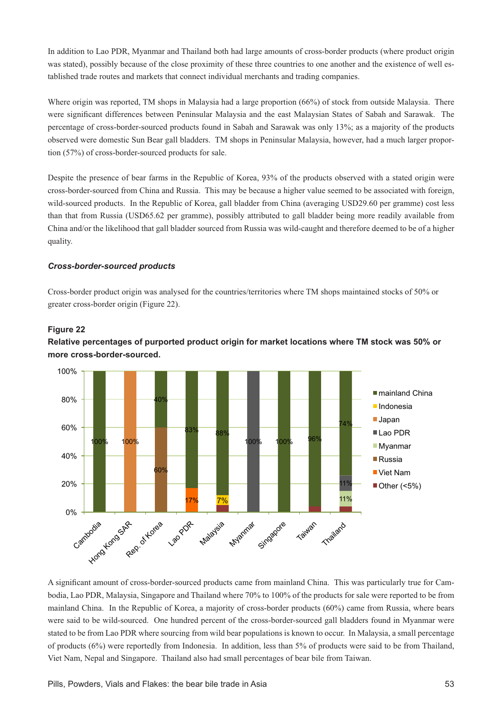In addition to Lao PDR, Myanmar and Thailand both had large amounts of cross-border products (where product origin was stated), possibly because of the close proximity of these three countries to one another and the existence of well established trade routes and markets that connect individual merchants and trading companies.

Where origin was reported, TM shops in Malaysia had a large proportion (66%) of stock from outside Malaysia. There were significant differences between Peninsular Malaysia and the east Malaysian States of Sabah and Sarawak. The percentage of cross-border-sourced products found in Sabah and Sarawak was only 13%; as a majority of the products observed were domestic Sun Bear gall bladders. TM shops in Peninsular Malaysia, however, had a much larger proportion (57%) of cross-border-sourced products for sale.

Despite the presence of bear farms in the Republic of Korea, 93% of the products observed with a stated origin were cross-border-sourced from China and Russia. This may be because a higher value seemed to be associated with foreign, wild-sourced products. In the Republic of Korea, gall bladder from China (averaging USD29.60 per gramme) cost less than that from Russia (USD65.62 per gramme), possibly attributed to gall bladder being more readily available from China and/or the likelihood that gall bladder sourced from Russia was wild-caught and therefore deemed to be of a higher quality.

# *Cross-border-sourced products*

Cross-border product origin was analysed for the countries/territories where TM shops maintained stocks of 50% or greater cross-border origin (Figure 22).

## **Figure 22**





A significant amount of cross-border-sourced products came from mainland China. This was particularly true for Cambodia, Lao PDR, Malaysia, Singapore and Thailand where 70% to 100% of the products for sale were reported to be from mainland China. In the Republic of Korea, a majority of cross-border products (60%) came from Russia, where bears were said to be wild-sourced. One hundred percent of the cross-border-sourced gall bladders found in Myanmar were stated to be from Lao PDR where sourcing from wild bear populations is known to occur. In Malaysia, a small percentage of products (6%) were reportedly from Indonesia. In addition, less than 5% of products were said to be from Thailand, Viet Nam, Nepal and Singapore. Thailand also had small percentages of bear bile from Taiwan.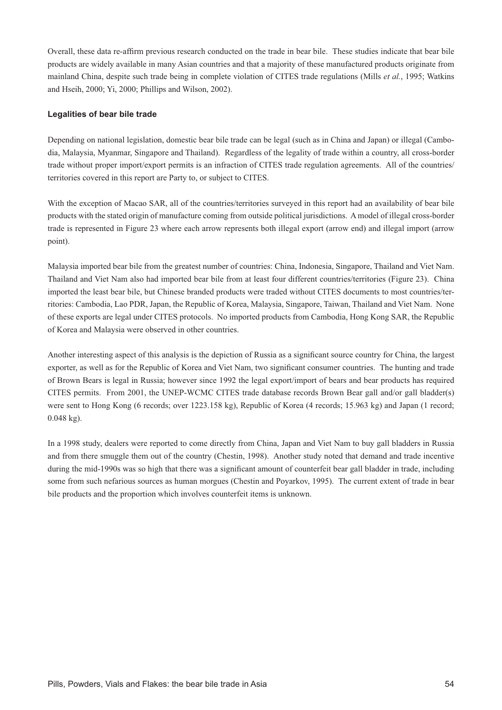Overall, these data re-affirm previous research conducted on the trade in bear bile. These studies indicate that bear bile products are widely available in many Asian countries and that a majority of these manufactured products originate from mainland China, despite such trade being in complete violation of CITES trade regulations (Mills *et al.*, 1995; Watkins and Hseih, 2000; Yi, 2000; Phillips and Wilson, 2002).

## **Legalities of bear bile trade**

Depending on national legislation, domestic bear bile trade can be legal (such as in China and Japan) or illegal (Cambodia, Malaysia, Myanmar, Singapore and Thailand). Regardless of the legality of trade within a country, all cross-border trade without proper import/export permits is an infraction of CITES trade regulation agreements. All of the countries/ territories covered in this report are Party to, or subject to CITES.

With the exception of Macao SAR, all of the countries/territories surveyed in this report had an availability of bear bile products with the stated origin of manufacture coming from outside political jurisdictions. A model of illegal cross-border trade is represented in Figure 23 where each arrow represents both illegal export (arrow end) and illegal import (arrow point).

Malaysia imported bear bile from the greatest number of countries: China, Indonesia, Singapore, Thailand and Viet Nam. Thailand and Viet Nam also had imported bear bile from at least four different countries/territories (Figure 23). China imported the least bear bile, but Chinese branded products were traded without CITES documents to most countries/territories: Cambodia, Lao PDR, Japan, the Republic of Korea, Malaysia, Singapore, Taiwan, Thailand and Viet Nam. None of these exports are legal under CITES protocols. No imported products from Cambodia, Hong Kong SAR, the Republic of Korea and Malaysia were observed in other countries.

Another interesting aspect of this analysis is the depiction of Russia as a significant source country for China, the largest exporter, as well as for the Republic of Korea and Viet Nam, two significant consumer countries. The hunting and trade of Brown Bears is legal in Russia; however since 1992 the legal export/import of bears and bear products has required CITES permits. From 2001, the UNEP-WCMC CITES trade database records Brown Bear gall and/or gall bladder(s) were sent to Hong Kong (6 records; over 1223.158 kg), Republic of Korea (4 records; 15.963 kg) and Japan (1 record; 0.048 kg).

In a 1998 study, dealers were reported to come directly from China, Japan and Viet Nam to buy gall bladders in Russia and from there smuggle them out of the country (Chestin, 1998). Another study noted that demand and trade incentive during the mid-1990s was so high that there was a significant amount of counterfeit bear gall bladder in trade, including some from such nefarious sources as human morgues (Chestin and Poyarkov, 1995). The current extent of trade in bear bile products and the proportion which involves counterfeit items is unknown.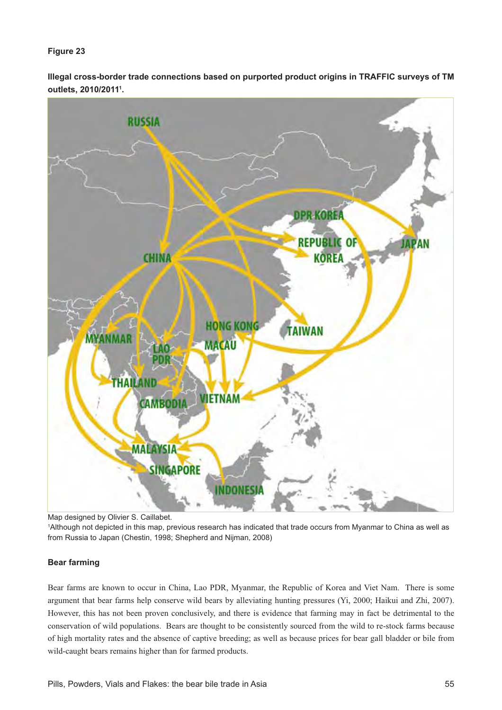# **Figure 23**

lllegal cross-border trade connections based on purported product origins in TRAFFIC surveys of TM outlets, 2010/2011<sup>1</sup>.



Map designed by Olivier S. Caillabet.

1 Although not depicted in this map, previous research has indicated that trade occurs from Myanmar to China as well as from Russia to Japan (Chestin, 1998; Shepherd and Nijman, 2008)

# **Bear farming**

Bear farms are known to occur in China, Lao PDR, Myanmar, the Republic of Korea and Viet Nam. There is some argument that bear farms help conserve wild bears by alleviating hunting pressures (Yi, 2000; Haikui and Zhi, 2007). However, this has not been proven conclusively, and there is evidence that farming may in fact be detrimental to the conservation of wild populations. Bears are thought to be consistently sourced from the wild to re-stock farms because of high mortality rates and the absence of captive breeding; as well as because prices for bear gall bladder or bile from wild-caught bears remains higher than for farmed products.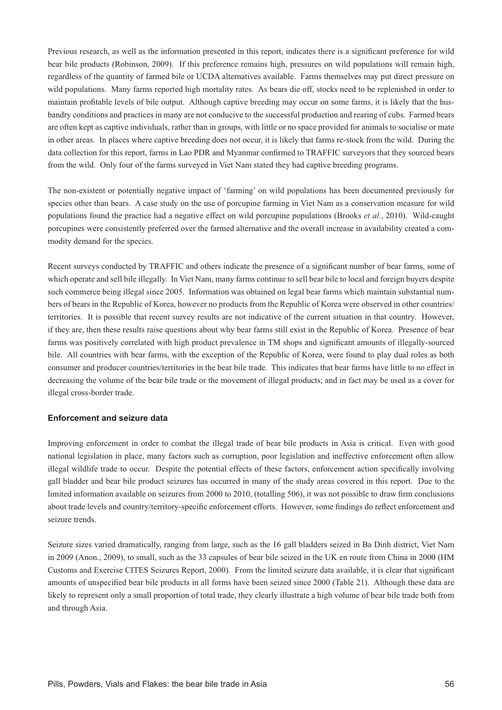Previous research, as well as the information presented in this report, indicates there is a significant preference for wild bear bile products (Robinson, 2009). If this preference remains high, pressures on wild populations will remain high, regardless of the quantity of farmed bile or UCDA alternatives available. Farms themselves may put direct pressure on wild populations. Many farms reported high mortality rates. As bears die off, stocks need to be replenished in order to maintain profitable levels of bile output. Although captive breeding may occur on some farms, it is likely that the husbandry conditions and practices in many are not conducive to the successful production and rearing of cubs. Farmed bears are often kept as captive individuals, rather than in groups, with little or no space provided for animals to socialise or mate in other areas. In places where captive breeding does not occur, it is likely that farms re-stock from the wild. During the data collection for this report, farms in Lao PDR and Myanmar confirmed to TRAFFIC surveyors that they sourced bears from the wild. Only four of the farms surveyed in Viet Nam stated they had captive breeding programs.

The non-existent or potentially negative impact of 'farming' on wild populations has been documented previously for species other than bears. A case study on the use of porcupine farming in Viet Nam as a conservation measure for wild populations found the practice had a negative effect on wild porcupine populations (Brooks *et al.*, 2010). Wild-caught porcupines were consistently preferred over the farmed alternative and the overall increase in availability created a commodity demand for the species.

Recent surveys conducted by TRAFFIC and others indicate the presence of a significant number of bear farms, some of which operate and sell bile illegally. In Viet Nam, many farms continue to sell bear bile to local and foreign buyers despite such commerce being illegal since 2005. Information was obtained on legal bear farms which maintain substantial numbers of bears in the Republic of Korea, however no products from the Republic of Korea were observed in other countries/ territories. It is possible that recent survey results are not indicative of the current situation in that country. However, if they are, then these results raise questions about why bear farms still exist in the Republic of Korea. Presence of bear farms was positively correlated with high product prevalence in TM shops and significant amounts of illegally-sourced bile. All countries with bear farms, with the exception of the Republic of Korea, were found to play dual roles as both consumer and producer countries/territories in the bear bile trade. This indicates that bear farms have little to no effect in decreasing the volume of the bear bile trade or the movement of illegal products; and in fact may be used as a cover for illegal cross-border trade.

### **Enforcement and seizure data**

Improving enforcement in order to combat the illegal trade of bear bile products in Asia is critical. Even with good national legislation in place, many factors such as corruption, poor legislation and ineffective enforcement often allow illegal wildlife trade to occur. Despite the potential effects of these factors, enforcement action specifically involving gall bladder and bear bile product seizures has occurred in many of the study areas covered in this report. Due to the limited information available on seizures from 2000 to 2010, (totalling 506), it was not possible to draw firm conclusions about trade levels and country/territory-specific enforcement efforts. However, some findings do reflect enforcement and seizure trends.

Seizure sizes varied dramatically, ranging from large, such as the 16 gall bladders seized in Ba Dinh district, Viet Nam in 2009 (Anon., 2009), to small, such as the 33 capsules of bear bile seized in the UK en route from China in 2000 (HM Customs and Exercise CITES Seizures Report, 2000). From the limited seizure data available, it is clear that significant amounts of unspecified bear bile products in all forms have been seized since 2000 (Table 21). Although these data are likely to represent only a small proportion of total trade, they clearly illustrate a high volume of bear bile trade both from and through Asia.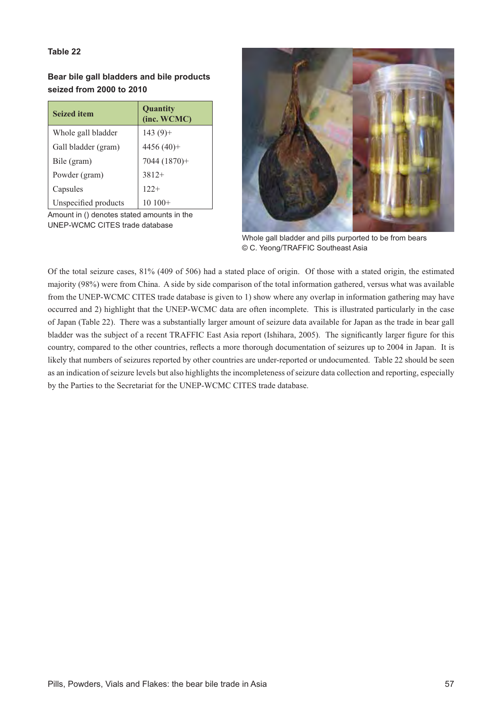# **Table 22**

**Bear bile gall bladders and bile products**  seized from 2000 to 2010

| <b>Seized item</b>   | Quantity<br>(inc. WCMC) |  |
|----------------------|-------------------------|--|
| Whole gall bladder   | $143(9) +$              |  |
| Gall bladder (gram)  | 4456 $(40)$ +           |  |
| Bile (gram)          | 7044 (1870)+            |  |
| Powder (gram)        | $3812+$                 |  |
| Capsules             | $122+$                  |  |
| Unspecified products |                         |  |

Amount in () denotes stated amounts in the UNEP-WCMC CITES trade database



Whole gall bladder and pills purported to be from bears © C. Yeong/TRAFFIC Southeast Asia

Of the total seizure cases, 81% (409 of 506) had a stated place of origin. Of those with a stated origin, the estimated majority (98%) were from China. A side by side comparison of the total information gathered, versus what was available from the UNEP-WCMC CITES trade database is given to 1) show where any overlap in information gathering may have occurred and 2) highlight that the UNEP-WCMC data are often incomplete. This is illustrated particularly in the case of Japan (Table 22). There was a substantially larger amount of seizure data available for Japan as the trade in bear gall bladder was the subject of a recent TRAFFIC East Asia report (Ishihara, 2005). The significantly larger figure for this country, compared to the other countries, reflects a more thorough documentation of seizures up to 2004 in Japan. It is likely that numbers of seizures reported by other countries are under-reported or undocumented. Table 22 should be seen as an indication of seizure levels but also highlights the incompleteness of seizure data collection and reporting, especially by the Parties to the Secretariat for the UNEP-WCMC CITES trade database.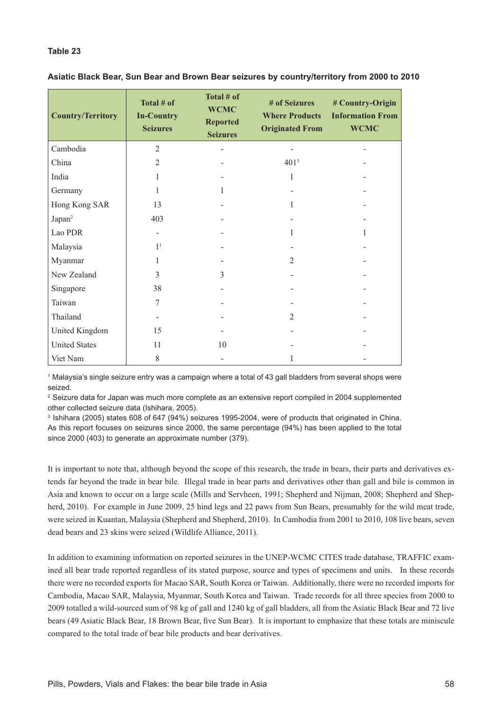# **Table 23**

| <b>Country/Territory</b> | Total # of<br><b>In-Country</b><br><b>Seizures</b> | Total # of<br><b>WCMC</b><br><b>Reported</b><br><b>Seizures</b> | # of Seizures<br><b>Where Products</b><br><b>Originated From</b> | # Country-Origin<br><b>Information From</b><br><b>WCMC</b> |
|--------------------------|----------------------------------------------------|-----------------------------------------------------------------|------------------------------------------------------------------|------------------------------------------------------------|
| Cambodia                 | $\overline{2}$                                     |                                                                 |                                                                  |                                                            |
| China                    | $\overline{2}$                                     |                                                                 | 401 <sup>3</sup>                                                 |                                                            |
| India                    | 1                                                  |                                                                 | $\mathbf{1}$                                                     |                                                            |
| Germany                  | 1                                                  | 1                                                               |                                                                  |                                                            |
| Hong Kong SAR            | 13                                                 |                                                                 | $\mathbf{1}$                                                     |                                                            |
| Japan <sup>2</sup>       | 403                                                |                                                                 |                                                                  |                                                            |
| Lao PDR                  |                                                    |                                                                 | 1                                                                | 1                                                          |
| Malaysia                 | 1 <sup>1</sup>                                     |                                                                 |                                                                  |                                                            |
| Myanmar                  | 1                                                  |                                                                 | 2                                                                |                                                            |
| New Zealand              | 3                                                  | 3                                                               | ۰                                                                |                                                            |
| Singapore                | 38                                                 |                                                                 |                                                                  |                                                            |
| Taiwan                   | 7                                                  |                                                                 |                                                                  |                                                            |
| Thailand                 |                                                    |                                                                 | $\mathfrak{D}$                                                   |                                                            |
| United Kingdom           | 15                                                 |                                                                 |                                                                  |                                                            |
| <b>United States</b>     | 11                                                 | 10                                                              |                                                                  |                                                            |
| Viet Nam                 | 8                                                  |                                                                 | 1                                                                |                                                            |

## Asiatic Black Bear, Sun Bear and Brown Bear seizures by country/territory from 2000 to 2010

<sup>1</sup> Malaysia's single seizure entry was a campaign where a total of 43 gall bladders from several shops were seized.

<sup>2</sup> Seizure data for Japan was much more complete as an extensive report compiled in 2004 supplemented other collected seizure data (Ishihara, 2005).

3 Ishihara (2005) states 608 of 647 (94%) seizures 1995-2004, were of products that originated in China. As this report focuses on seizures since 2000, the same percentage (94%) has been applied to the total since 2000 (403) to generate an approximate number (379).

It is important to note that, although beyond the scope of this research, the trade in bears, their parts and derivatives extends far beyond the trade in bear bile. Illegal trade in bear parts and derivatives other than gall and bile is common in Asia and known to occur on a large scale (Mills and Servheen, 1991; Shepherd and Nijman, 2008; Shepherd and Shepherd, 2010). For example in June 2009, 25 hind legs and 22 paws from Sun Bears, presumably for the wild meat trade, were seized in Kuantan, Malaysia (Shepherd and Shepherd, 2010). In Cambodia from 2001 to 2010, 108 live bears, seven dead bears and 23 skins were seized (Wildlife Alliance, 2011).

In addition to examining information on reported seizures in the UNEP-WCMC CITES trade database, TRAFFIC examined all bear trade reported regardless of its stated purpose, source and types of specimens and units. In these records there were no recorded exports for Macao SAR, South Korea or Taiwan. Additionally, there were no recorded imports for Cambodia, Macao SAR, Malaysia, Myanmar, South Korea and Taiwan. Trade records for all three species from 2000 to 2009 totalled a wild-sourced sum of 98 kg of gall and 1240 kg of gall bladders, all from the Asiatic Black Bear and 72 live bears (49 Asiatic Black Bear, 18 Brown Bear, five Sun Bear). It is important to emphasize that these totals are miniscule compared to the total trade of bear bile products and bear derivatives.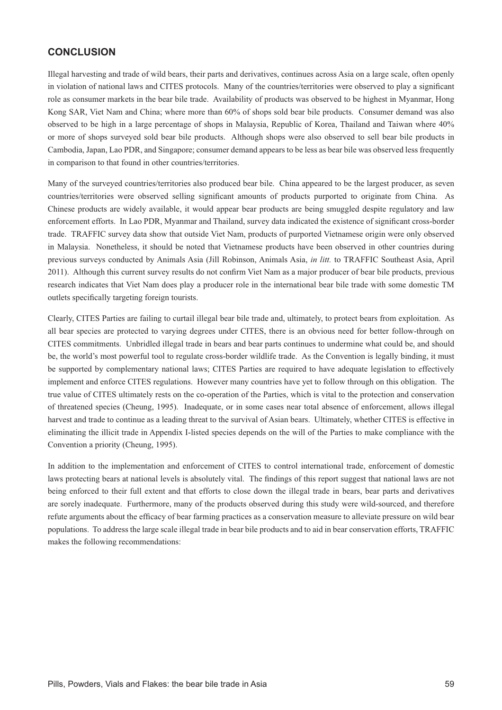# **CONCLUSION**

Illegal harvesting and trade of wild bears, their parts and derivatives, continues across Asia on a large scale, often openly in violation of national laws and CITES protocols. Many of the countries/territories were observed to play a significant role as consumer markets in the bear bile trade. Availability of products was observed to be highest in Myanmar, Hong Kong SAR, Viet Nam and China; where more than 60% of shops sold bear bile products. Consumer demand was also observed to be high in a large percentage of shops in Malaysia, Republic of Korea, Thailand and Taiwan where 40% or more of shops surveyed sold bear bile products. Although shops were also observed to sell bear bile products in Cambodia, Japan, Lao PDR, and Singapore; consumer demand appears to be less as bear bile was observed less frequently in comparison to that found in other countries/territories.

Many of the surveyed countries/territories also produced bear bile. China appeared to be the largest producer, as seven countries/territories were observed selling significant amounts of products purported to originate from China. As Chinese products are widely available, it would appear bear products are being smuggled despite regulatory and law enforcement efforts. In Lao PDR, Myanmar and Thailand, survey data indicated the existence of significant cross-border trade. TRAFFIC survey data show that outside Viet Nam, products of purported Vietnamese origin were only observed in Malaysia. Nonetheless, it should be noted that Vietnamese products have been observed in other countries during previous surveys conducted by Animals Asia (Jill Robinson, Animals Asia, *in litt.* to TRAFFIC Southeast Asia, April 2011). Although this current survey results do not confirm Viet Nam as a major producer of bear bile products, previous research indicates that Viet Nam does play a producer role in the international bear bile trade with some domestic TM outlets specifically targeting foreign tourists.

Clearly, CITES Parties are failing to curtail illegal bear bile trade and, ultimately, to protect bears from exploitation. As all bear species are protected to varying degrees under CITES, there is an obvious need for better follow-through on CITES commitments. Unbridled illegal trade in bears and bear parts continues to undermine what could be, and should be, the world's most powerful tool to regulate cross-border wildlife trade. As the Convention is legally binding, it must be supported by complementary national laws; CITES Parties are required to have adequate legislation to effectively implement and enforce CITES regulations. However many countries have yet to follow through on this obligation. The true value of CITES ultimately rests on the co-operation of the Parties, which is vital to the protection and conservation of threatened species (Cheung, 1995). Inadequate, or in some cases near total absence of enforcement, allows illegal harvest and trade to continue as a leading threat to the survival of Asian bears. Ultimately, whether CITES is effective in eliminating the illicit trade in Appendix I-listed species depends on the will of the Parties to make compliance with the Convention a priority (Cheung, 1995).

In addition to the implementation and enforcement of CITES to control international trade, enforcement of domestic laws protecting bears at national levels is absolutely vital. The findings of this report suggest that national laws are not being enforced to their full extent and that efforts to close down the illegal trade in bears, bear parts and derivatives are sorely inadequate. Furthermore, many of the products observed during this study were wild-sourced, and therefore refute arguments about the efficacy of bear farming practices as a conservation measure to alleviate pressure on wild bear populations. To address the large scale illegal trade in bear bile products and to aid in bear conservation efforts, TRAFFIC makes the following recommendations: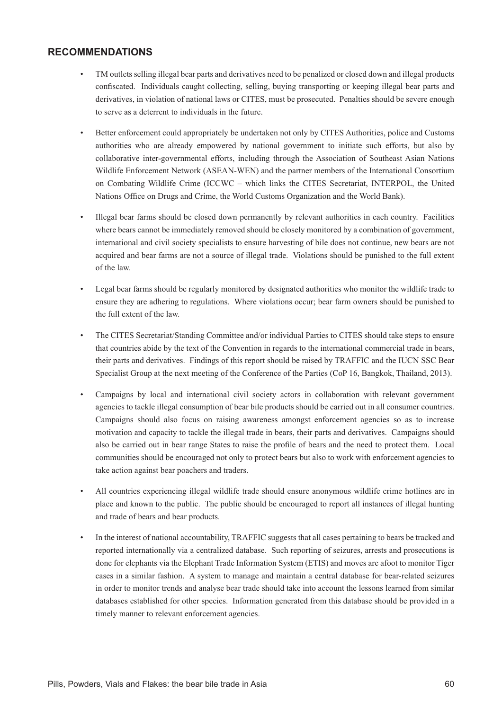# **RECOMMENDATIONS**

- TM outlets selling illegal bear parts and derivatives need to be penalized or closed down and illegal products confiscated. Individuals caught collecting, selling, buying transporting or keeping illegal bear parts and derivatives, in violation of national laws or CITES, must be prosecuted. Penalties should be severe enough to serve as a deterrent to individuals in the future.
- Better enforcement could appropriately be undertaken not only by CITES Authorities, police and Customs authorities who are already empowered by national government to initiate such efforts, but also by collaborative inter-governmental efforts, including through the Association of Southeast Asian Nations Wildlife Enforcement Network (ASEAN-WEN) and the partner members of the International Consortium on Combating Wildlife Crime (ICCWC – which links the CITES Secretariat, INTERPOL, the United Nations Office on Drugs and Crime, the World Customs Organization and the World Bank).
- Illegal bear farms should be closed down permanently by relevant authorities in each country. Facilities where bears cannot be immediately removed should be closely monitored by a combination of government, international and civil society specialists to ensure harvesting of bile does not continue, new bears are not acquired and bear farms are not a source of illegal trade. Violations should be punished to the full extent of the law.
- Legal bear farms should be regularly monitored by designated authorities who monitor the wildlife trade to ensure they are adhering to regulations. Where violations occur; bear farm owners should be punished to the full extent of the law.
- The CITES Secretariat/Standing Committee and/or individual Parties to CITES should take steps to ensure that countries abide by the text of the Convention in regards to the international commercial trade in bears, their parts and derivatives. Findings of this report should be raised by TRAFFIC and the IUCN SSC Bear Specialist Group at the next meeting of the Conference of the Parties (CoP 16, Bangkok, Thailand, 2013).
- Campaigns by local and international civil society actors in collaboration with relevant government agencies to tackle illegal consumption of bear bile products should be carried out in all consumer countries. Campaigns should also focus on raising awareness amongst enforcement agencies so as to increase motivation and capacity to tackle the illegal trade in bears, their parts and derivatives. Campaigns should also be carried out in bear range States to raise the profile of bears and the need to protect them. Local communities should be encouraged not only to protect bears but also to work with enforcement agencies to take action against bear poachers and traders.
- All countries experiencing illegal wildlife trade should ensure anonymous wildlife crime hotlines are in place and known to the public. The public should be encouraged to report all instances of illegal hunting and trade of bears and bear products.
- In the interest of national accountability, TRAFFIC suggests that all cases pertaining to bears be tracked and reported internationally via a centralized database. Such reporting of seizures, arrests and prosecutions is done for elephants via the Elephant Trade Information System (ETIS) and moves are afoot to monitor Tiger cases in a similar fashion. A system to manage and maintain a central database for bear-related seizures in order to monitor trends and analyse bear trade should take into account the lessons learned from similar databases established for other species. Information generated from this database should be provided in a timely manner to relevant enforcement agencies.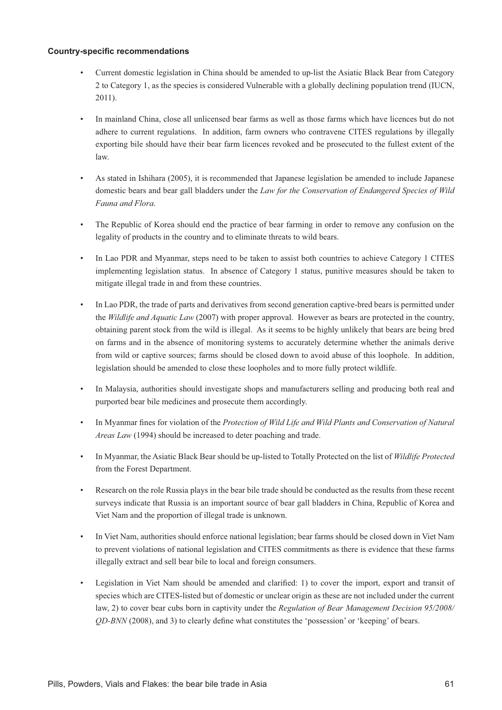### **Country-specific recommendations**

- Current domestic legislation in China should be amended to up-list the Asiatic Black Bear from Category 2 to Category 1, as the species is considered Vulnerable with a globally declining population trend (IUCN, 2011).
- In mainland China, close all unlicensed bear farms as well as those farms which have licences but do not adhere to current regulations. In addition, farm owners who contravene CITES regulations by illegally exporting bile should have their bear farm licences revoked and be prosecuted to the fullest extent of the law.
- As stated in Ishihara (2005), it is recommended that Japanese legislation be amended to include Japanese domestic bears and bear gall bladders under the *Law for the Conservation of Endangered Species of Wild Fauna and Flora*.
- The Republic of Korea should end the practice of bear farming in order to remove any confusion on the legality of products in the country and to eliminate threats to wild bears.
- In Lao PDR and Myanmar, steps need to be taken to assist both countries to achieve Category 1 CITES implementing legislation status. In absence of Category 1 status, punitive measures should be taken to mitigate illegal trade in and from these countries.
- In Lao PDR, the trade of parts and derivatives from second generation captive-bred bears is permitted under the *Wildlife and Aquatic Law* (2007) with proper approval. However as bears are protected in the country, obtaining parent stock from the wild is illegal. As it seems to be highly unlikely that bears are being bred on farms and in the absence of monitoring systems to accurately determine whether the animals derive from wild or captive sources; farms should be closed down to avoid abuse of this loophole. In addition, legislation should be amended to close these loopholes and to more fully protect wildlife.
- In Malaysia, authorities should investigate shops and manufacturers selling and producing both real and purported bear bile medicines and prosecute them accordingly.
- In Myanmar fines for violation of the Protection of Wild Life and Wild Plants and Conservation of Natural *Areas Law* (1994) should be increased to deter poaching and trade.
- In Myanmar, the Asiatic Black Bear should be up-listed to Totally Protected on the list of *Wildlife Protected*  from the Forest Department.
- Research on the role Russia plays in the bear bile trade should be conducted as the results from these recent surveys indicate that Russia is an important source of bear gall bladders in China, Republic of Korea and Viet Nam and the proportion of illegal trade is unknown.
- In Viet Nam, authorities should enforce national legislation; bear farms should be closed down in Viet Nam to prevent violations of national legislation and CITES commitments as there is evidence that these farms illegally extract and sell bear bile to local and foreign consumers.
- Legislation in Viet Nam should be amended and clarified: 1) to cover the import, export and transit of species which are CITES-listed but of domestic or unclear origin as these are not included under the current law, 2) to cover bear cubs born in captivity under the *Regulation of Bear Management Decision 95/2008/ QD-BNN* (2008), and 3) to clearly define what constitutes the 'possession' or 'keeping' of bears.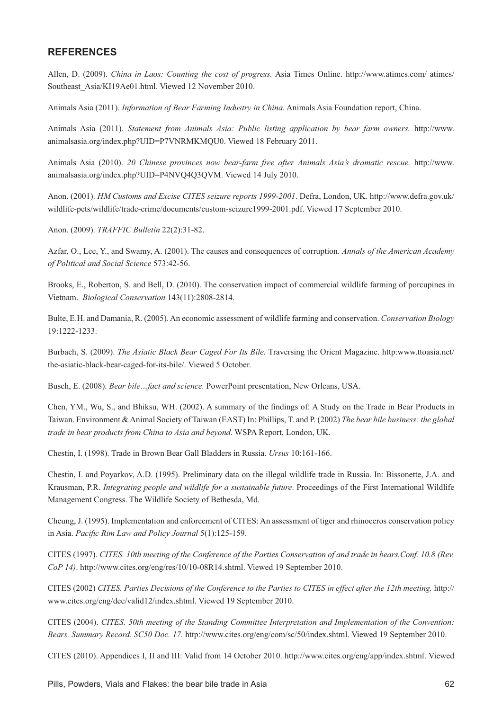## **REFERENCES**

Allen, D. (2009). *China in Laos: Counting the cost of progress.* Asia Times Online. http://www.atimes.com/ atimes/ Southeast Asia/KI19Ae01.html. Viewed 12 November 2010.

Animals Asia (2011). *Information of Bear Farming Industry in China*. Animals Asia Foundation report, China.

Animals Asia (2011). *Statement from Animals Asia: Public listing application by bear farm owners.* http://www. animalsasia.org/index.php?UID=P7VNRMKMQU0. Viewed 18 February 2011.

Animals Asia (2010). *20 Chinese provinces now bear-farm free after Animals Asia's dramatic rescue.* http://www. animalsasia.org/index.php?UID=P4NVQ4Q3QVM. Viewed 14 July 2010.

Anon. (2001). *HM Customs and Excise CITES seizure reports 1999-2001*. Defra, London, UK. http://www.defra.gov.uk/ wildlife-pets/wildlife/trade-crime/documents/custom-seizure1999-2001.pdf. Viewed 17 September 2010.

Anon. (2009). *TRAFFIC Bulletin* 22(2):31-82.

Azfar, O., Lee, Y., and Swamy, A. (2001). The causes and consequences of corruption. Annals of the American Academy *of Political and Social Science* 573:42-56.

Brooks, E., Roberton, S. and Bell, D. (2010). The conservation impact of commercial wildlife farming of porcupines in Vietnam. *Biological Conservation* 143(11):2808-2814.

Bulte, E.H. and Damania, R. (2005). An economic assessment of wildlife farming and conservation. *Conservation Biology* 19:1222-1233.

Burbach, S. (2009). *The Asiatic Black Bear Caged For Its Bile.* Traversing the Orient Magazine. http:www.ttoasia.net/ the-asiatic-black-bear-caged-for-its-bile/. Viewed 5 October.

Busch, E. (2008). *Bear bile…fact and science.* PowerPoint presentation, New Orleans, USA.

Chen, YM., Wu, S., and Bhiksu, WH. (2002). A summary of the findings of: A Study on the Trade in Bear Products in Taiwan. Environment & Animal Society of Taiwan (EAST) In: Phillips, T. and P. (2002) *The bear bile business: the global trade in bear products from China to Asia and beyond*. WSPA Report, London, UK.

Chestin, I. (1998). Trade in Brown Bear Gall Bladders in Russia. *Ursus* 10:161-166.

Chestin, I. and Poyarkov, A.D. (1995). Preliminary data on the illegal wildlife trade in Russia. In: Bissonette, J.A. and Krausman, P.R. *Integrating people and wildlife for a sustainable future*. Proceedings of the First International Wildlife Management Congress. The Wildlife Society of Bethesda, Md.

Cheung, J. (1995). Implementation and enforcement of CITES: An assessment of tiger and rhinoceros conservation policy in Asia. Pacific Rim Law and Policy Journal 5(1):125-159.

CITES (1997). *CITES. 10th meeting of the Conference of the Parties Conservation of and trade in bears.Conf. 10.8 (Rev. CoP 14)*. http://www.cites.org/eng/res/10/10-08R14.shtml. Viewed 19 September 2010.

CITES (2002) *CITES. Parties Decisions of the Conference to the Parties to CITES in effect after the 12th meeting.* http:// www.cites.org/eng/dec/valid12/index.shtml. Viewed 19 September 2010.

CITES (2004). *CITES. 50th meeting of the Standing Committee Interpretation and Implementation of the Convention: Bears. Summary Record. SC50 Doc. 17.* http://www.cites.org/eng/com/sc/50/index.shtml. Viewed 19 September 2010.

CITES (2010). Appendices I, II and III: Valid from 14 October 2010. http://www.cites.org/eng/app/index.shtml. Viewed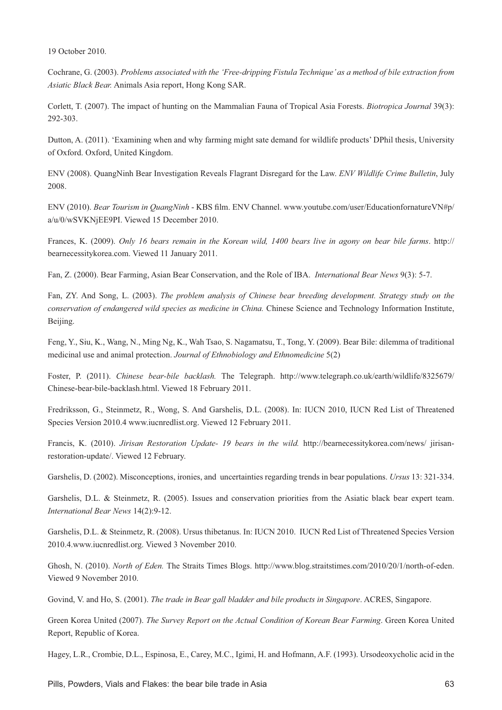19 October 2010.

Cochrane, G. (2003). *Problems associated with the 'Free-dripping Fistula Technique' as a method of bile extraction from Asiatic Black Bear.* Animals Asia report, Hong Kong SAR.

Corlett, T. (2007). The impact of hunting on the Mammalian Fauna of Tropical Asia Forests. *Biotropica Journal* 39(3): 292-303.

Dutton, A. (2011). 'Examining when and why farming might sate demand for wildlife products' DPhil thesis, University of Oxford. Oxford, United Kingdom.

ENV (2008). QuangNinh Bear Investigation Reveals Flagrant Disregard for the Law. *ENV Wildlife Crime Bulletin*, July 2008.

ENV (2010). *Bear Tourism in QuangNinh* - KBS film. ENV Channel. www.youtube.com/user/EducationfornatureVN#p/ a/u/0/wSVKNjEE9PI. Viewed 15 December 2010.

Frances, K. (2009). *Only 16 bears remain in the Korean wild, 1400 bears live in agony on bear bile farms*. http:// bearnecessitykorea.com. Viewed 11 January 2011.

Fan, Z. (2000). Bear Farming, Asian Bear Conservation, and the Role of IBA. *International Bear News* 9(3): 5-7.

Fan, ZY. And Song, L. (2003). *The problem analysis of Chinese bear breeding development. Strategy study on the conservation of endangered wild species as medicine in China.* Chinese Science and Technology Information Institute, Beijing.

Feng, Y., Siu, K., Wang, N., Ming Ng, K., Wah Tsao, S. Nagamatsu, T., Tong, Y. (2009). Bear Bile: dilemma of traditional medicinal use and animal protection. *Journal of Ethnobiology and Ethnomedicine* 5(2)

Foster, P. (2011). *Chinese bear-bile backlash.* The Telegraph. http://www.telegraph.co.uk/earth/wildlife/8325679/ Chinese-bear-bile-backlash.html. Viewed 18 February 2011.

Fredriksson, G., Steinmetz, R., Wong, S. And Garshelis, D.L. (2008). In: IUCN 2010, IUCN Red List of Threatened Species Version 2010.4 www.iucnredlist.org. Viewed 12 February 2011.

Francis, K. (2010). *Jirisan Restoration Update-19 bears in the wild.* http://bearnecessitykorea.com/news/ jirisanrestoration-update/. Viewed 12 February.

Garshelis, D. (2002). Misconceptions, ironies, and uncertainties regarding trends in bear populations. *Ursus* 13: 321-334.

Garshelis, D.L. & Steinmetz, R. (2005). Issues and conservation priorities from the Asiatic black bear expert team. *International Bear News* 14(2):9-12.

Garshelis, D.L. & Steinmetz, R. (2008). Ursus thibetanus. In: IUCN 2010. IUCN Red List of Threatened Species Version 2010.4.www.iucnredlist.org. Viewed 3 November 2010.

Ghosh, N. (2010). *North of Eden.* The Straits Times Blogs. http://www.blog.straitstimes.com/2010/20/1/north-of-eden. Viewed 9 November 2010.

Govind, V. and Ho, S. (2001). *The trade in Bear gall bladder and bile products in Singapore*. ACRES, Singapore.

Green Korea United (2007). *The Survey Report on the Actual Condition of Korean Bear Farming*. Green Korea United Report, Republic of Korea.

Hagey, L.R., Crombie, D.L., Espinosa, E., Carey, M.C., Igimi, H. and Hofmann, A.F. (1993). Ursodeoxycholic acid in the

Pills, Powders, Vials and Flakes: the bear bile trade in Asia **63** 63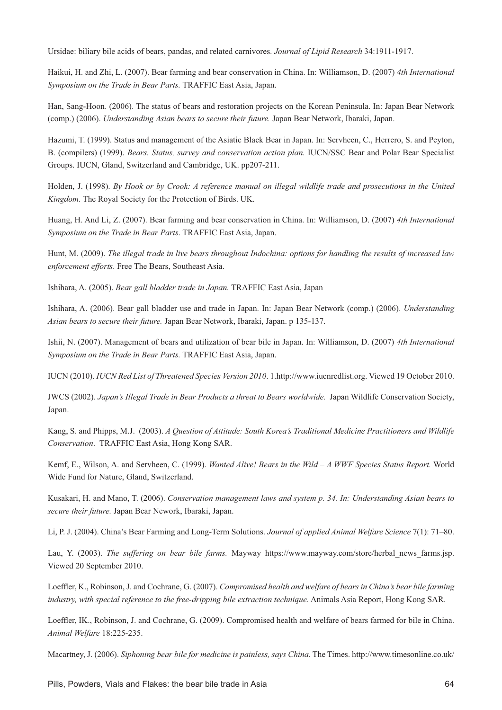Ursidae: biliary bile acids of bears, pandas, and related carnivores. *Journal of Lipid Research* 34:1911-1917.

Haikui, H. and Zhi, L. (2007). Bear farming and bear conservation in China. In: Williamson, D. (2007) *4th International Symposium on the Trade in Bear Parts.* TRAFFIC East Asia, Japan.

Han, Sang-Hoon. (2006). The status of bears and restoration projects on the Korean Peninsula. In: Japan Bear Network (comp.) (2006). *Understanding Asian bears to secure their future.* Japan Bear Network, Ibaraki, Japan.

Hazumi, T. (1999). Status and management of the Asiatic Black Bear in Japan. In: Servheen, C., Herrero, S. and Peyton, B. (compilers) (1999). *Bears. Status, survey and conservation action plan.* IUCN/SSC Bear and Polar Bear Specialist Groups. IUCN, Gland, Switzerland and Cambridge, UK. pp207-211.

Holden, J. (1998). *By Hook or by Crook: A reference manual on illegal wildlife trade and prosecutions in the United Kingdom*. The Royal Society for the Protection of Birds. UK.

Huang, H. And Li, Z. (2007). Bear farming and bear conservation in China. In: Williamson, D. (2007) *4th International Symposium on the Trade in Bear Parts*. TRAFFIC East Asia, Japan.

Hunt, M. (2009). *The illegal trade in live bears throughout Indochina: options for handling the results of increased law enforcement efforts*. Free The Bears, Southeast Asia.

Ishihara, A. (2005). *Bear gall bladder trade in Japan*. TRAFFIC East Asia, Japan

Ishihara, A. (2006). Bear gall bladder use and trade in Japan. In: Japan Bear Network (comp.) (2006). *Understanding Asian bears to secure their future.* Japan Bear Network, Ibaraki, Japan. p 135-137.

Ishii, N. (2007). Management of bears and utilization of bear bile in Japan. In: Williamson, D. (2007) *4th International Symposium on the Trade in Bear Parts.* TRAFFIC East Asia, Japan.

IUCN (2010). *IUCN Red List of Threatened Species Version 2010*. 1.http://www.iucnredlist.org. Viewed 19 October 2010.

JWCS (2002). *Japan's Illegal Trade in Bear Products a threat to Bears worldwide*. Japan Wildlife Conservation Society, Japan.

Kang, S. and Phipps, M.J. (2003). *A Question of Attitude: South Korea's Traditional Medicine Practitioners and Wildlife Conservation*. TRAFFIC East Asia, Hong Kong SAR.

Kemf, E., Wilson, A. and Servheen, C. (1999). *Wanted Alive! Bears in the Wild – A WWF Species Status Report.* World Wide Fund for Nature, Gland, Switzerland.

Kusakari, H. and Mano, T. (2006). *Conservation management laws and system p. 34. In: Understanding Asian bears to secure their future.* Japan Bear Nework, Ibaraki, Japan.

Li, P. J. (2004). China's Bear Farming and Long-Term Solutions. *Journal of applied Animal Welfare Science* 7(1): 71–80.

Lau, Y. (2003). *The suffering on bear bile farms.* Mayway https://www.mayway.com/store/herbal\_news\_farms.jsp. Viewed 20 September 2010.

Loeffler, K., Robinson, J. and Cochrane, G. (2007). Compromised health and welfare of bears in China's bear bile farming *industry, with special reference to the free-dripping bile extraction technique.* Animals Asia Report, Hong Kong SAR.

Loeffler, IK., Robinson, J. and Cochrane, G. (2009). Compromised health and welfare of bears farmed for bile in China. *Animal Welfare* 18:225-235.

Macartney, J. (2006). *Siphoning bear bile for medicine is painless, says China*. The Times. http://www.timesonline.co.uk/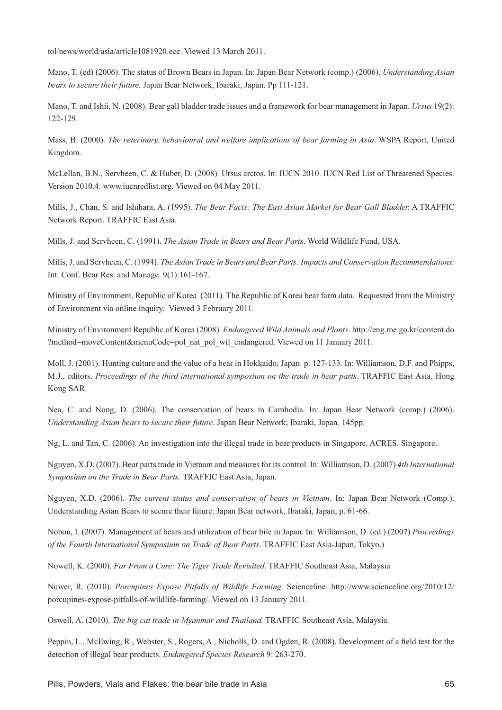tol/news/world/asia/article1081920.ece. Viewed 13 March 2011.

Mano, T. (ed) (2006). The status of Brown Bears in Japan. In: Japan Bear Network (comp.) (2006). *Understanding Asian bears to secure their future.* Japan Bear Network, Ibaraki, Japan. Pp 111-121.

Mano, T. and Ishii, N. (2008). Bear gall bladder trade issues and a framework for bear management in Japan. *Ursus* 19(2): 122-129.

Mass, B. (2000). *The veterinary, behavioural and welfare implications of bear farming in Asia*. WSPA Report, United Kingdom.

McLellan, B.N., Servheen, C. & Huber, D. (2008). Ursus arctos. In: IUCN 2010. IUCN Red List of Threatened Species. Version 2010.4. www.iucnredlist.org. Viewed on 04 May 2011.

Mills, J., Chan, S. and Ishihara, A. (1995). *The Bear Facts: The East Asian Market for Bear Gall Bladder.* A TRAFFIC Network Report. TRAFFIC East Asia.

Mills, J. and Servheen, C. (1991). *The Asian Trade in Bears and Bear Parts*. World Wildlife Fund, USA.

Mills, J. and Servheen, C. (1994). *The Asian Trade in Bears and Bear Parts: Impacts and Conservation Recommendations.*  Int. Conf. Bear Res. and Manage. 9(1):161-167.

Ministry of Environment, Republic of Korea (2011). The Republic of Korea bear farm data. Requested from the Ministry of Environment via online inquiry. Viewed 3 February 2011.

Ministry of Environment Republic of Korea (2008). *Endangered Wild Animals and Plants*. http://eng.me.go.kr/content.do ?method=moveContent&menuCode=pol\_nat\_pol\_wil\_endangered. Viewed on 11 January 2011.

Moll, J. (2001). Hunting culture and the value of a bear in Hokkaido, Japan. p. 127-133. In: Williamson, D.F. and Phipps, M.J., editors. *Proceedings of the third international symposium on the trade in bear parts*. TRAFFIC East Asia, Hong Kong SAR.

Nea, C. and Nong, D. (2006). The conservation of bears in Cambodia. In: Japan Bear Network (comp.) (2006). *Understanding Asian bears to secure their future*. Japan Bear Network, Ibaraki, Japan. 145pp.

Ng, L. and Tan, C. (2006). An investigation into the illegal trade in bear products in Singapore. ACRES. Singapore.

Nguyen, X.D. (2007). Bear parts trade in Vietnam and measures for its control. In: Williamson, D. (2007) *4th International Symposium on the Trade in Bear Parts.* TRAFFIC East Asia, Japan.

Nguyen, X.D. (2006). *The current status and conservation of bears in Vietnam.* In: Japan Bear Network (Comp.). Understanding Asian Bears to secure their future. Japan Bear network, Ibaraki, Japan, p. 61-66.

Nobou, I. (2007). Management of bears and utilization of bear bile in Japan. In: Williamson, D. (ed.) (2007) *Proceedings of the Fourth International Symposium on Trade of Bear Parts*. TRAFFIC East Asia-Japan, Tokyo.)

Nowell, K. (2000). *Far From a Cure: The Tiger Trade Revisited*. TRAFFIC Southeast Asia, Malaysia

Nuwer, R. (2010). *Porcupines Expose Pitfalls of Wildlife Farming.* Scienceline. http://www.scienceline.org/2010/12/ porcupines-expose-pitfalls-of-wildlife-farming/. Viewed on 13 January 2011.

Oswell, A. (2010). *The big cat trade in Myanmar and Thailand.* TRAFFIC Southeast Asia, Malaysia.

Peppin, L., McEwing, R., Webster, S., Rogers, A., Nicholls, D. and Ogden, R. (2008). Development of a field test for the detection of illegal bear products. *Endangered Species Research* 9: 263-270.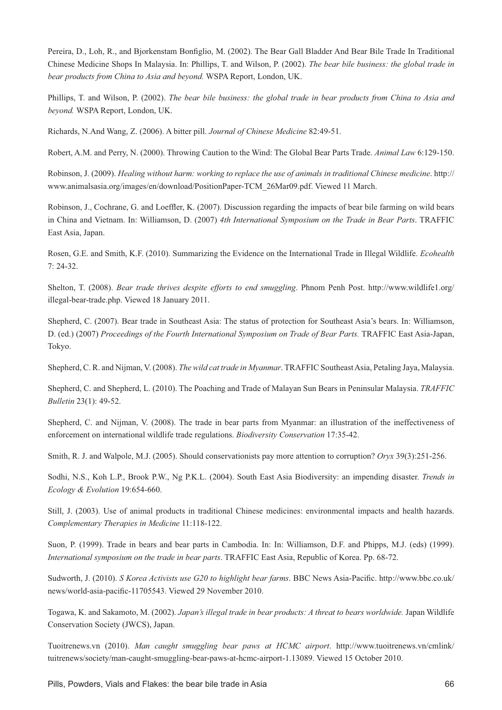Pereira, D., Loh, R., and Bjorkenstam Bonfiglio, M. (2002). The Bear Gall Bladder And Bear Bile Trade In Traditional Chinese Medicine Shops In Malaysia. In: Phillips, T. and Wilson, P. (2002). *The bear bile business: the global trade in bear products from China to Asia and beyond.* WSPA Report, London, UK.

Phillips, T. and Wilson, P. (2002). *The bear bile business: the global trade in bear products from China to Asia and beyond.* WSPA Report, London, UK.

Richards, N.And Wang, Z. (2006). A bitter pill. *Journal of Chinese Medicine* 82:49-51.

Robert, A.M. and Perry, N. (2000). Throwing Caution to the Wind: The Global Bear Parts Trade. *Animal Law* 6:129-150.

Robinson, J. (2009). *Healing without harm: working to replace the use of animals in traditional Chinese medicine*. http:// www.animalsasia.org/images/en/download/PositionPaper-TCM\_26Mar09.pdf. Viewed 11 March.

Robinson, J., Cochrane, G. and Loeffler, K. (2007). Discussion regarding the impacts of bear bile farming on wild bears in China and Vietnam. In: Williamson, D. (2007) *4th International Symposium on the Trade in Bear Parts*. TRAFFIC East Asia, Japan.

Rosen, G.E. and Smith, K.F. (2010). Summarizing the Evidence on the International Trade in Illegal Wildlife. *Ecohealth* 7: 24-32.

Shelton, T. (2008). *Bear trade thrives despite efforts to end smuggling*. Phnom Penh Post. http://www.wildlife1.org/ illegal-bear-trade.php. Viewed 18 January 2011.

Shepherd, C. (2007). Bear trade in Southeast Asia: The status of protection for Southeast Asia's bears. In: Williamson, D. (ed.) (2007) *Proceedings of the Fourth International Symposium on Trade of Bear Parts.* TRAFFIC East Asia-Japan, Tokyo.

Shepherd, C. R. and Nijman, V. (2008). *The wild cat trade in Myanmar*. TRAFFIC Southeast Asia, Petaling Jaya, Malaysia.

Shepherd, C. and Shepherd, L. (2010). The Poaching and Trade of Malayan Sun Bears in Peninsular Malaysia. *TRAFFIC Bulletin* 23(1): 49-52.

Shepherd, C. and Nijman, V. (2008). The trade in bear parts from Myanmar: an illustration of the ineffectiveness of enforcement on international wildlife trade regulations. *Biodiversity Conservation* 17:35-42.

Smith, R. J. and Walpole, M.J. (2005). Should conservationists pay more attention to corruption? *Oryx* 39(3):251-256.

Sodhi, N.S., Koh L.P., Brook P.W., Ng P.K.L. (2004). South East Asia Biodiversity: an impending disaster. *Trends in Ecology & Evolution* 19:654-660.

Still, J. (2003). Use of animal products in traditional Chinese medicines: environmental impacts and health hazards. *Complementary Therapies in Medicine* 11:118-122.

Suon, P. (1999). Trade in bears and bear parts in Cambodia. In: In: Williamson, D.F. and Phipps, M.J. (eds) (1999). *International symposium on the trade in bear parts*. TRAFFIC East Asia, Republic of Korea. Pp. 68-72.

Sudworth, J. (2010). *S Korea Activists use G20 to highlight bear farms*. BBC News Asia-Pacific. http://www.bbc.co.uk/ news/world-asia-pacific-11705543. Viewed 29 November 2010.

Togawa, K. and Sakamoto, M. (2002). *Japan's illegal trade in bear products: A threat to bears worldwide*. Japan Wildlife Conservation Society (JWCS), Japan.

Tuoitrenews.vn (2010). *Man caught smuggling bear paws at HCMC airport*. http://www.tuoitrenews.vn/cmlink/ tuitrenews/society/man-caught-smuggling-bear-paws-at-hcmc-airport-1.13089. Viewed 15 October 2010.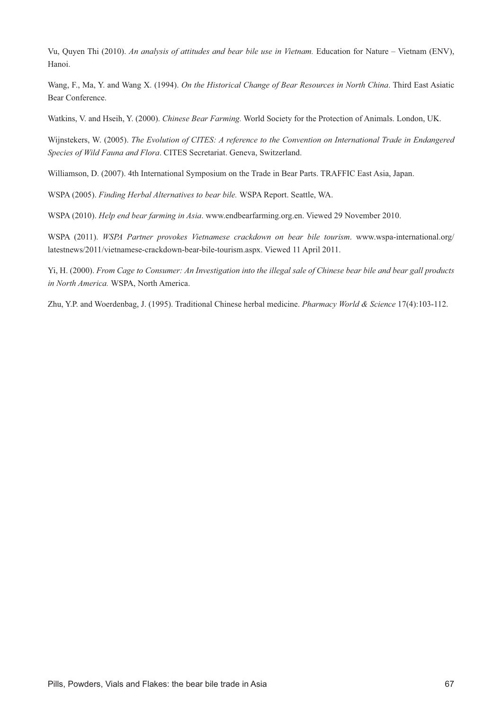Vu, Quyen Thi (2010). *An analysis of attitudes and bear bile use in Vietnam.* Education for Nature – Vietnam (ENV), Hanoi.

Wang, F., Ma, Y. and Wang X. (1994). *On the Historical Change of Bear Resources in North China*. Third East Asiatic Bear Conference.

Watkins, V. and Hseih, Y. (2000). *Chinese Bear Farming.* World Society for the Protection of Animals. London, UK.

Wijnstekers, W. (2005). *The Evolution of CITES: A reference to the Convention on International Trade in Endangered Species of Wild Fauna and Flora*. CITES Secretariat. Geneva, Switzerland.

Williamson, D. (2007). 4th International Symposium on the Trade in Bear Parts. TRAFFIC East Asia, Japan.

WSPA (2005). *Finding Herbal Alternatives to bear bile.* WSPA Report. Seattle, WA.

WSPA (2010). *Help end bear farming in Asia*. www.endbearfarming.org.en. Viewed 29 November 2010.

WSPA (2011). *WSPA Partner provokes Vietnamese crackdown on bear bile tourism*. www.wspa-international.org/ latestnews/2011/vietnamese-crackdown-bear-bile-tourism.aspx. Viewed 11 April 2011.

Yi, H. (2000). *From Cage to Consumer: An Investigation into the illegal sale of Chinese bear bile and bear gall products in North America.* WSPA, North America.

Zhu, Y.P. and Woerdenbag, J. (1995). Traditional Chinese herbal medicine. *Pharmacy World & Science* 17(4):103-112.